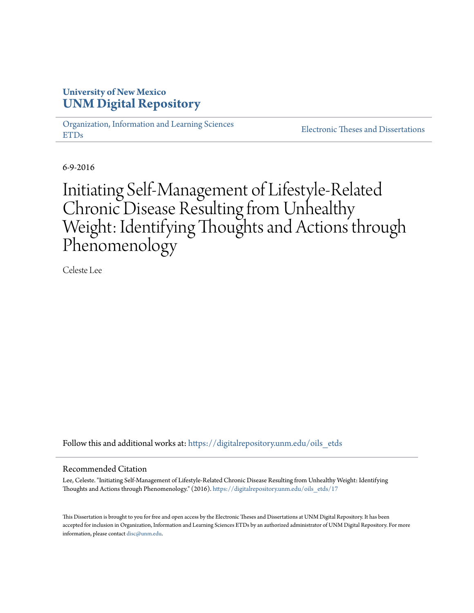## **University of New Mexico [UNM Digital Repository](https://digitalrepository.unm.edu?utm_source=digitalrepository.unm.edu%2Foils_etds%2F17&utm_medium=PDF&utm_campaign=PDFCoverPages)**

[Organization, Information and Learning Sciences](https://digitalrepository.unm.edu/oils_etds?utm_source=digitalrepository.unm.edu%2Foils_etds%2F17&utm_medium=PDF&utm_campaign=PDFCoverPages) [ETDs](https://digitalrepository.unm.edu/oils_etds?utm_source=digitalrepository.unm.edu%2Foils_etds%2F17&utm_medium=PDF&utm_campaign=PDFCoverPages)

[Electronic Theses and Dissertations](https://digitalrepository.unm.edu/etds?utm_source=digitalrepository.unm.edu%2Foils_etds%2F17&utm_medium=PDF&utm_campaign=PDFCoverPages)

6-9-2016

# Initiating Self-Management of Lifestyle-Related Chronic Disease Resulting from Unhealthy Weight: Identifying Thoughts and Actions through Phenomenology

Celeste Lee

Follow this and additional works at: [https://digitalrepository.unm.edu/oils\\_etds](https://digitalrepository.unm.edu/oils_etds?utm_source=digitalrepository.unm.edu%2Foils_etds%2F17&utm_medium=PDF&utm_campaign=PDFCoverPages)

#### Recommended Citation

Lee, Celeste. "Initiating Self-Management of Lifestyle-Related Chronic Disease Resulting from Unhealthy Weight: Identifying Thoughts and Actions through Phenomenology." (2016). [https://digitalrepository.unm.edu/oils\\_etds/17](https://digitalrepository.unm.edu/oils_etds/17?utm_source=digitalrepository.unm.edu%2Foils_etds%2F17&utm_medium=PDF&utm_campaign=PDFCoverPages)

This Dissertation is brought to you for free and open access by the Electronic Theses and Dissertations at UNM Digital Repository. It has been accepted for inclusion in Organization, Information and Learning Sciences ETDs by an authorized administrator of UNM Digital Repository. For more information, please contact [disc@unm.edu.](mailto:disc@unm.edu)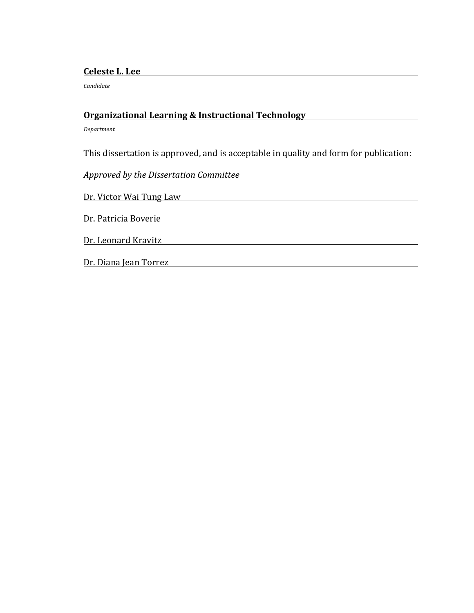## **Celeste L. Lee**

*Candidate*

## **Organizational Learning & Instructional Technology**

*Department*

This dissertation is approved, and is acceptable in quality and form for publication:

*Approved by the Dissertation Committee*

Dr. Victor Wai Tung Law

Dr. Patricia Boverie **Dr. Patricia** 

Dr. Leonard Kravitz

Dr. Diana Jean Torrez **Dr. 2008**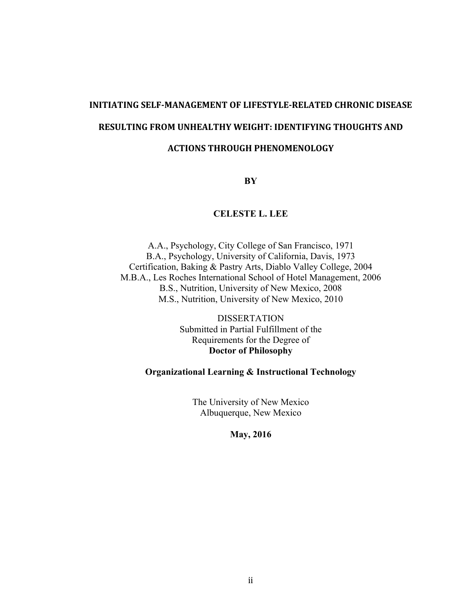# **INITIATING SELF-MANAGEMENT OF LIFESTYLE-RELATED CHRONIC DISEASE RESULTING FROM UNHEALTHY WEIGHT: IDENTIFYING THOUGHTS AND**

## **ACTIONS THROUGH PHENOMENOLOGY**

**BY**

## **CELESTE L. LEE**

A.A., Psychology, City College of San Francisco, 1971 B.A., Psychology, University of California, Davis, 1973 Certification, Baking & Pastry Arts, Diablo Valley College, 2004 M.B.A., Les Roches International School of Hotel Management, 2006 B.S., Nutrition, University of New Mexico, 2008 M.S., Nutrition, University of New Mexico, 2010

> DISSERTATION Submitted in Partial Fulfillment of the Requirements for the Degree of **Doctor of Philosophy**

## **Organizational Learning & Instructional Technology**

The University of New Mexico Albuquerque, New Mexico

**May, 2016**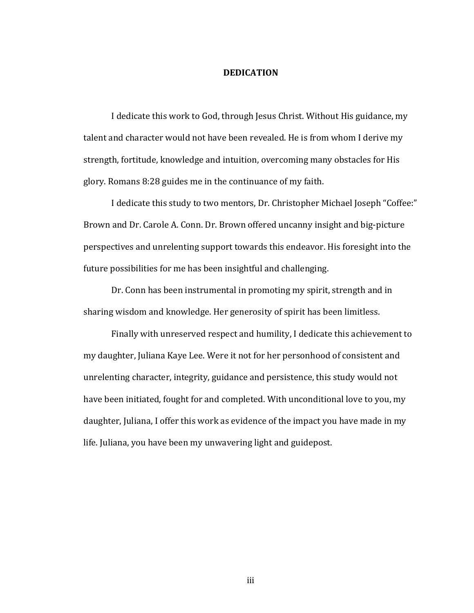### **DEDICATION**

I dedicate this work to God, through Jesus Christ. Without His guidance, my talent and character would not have been revealed. He is from whom I derive my strength, fortitude, knowledge and intuition, overcoming many obstacles for His glory. Romans  $8:28$  guides me in the continuance of my faith.

I dedicate this study to two mentors, Dr. Christopher Michael Joseph "Coffee:" Brown and Dr. Carole A. Conn. Dr. Brown offered uncanny insight and big-picture perspectives and unrelenting support towards this endeavor. His foresight into the future possibilities for me has been insightful and challenging.

Dr. Conn has been instrumental in promoting my spirit, strength and in sharing wisdom and knowledge. Her generosity of spirit has been limitless.

Finally with unreserved respect and humility, I dedicate this achievement to my daughter, Juliana Kaye Lee. Were it not for her personhood of consistent and unrelenting character, integrity, guidance and persistence, this study would not have been initiated, fought for and completed. With unconditional love to you, my daughter, Juliana, I offer this work as evidence of the impact you have made in my life. Juliana, you have been my unwavering light and guidepost.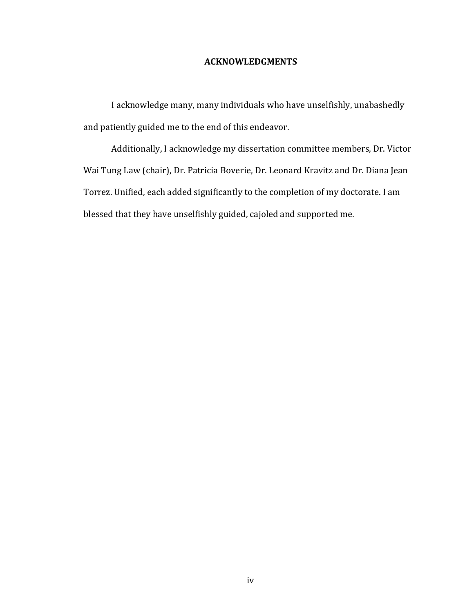## **ACKNOWLEDGMENTS**

I acknowledge many, many individuals who have unselfishly, unabashedly and patiently guided me to the end of this endeavor.

Additionally, I acknowledge my dissertation committee members, Dr. Victor Wai Tung Law (chair), Dr. Patricia Boverie, Dr. Leonard Kravitz and Dr. Diana Jean Torrez. Unified, each added significantly to the completion of my doctorate. I am blessed that they have unselfishly guided, cajoled and supported me.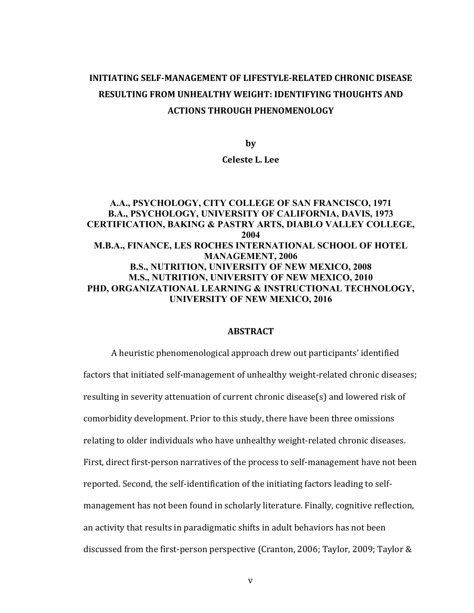## **INITIATING SELF-MANAGEMENT OF LIFESTYLE-RELATED CHRONIC DISEASE RESULTING FROM UNHEALTHY WEIGHT: IDENTIFYING THOUGHTS AND ACTIONS THROUGH PHENOMENOLOGY**

**by**

#### **Celeste L. Lee**

## **A.A., PSYCHOLOGY, CITY COLLEGE OF SAN FRANCISCO, 1971 B.A., PSYCHOLOGY, UNIVERSITY OF CALIFORNIA, DAVIS, 1973 CERTIFICATION, BAKING & PASTRY ARTS, DIABLO VALLEY COLLEGE, 2004 M.B.A., FINANCE, LES ROCHES INTERNATIONAL SCHOOL OF HOTEL MANAGEMENT, 2006 B.S., NUTRITION, UNIVERSITY OF NEW MEXICO, 2008 M.S., NUTRITION, UNIVERSITY OF NEW MEXICO, 2010 PHD, ORGANIZATIONAL LEARNING & INSTRUCTIONAL TECHNOLOGY, UNIVERSITY OF NEW MEXICO, 2016**

#### **ABSTRACT**

A heuristic phenomenological approach drew out participants' identified factors that initiated self-management of unhealthy weight-related chronic diseases; resulting in severity attenuation of current chronic disease(s) and lowered risk of comorbidity development. Prior to this study, there have been three omissions relating to older individuals who have unhealthy weight-related chronic diseases. First, direct first-person narratives of the process to self-management have not been reported. Second, the self-identification of the initiating factors leading to selfmanagement has not been found in scholarly literature. Finally, cognitive reflection, an activity that results in paradigmatic shifts in adult behaviors has not been discussed from the first-person perspective (Cranton, 2006; Taylor, 2009; Taylor &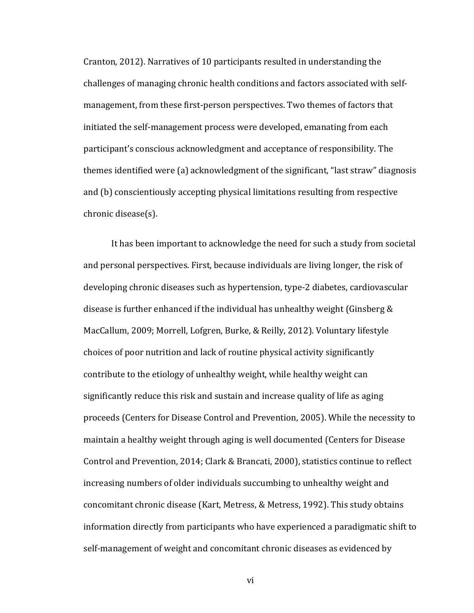Cranton, 2012). Narratives of 10 participants resulted in understanding the challenges of managing chronic health conditions and factors associated with selfmanagement, from these first-person perspectives. Two themes of factors that initiated the self-management process were developed, emanating from each participant's conscious acknowledgment and acceptance of responsibility. The themes identified were (a) acknowledgment of the significant, "last straw" diagnosis and (b) conscientiously accepting physical limitations resulting from respective chronic disease(s).

It has been important to acknowledge the need for such a study from societal and personal perspectives. First, because individuals are living longer, the risk of developing chronic diseases such as hypertension, type-2 diabetes, cardiovascular disease is further enhanced if the individual has unhealthy weight (Ginsberg  $&$ MacCallum, 2009; Morrell, Lofgren, Burke, & Reilly, 2012). Voluntary lifestyle choices of poor nutrition and lack of routine physical activity significantly contribute to the etiology of unhealthy weight, while healthy weight can significantly reduce this risk and sustain and increase quality of life as aging proceeds (Centers for Disease Control and Prevention, 2005). While the necessity to maintain a healthy weight through aging is well documented (Centers for Disease Control and Prevention, 2014; Clark & Brancati, 2000), statistics continue to reflect increasing numbers of older individuals succumbing to unhealthy weight and concomitant chronic disease (Kart, Metress, & Metress, 1992). This study obtains information directly from participants who have experienced a paradigmatic shift to self-management of weight and concomitant chronic diseases as evidenced by

vi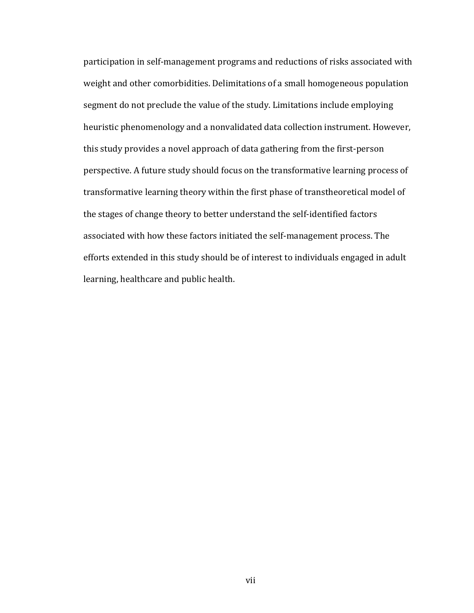participation in self-management programs and reductions of risks associated with weight and other comorbidities. Delimitations of a small homogeneous population segment do not preclude the value of the study. Limitations include employing heuristic phenomenology and a nonvalidated data collection instrument. However, this study provides a novel approach of data gathering from the first-person perspective. A future study should focus on the transformative learning process of transformative learning theory within the first phase of transtheoretical model of the stages of change theory to better understand the self-identified factors associated with how these factors initiated the self-management process. The efforts extended in this study should be of interest to individuals engaged in adult learning, healthcare and public health.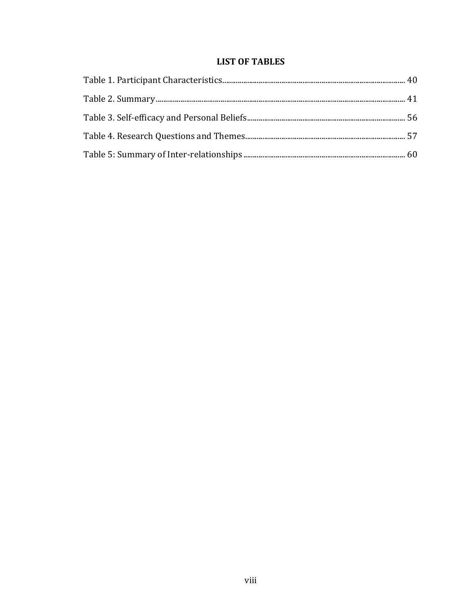## **LIST OF TABLES**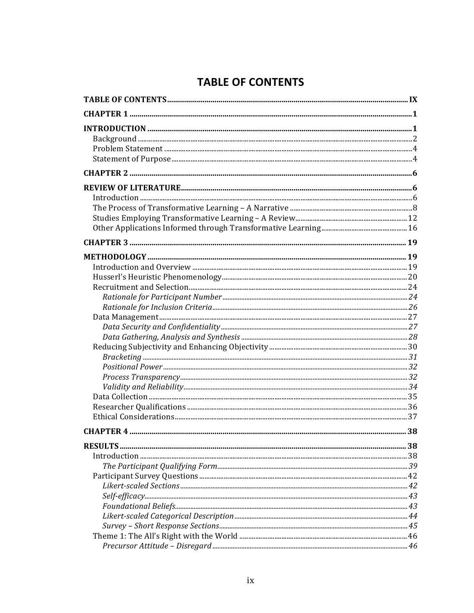## **TABLE OF CONTENTS**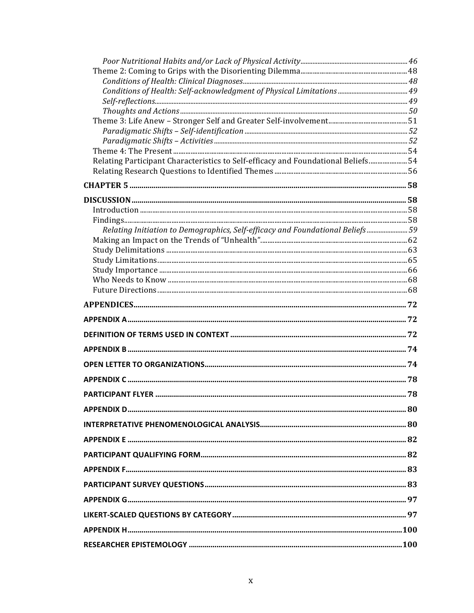| Relating Participant Characteristics to Self-efficacy and Foundational Beliefs 54 |  |
|-----------------------------------------------------------------------------------|--|
|                                                                                   |  |
|                                                                                   |  |
|                                                                                   |  |
|                                                                                   |  |
|                                                                                   |  |
| Relating Initiation to Demographics, Self-efficacy and Foundational Beliefs  59   |  |
|                                                                                   |  |
|                                                                                   |  |
|                                                                                   |  |
|                                                                                   |  |
|                                                                                   |  |
|                                                                                   |  |
|                                                                                   |  |
|                                                                                   |  |
|                                                                                   |  |
|                                                                                   |  |
|                                                                                   |  |
|                                                                                   |  |
|                                                                                   |  |
|                                                                                   |  |
|                                                                                   |  |
|                                                                                   |  |
|                                                                                   |  |
|                                                                                   |  |
|                                                                                   |  |
|                                                                                   |  |
|                                                                                   |  |
|                                                                                   |  |
|                                                                                   |  |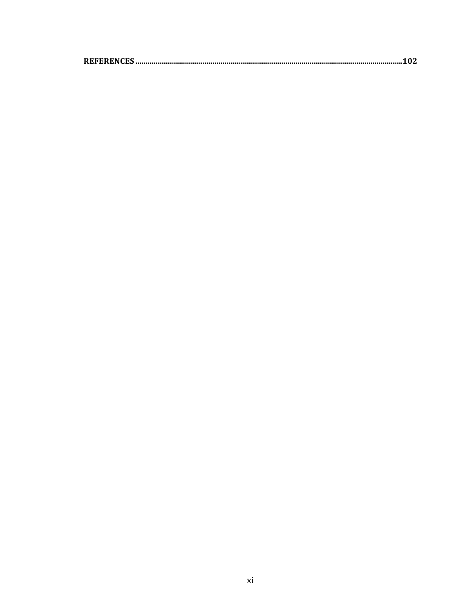|--|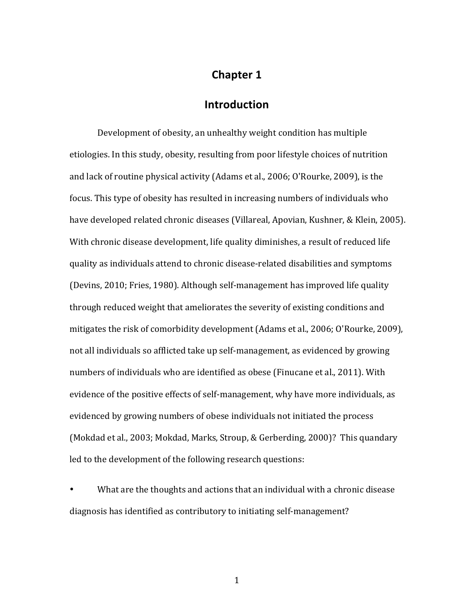## **Chapter 1**

## **Introduction**

Development of obesity, an unhealthy weight condition has multiple etiologies. In this study, obesity, resulting from poor lifestyle choices of nutrition and lack of routine physical activity (Adams et al., 2006; O'Rourke, 2009), is the focus. This type of obesity has resulted in increasing numbers of individuals who have developed related chronic diseases (Villareal, Apovian, Kushner, & Klein, 2005). With chronic disease development, life quality diminishes, a result of reduced life quality as individuals attend to chronic disease-related disabilities and symptoms (Devins, 2010; Fries, 1980). Although self-management has improved life quality through reduced weight that ameliorates the severity of existing conditions and mitigates the risk of comorbidity development  $(Adams et al., 2006; O'Rourke, 2009)$ , not all individuals so afflicted take up self-management, as evidenced by growing numbers of individuals who are identified as obese (Finucane et al., 2011). With evidence of the positive effects of self-management, why have more individuals, as evidenced by growing numbers of obese individuals not initiated the process (Mokdad et al., 2003; Mokdad, Marks, Stroup, & Gerberding, 2000)? This quandary led to the development of the following research questions:

What are the thoughts and actions that an individual with a chronic disease diagnosis has identified as contributory to initiating self-management?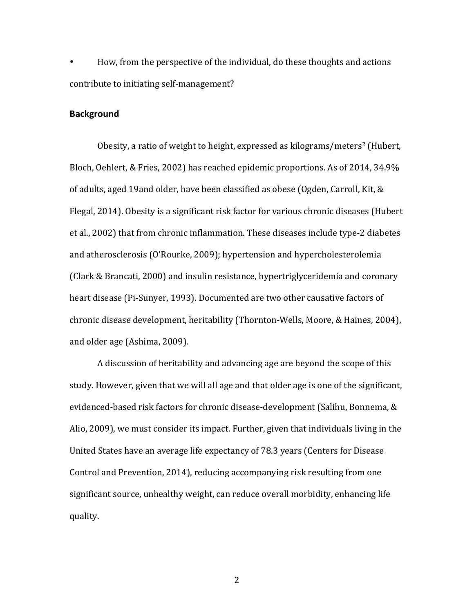How, from the perspective of the individual, do these thoughts and actions contribute to initiating self-management?

#### **Background**

Obesity, a ratio of weight to height, expressed as kilograms/meters<sup>2</sup> (Hubert, Bloch, Oehlert, & Fries, 2002) has reached epidemic proportions. As of 2014, 34.9% of adults, aged 19and older, have been classified as obese (Ogden, Carroll, Kit, & Flegal, 2014). Obesity is a significant risk factor for various chronic diseases (Hubert et al., 2002) that from chronic inflammation. These diseases include type-2 diabetes and atherosclerosis (O'Rourke, 2009); hypertension and hypercholesterolemia (Clark & Brancati, 2000) and insulin resistance, hypertriglyceridemia and coronary heart disease (Pi-Sunyer, 1993). Documented are two other causative factors of chronic disease development, heritability (Thornton-Wells, Moore, & Haines, 2004), and older age (Ashima, 2009).

A discussion of heritability and advancing age are beyond the scope of this study. However, given that we will all age and that older age is one of the significant, evidenced-based risk factors for chronic disease-development (Salihu, Bonnema, & Alio, 2009), we must consider its impact. Further, given that individuals living in the United States have an average life expectancy of 78.3 years (Centers for Disease Control and Prevention, 2014), reducing accompanying risk resulting from one significant source, unhealthy weight, can reduce overall morbidity, enhancing life quality.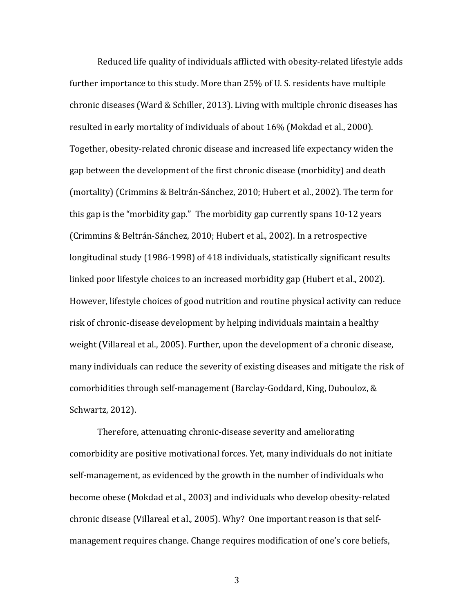Reduced life quality of individuals afflicted with obesity-related lifestyle adds further importance to this study. More than  $25\%$  of U.S. residents have multiple chronic diseases (Ward & Schiller, 2013). Living with multiple chronic diseases has resulted in early mortality of individuals of about  $16\%$  (Mokdad et al., 2000). Together, obesity-related chronic disease and increased life expectancy widen the gap between the development of the first chronic disease (morbidity) and death (mortality) (Crimmins & Beltrán-Sánchez, 2010; Hubert et al., 2002). The term for this gap is the "morbidity gap." The morbidity gap currently spans  $10-12$  years (Crimmins & Beltrán-Sánchez, 2010; Hubert et al., 2002). In a retrospective longitudinal study (1986-1998) of 418 individuals, statistically significant results linked poor lifestyle choices to an increased morbidity gap (Hubert et al., 2002). However, lifestyle choices of good nutrition and routine physical activity can reduce risk of chronic-disease development by helping individuals maintain a healthy weight (Villareal et al., 2005). Further, upon the development of a chronic disease, many individuals can reduce the severity of existing diseases and mitigate the risk of comorbidities through self-management (Barclay-Goddard, King, Dubouloz, & Schwartz, 2012).

Therefore, attenuating chronic-disease severity and ameliorating comorbidity are positive motivational forces. Yet, many individuals do not initiate self-management, as evidenced by the growth in the number of individuals who become obese (Mokdad et al., 2003) and individuals who develop obesity-related chronic disease (Villareal et al., 2005). Why? One important reason is that selfmanagement requires change. Change requires modification of one's core beliefs,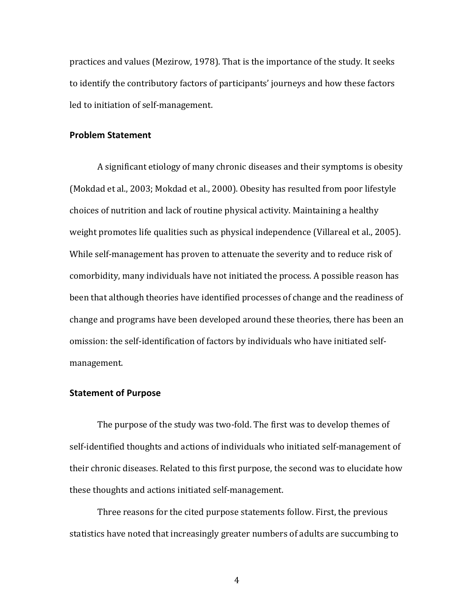practices and values (Mezirow, 1978). That is the importance of the study. It seeks to identify the contributory factors of participants' journeys and how these factors led to initiation of self-management.

### **Problem Statement**

A significant etiology of many chronic diseases and their symptoms is obesity (Mokdad et al., 2003; Mokdad et al., 2000). Obesity has resulted from poor lifestyle choices of nutrition and lack of routine physical activity. Maintaining a healthy weight promotes life qualities such as physical independence (Villareal et al., 2005). While self-management has proven to attenuate the severity and to reduce risk of comorbidity, many individuals have not initiated the process. A possible reason has been that although theories have identified processes of change and the readiness of change and programs have been developed around these theories, there has been an omission: the self-identification of factors by individuals who have initiated selfmanagement. 

## **Statement of Purpose**

The purpose of the study was two-fold. The first was to develop themes of self-identified thoughts and actions of individuals who initiated self-management of their chronic diseases. Related to this first purpose, the second was to elucidate how these thoughts and actions initiated self-management.

Three reasons for the cited purpose statements follow. First, the previous statistics have noted that increasingly greater numbers of adults are succumbing to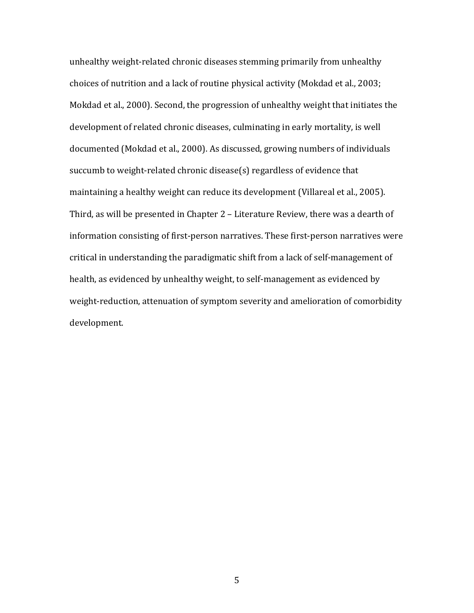unhealthy weight-related chronic diseases stemming primarily from unhealthy choices of nutrition and a lack of routine physical activity (Mokdad et al., 2003; Mokdad et al., 2000). Second, the progression of unhealthy weight that initiates the development of related chronic diseases, culminating in early mortality, is well documented (Mokdad et al., 2000). As discussed, growing numbers of individuals succumb to weight-related chronic disease(s) regardless of evidence that maintaining a healthy weight can reduce its development (Villareal et al., 2005). Third, as will be presented in Chapter  $2$  – Literature Review, there was a dearth of information consisting of first-person narratives. These first-person narratives were critical in understanding the paradigmatic shift from a lack of self-management of health, as evidenced by unhealthy weight, to self-management as evidenced by weight-reduction, attenuation of symptom severity and amelioration of comorbidity development.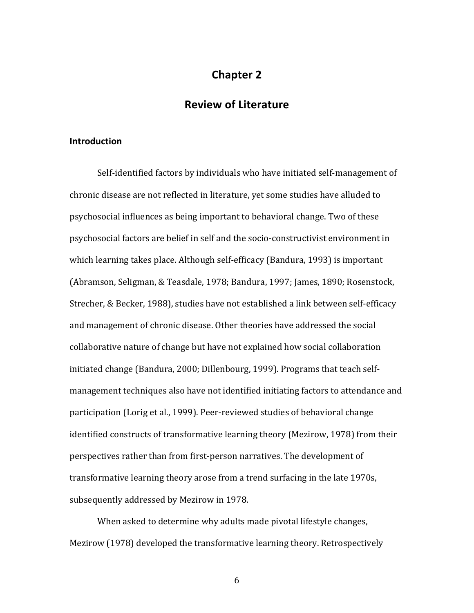## **Chapter 2**

## **Review of Literature**

### **Introduction**

Self-identified factors by individuals who have initiated self-management of chronic disease are not reflected in literature, yet some studies have alluded to psychosocial influences as being important to behavioral change. Two of these psychosocial factors are belief in self and the socio-constructivist environment in which learning takes place. Although self-efficacy (Bandura, 1993) is important (Abramson, Seligman, & Teasdale, 1978; Bandura, 1997; James, 1890; Rosenstock, Strecher, & Becker, 1988), studies have not established a link between self-efficacy and management of chronic disease. Other theories have addressed the social collaborative nature of change but have not explained how social collaboration initiated change (Bandura, 2000; Dillenbourg, 1999). Programs that teach selfmanagement techniques also have not identified initiating factors to attendance and participation (Lorig et al., 1999). Peer-reviewed studies of behavioral change identified constructs of transformative learning theory (Mezirow, 1978) from their perspectives rather than from first-person narratives. The development of transformative learning theory arose from a trend surfacing in the late 1970s, subsequently addressed by Mezirow in 1978.

When asked to determine why adults made pivotal lifestyle changes, Mezirow (1978) developed the transformative learning theory. Retrospectively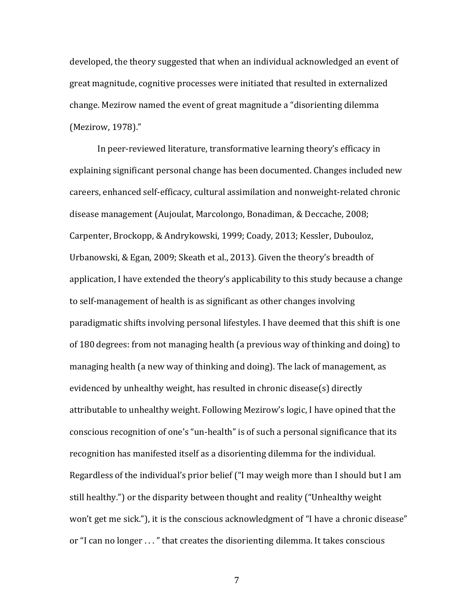developed, the theory suggested that when an individual acknowledged an event of great magnitude, cognitive processes were initiated that resulted in externalized change. Mezirow named the event of great magnitude a "disorienting dilemma (Mezirow, 1978)."

In peer-reviewed literature, transformative learning theory's efficacy in explaining significant personal change has been documented. Changes included new careers, enhanced self-efficacy, cultural assimilation and nonweight-related chronic disease management (Aujoulat, Marcolongo, Bonadiman, & Deccache, 2008; Carpenter, Brockopp, & Andrykowski, 1999; Coady, 2013; Kessler, Dubouloz, Urbanowski, & Egan, 2009; Skeath et al., 2013). Given the theory's breadth of application, I have extended the theory's applicability to this study because a change to self-management of health is as significant as other changes involving paradigmatic shifts involving personal lifestyles. I have deemed that this shift is one of 180 degrees: from not managing health (a previous way of thinking and doing) to managing health (a new way of thinking and doing). The lack of management, as evidenced by unhealthy weight, has resulted in chronic disease(s) directly attributable to unhealthy weight. Following Mezirow's logic, I have opined that the conscious recognition of one's "un-health" is of such a personal significance that its recognition has manifested itself as a disorienting dilemma for the individual. Regardless of the individual's prior belief ("I may weigh more than I should but I am still healthy.") or the disparity between thought and reality ("Unhealthy weight won't get me sick."), it is the conscious acknowledgment of "I have a chronic disease" or "I can no longer ..." that creates the disorienting dilemma. It takes conscious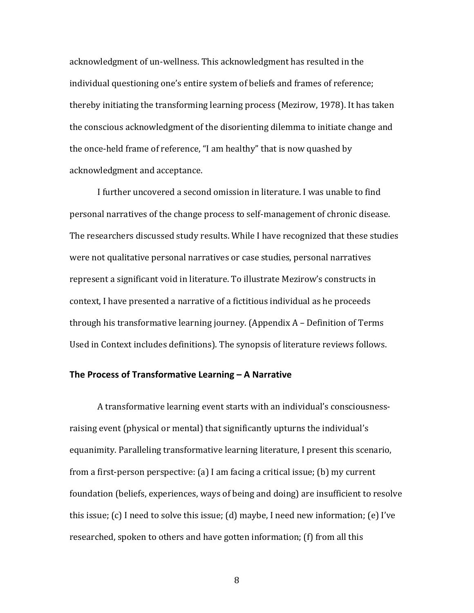acknowledgment of un-wellness. This acknowledgment has resulted in the individual questioning one's entire system of beliefs and frames of reference; thereby initiating the transforming learning process (Mezirow, 1978). It has taken the conscious acknowledgment of the disorienting dilemma to initiate change and the once-held frame of reference, "I am healthy" that is now quashed by acknowledgment and acceptance.

I further uncovered a second omission in literature. I was unable to find personal narratives of the change process to self-management of chronic disease. The researchers discussed study results. While I have recognized that these studies were not qualitative personal narratives or case studies, personal narratives represent a significant void in literature. To illustrate Mezirow's constructs in context, I have presented a narrative of a fictitious individual as he proceeds through his transformative learning journey. (Appendix  $A -$  Definition of Terms Used in Context includes definitions). The synopsis of literature reviews follows.

## **The Process of Transformative Learning – A Narrative**

A transformative learning event starts with an individual's consciousnessraising event (physical or mental) that significantly upturns the individual's equanimity. Paralleling transformative learning literature, I present this scenario, from a first-person perspective: (a) I am facing a critical issue; (b) my current foundation (beliefs, experiences, ways of being and doing) are insufficient to resolve this issue; (c) I need to solve this issue; (d) maybe, I need new information; (e) I've researched, spoken to others and have gotten information; (f) from all this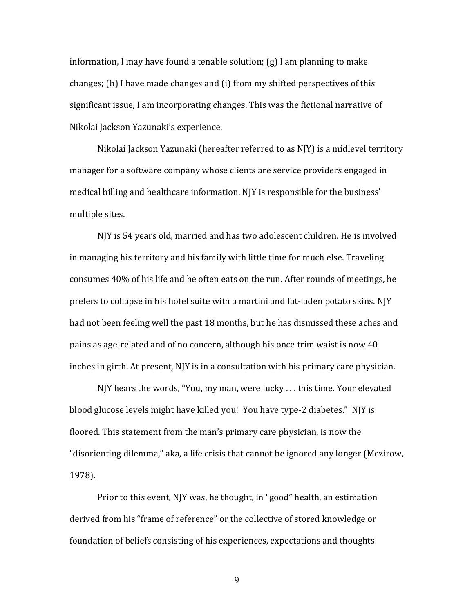information, I may have found a tenable solution;  $(g)$  I am planning to make changes; (h) I have made changes and (i) from my shifted perspectives of this significant issue, I am incorporating changes. This was the fictional narrative of Nikolai Jackson Yazunaki's experience.

Nikolai Jackson Yazunaki (hereafter referred to as NJY) is a midlevel territory manager for a software company whose clients are service providers engaged in medical billing and healthcare information. NIY is responsible for the business' multiple sites.

NJY is 54 years old, married and has two adolescent children. He is involved in managing his territory and his family with little time for much else. Traveling consumes 40% of his life and he often eats on the run. After rounds of meetings, he prefers to collapse in his hotel suite with a martini and fat-laden potato skins. NJY had not been feeling well the past 18 months, but he has dismissed these aches and pains as age-related and of no concern, although his once trim waist is now 40 inches in girth. At present, NJY is in a consultation with his primary care physician.

NJY hears the words, "You, my man, were lucky . . . this time. Your elevated blood glucose levels might have killed you! You have type-2 diabetes." NJY is floored. This statement from the man's primary care physician, is now the "disorienting dilemma," aka, a life crisis that cannot be ignored any longer (Mezirow, 1978). 

Prior to this event, NJY was, he thought, in "good" health, an estimation derived from his "frame of reference" or the collective of stored knowledge or foundation of beliefs consisting of his experiences, expectations and thoughts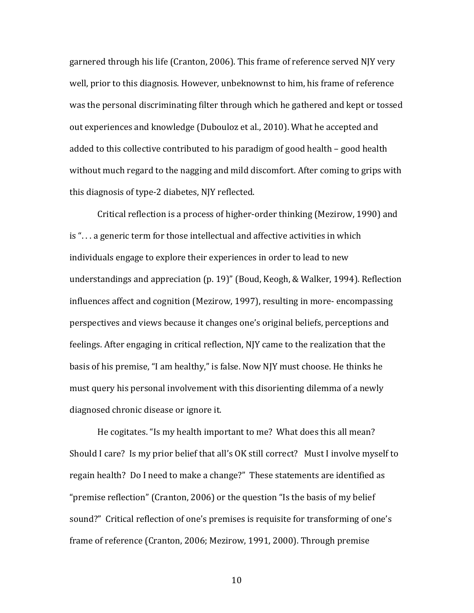garnered through his life (Cranton, 2006). This frame of reference served NJY very well, prior to this diagnosis. However, unbeknownst to him, his frame of reference was the personal discriminating filter through which he gathered and kept or tossed out experiences and knowledge (Dubouloz et al., 2010). What he accepted and added to this collective contributed to his paradigm of good health  $-$  good health without much regard to the nagging and mild discomfort. After coming to grips with this diagnosis of type-2 diabetes, NJY reflected.

Critical reflection is a process of higher-order thinking (Mezirow, 1990) and  $is$ "... a generic term for those intellectual and affective activities in which individuals engage to explore their experiences in order to lead to new understandings and appreciation (p. 19)" (Boud, Keogh, & Walker, 1994). Reflection influences affect and cognition (Mezirow, 1997), resulting in more- encompassing perspectives and views because it changes one's original beliefs, perceptions and feelings. After engaging in critical reflection, NJY came to the realization that the basis of his premise, "I am healthy," is false. Now NJY must choose. He thinks he must query his personal involvement with this disorienting dilemma of a newly diagnosed chronic disease or ignore it.

He cogitates. "Is my health important to me? What does this all mean? Should I care? Is my prior belief that all's OK still correct? Must I involve myself to regain health? Do I need to make a change?" These statements are identified as "premise reflection" (Cranton, 2006) or the question "Is the basis of my belief sound?" Critical reflection of one's premises is requisite for transforming of one's frame of reference (Cranton, 2006; Mezirow, 1991, 2000). Through premise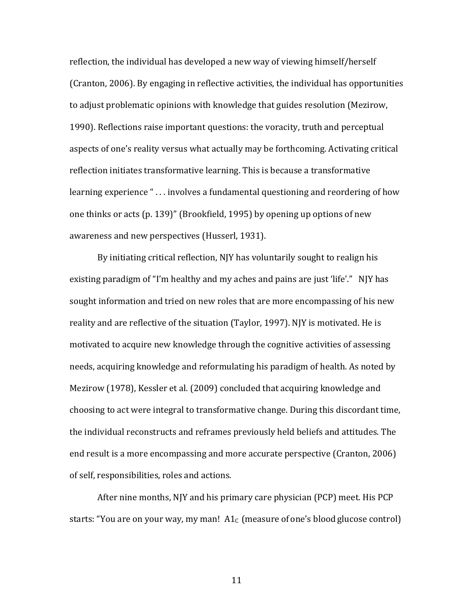reflection, the individual has developed a new way of viewing himself/herself (Cranton, 2006). By engaging in reflective activities, the individual has opportunities to adjust problematic opinions with knowledge that guides resolution (Mezirow, 1990). Reflections raise important questions: the voracity, truth and perceptual aspects of one's reality versus what actually may be forthcoming. Activating critical reflection initiates transformative learning. This is because a transformative learning experience " $\ldots$  involves a fundamental questioning and reordering of how one thinks or acts  $(p. 139)$ " (Brookfield, 1995) by opening up options of new awareness and new perspectives (Husserl, 1931).

By initiating critical reflection, NJY has voluntarily sought to realign his existing paradigm of "I'm healthy and my aches and pains are just 'life'."  $N$  NJY has sought information and tried on new roles that are more encompassing of his new reality and are reflective of the situation (Taylor, 1997). NJY is motivated. He is motivated to acquire new knowledge through the cognitive activities of assessing needs, acquiring knowledge and reformulating his paradigm of health. As noted by Mezirow (1978), Kessler et al. (2009) concluded that acquiring knowledge and choosing to act were integral to transformative change. During this discordant time, the individual reconstructs and reframes previously held beliefs and attitudes. The end result is a more encompassing and more accurate perspective (Cranton, 2006) of self, responsibilities, roles and actions.

After nine months, NJY and his primary care physician (PCP) meet. His PCP starts: "You are on your way, my man!  $A1<sub>C</sub>$  (measure of one's blood glucose control)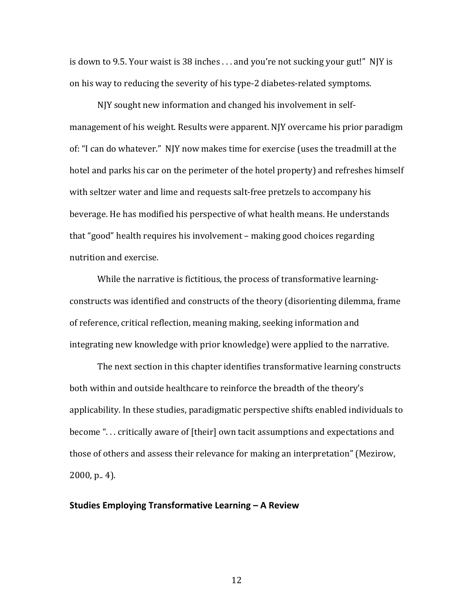is down to 9.5. Your waist is  $38$  inches ... and you're not sucking your gut!" NJY is on his way to reducing the severity of his type-2 diabetes-related symptoms.

NJY sought new information and changed his involvement in selfmanagement of his weight. Results were apparent. NJY overcame his prior paradigm of: "I can do whatever." NJY now makes time for exercise (uses the treadmill at the hotel and parks his car on the perimeter of the hotel property) and refreshes himself with seltzer water and lime and requests salt-free pretzels to accompany his beverage. He has modified his perspective of what health means. He understands that "good" health requires his involvement – making good choices regarding nutrition and exercise.

While the narrative is fictitious, the process of transformative learningconstructs was identified and constructs of the theory (disorienting dilemma, frame of reference, critical reflection, meaning making, seeking information and integrating new knowledge with prior knowledge) were applied to the narrative.

The next section in this chapter identifies transformative learning constructs both within and outside healthcare to reinforce the breadth of the theory's applicability. In these studies, paradigmatic perspective shifts enabled individuals to become "... critically aware of [their] own tacit assumptions and expectations and those of others and assess their relevance for making an interpretation" (Mezirow,  $2000$ , p., 4).

#### **Studies Employing Transformative Learning – A Review**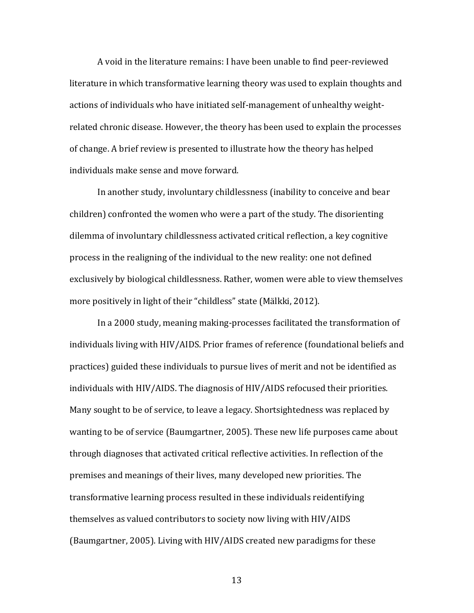A void in the literature remains: I have been unable to find peer-reviewed literature in which transformative learning theory was used to explain thoughts and actions of individuals who have initiated self-management of unhealthy weightrelated chronic disease. However, the theory has been used to explain the processes of change. A brief review is presented to illustrate how the theory has helped individuals make sense and move forward.

In another study, involuntary childlessness (inability to conceive and bear children) confronted the women who were a part of the study. The disorienting dilemma of involuntary childlessness activated critical reflection, a key cognitive process in the realigning of the individual to the new reality: one not defined exclusively by biological childlessness. Rather, women were able to view themselves more positively in light of their "childless" state (Mälkki, 2012).

In a 2000 study, meaning making-processes facilitated the transformation of individuals living with HIV/AIDS. Prior frames of reference (foundational beliefs and practices) guided these individuals to pursue lives of merit and not be identified as individuals with HIV/AIDS. The diagnosis of HIV/AIDS refocused their priorities. Many sought to be of service, to leave a legacy. Shortsightedness was replaced by wanting to be of service (Baumgartner, 2005). These new life purposes came about through diagnoses that activated critical reflective activities. In reflection of the premises and meanings of their lives, many developed new priorities. The transformative learning process resulted in these individuals reidentifying themselves as valued contributors to society now living with HIV/AIDS (Baumgartner, 2005). Living with HIV/AIDS created new paradigms for these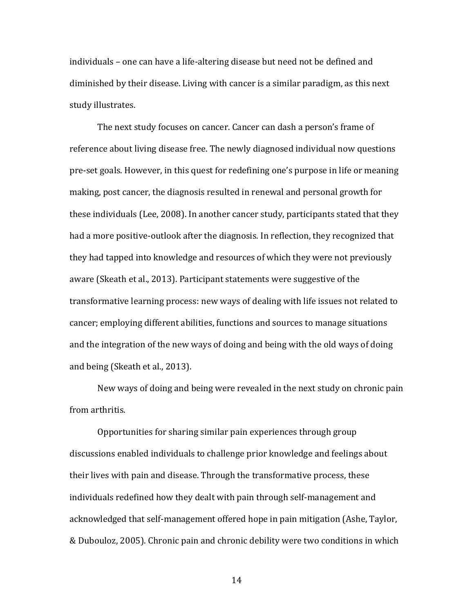individuals – one can have a life-altering disease but need not be defined and diminished by their disease. Living with cancer is a similar paradigm, as this next study illustrates.

The next study focuses on cancer. Cancer can dash a person's frame of reference about living disease free. The newly diagnosed individual now questions pre-set goals. However, in this quest for redefining one's purpose in life or meaning making, post cancer, the diagnosis resulted in renewal and personal growth for these individuals (Lee, 2008). In another cancer study, participants stated that they had a more positive-outlook after the diagnosis. In reflection, they recognized that they had tapped into knowledge and resources of which they were not previously aware (Skeath et al., 2013). Participant statements were suggestive of the transformative learning process: new ways of dealing with life issues not related to cancer; employing different abilities, functions and sources to manage situations and the integration of the new ways of doing and being with the old ways of doing and being (Skeath et al., 2013).

New ways of doing and being were revealed in the next study on chronic pain from arthritis.

Opportunities for sharing similar pain experiences through group discussions enabled individuals to challenge prior knowledge and feelings about their lives with pain and disease. Through the transformative process, these individuals redefined how they dealt with pain through self-management and acknowledged that self-management offered hope in pain mitigation (Ashe, Taylor, & Dubouloz, 2005). Chronic pain and chronic debility were two conditions in which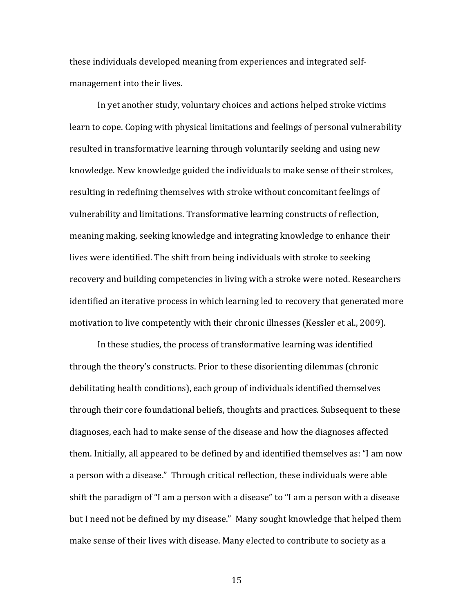these individuals developed meaning from experiences and integrated selfmanagement into their lives.

In yet another study, voluntary choices and actions helped stroke victims learn to cope. Coping with physical limitations and feelings of personal vulnerability resulted in transformative learning through voluntarily seeking and using new knowledge. New knowledge guided the individuals to make sense of their strokes, resulting in redefining themselves with stroke without concomitant feelings of vulnerability and limitations. Transformative learning constructs of reflection, meaning making, seeking knowledge and integrating knowledge to enhance their lives were identified. The shift from being individuals with stroke to seeking recovery and building competencies in living with a stroke were noted. Researchers identified an iterative process in which learning led to recovery that generated more motivation to live competently with their chronic illnesses (Kessler et al., 2009).

In these studies, the process of transformative learning was identified through the theory's constructs. Prior to these disorienting dilemmas (chronic debilitating health conditions), each group of individuals identified themselves through their core foundational beliefs, thoughts and practices. Subsequent to these diagnoses, each had to make sense of the disease and how the diagnoses affected them. Initially, all appeared to be defined by and identified themselves as: "I am now a person with a disease." Through critical reflection, these individuals were able shift the paradigm of "I am a person with a disease" to "I am a person with a disease but I need not be defined by my disease." Many sought knowledge that helped them make sense of their lives with disease. Many elected to contribute to society as a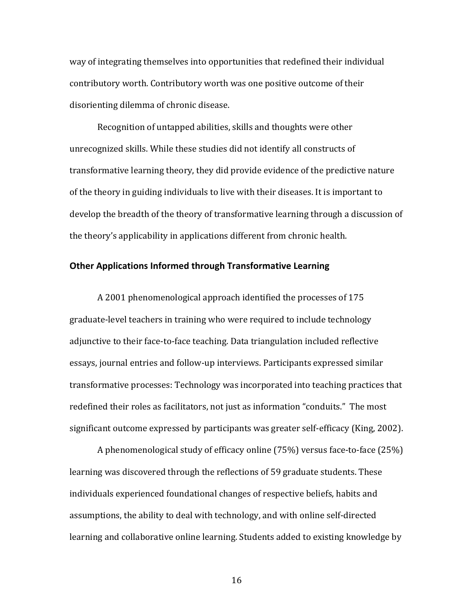way of integrating themselves into opportunities that redefined their individual contributory worth. Contributory worth was one positive outcome of their disorienting dilemma of chronic disease.

Recognition of untapped abilities, skills and thoughts were other unrecognized skills. While these studies did not identify all constructs of transformative learning theory, they did provide evidence of the predictive nature of the theory in guiding individuals to live with their diseases. It is important to develop the breadth of the theory of transformative learning through a discussion of the theory's applicability in applications different from chronic health.

## **Other Applications Informed through Transformative Learning**

A 2001 phenomenological approach identified the processes of 175 graduate-level teachers in training who were required to include technology adjunctive to their face-to-face teaching. Data triangulation included reflective essays, journal entries and follow-up interviews. Participants expressed similar transformative processes: Technology was incorporated into teaching practices that redefined their roles as facilitators, not just as information "conduits." The most significant outcome expressed by participants was greater self-efficacy (King, 2002).

A phenomenological study of efficacy online  $(75%)$  versus face-to-face  $(25%)$ learning was discovered through the reflections of 59 graduate students. These individuals experienced foundational changes of respective beliefs, habits and assumptions, the ability to deal with technology, and with online self-directed learning and collaborative online learning. Students added to existing knowledge by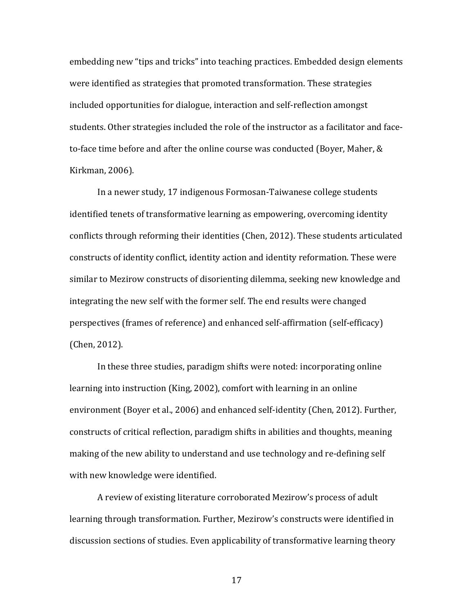embedding new "tips and tricks" into teaching practices. Embedded design elements were identified as strategies that promoted transformation. These strategies included opportunities for dialogue, interaction and self-reflection amongst students. Other strategies included the role of the instructor as a facilitator and faceto-face time before and after the online course was conducted (Boyer, Maher,  $&$ Kirkman, 2006).

In a newer study, 17 indigenous Formosan-Taiwanese college students identified tenets of transformative learning as empowering, overcoming identity conflicts through reforming their identities (Chen, 2012). These students articulated constructs of identity conflict, identity action and identity reformation. These were similar to Mezirow constructs of disorienting dilemma, seeking new knowledge and integrating the new self with the former self. The end results were changed perspectives (frames of reference) and enhanced self-affirmation (self-efficacy) (Chen, 2012).

In these three studies, paradigm shifts were noted: incorporating online learning into instruction (King, 2002), comfort with learning in an online environment (Boyer et al., 2006) and enhanced self-identity (Chen, 2012). Further, constructs of critical reflection, paradigm shifts in abilities and thoughts, meaning making of the new ability to understand and use technology and re-defining self with new knowledge were identified.

A review of existing literature corroborated Mezirow's process of adult learning through transformation. Further, Mezirow's constructs were identified in discussion sections of studies. Even applicability of transformative learning theory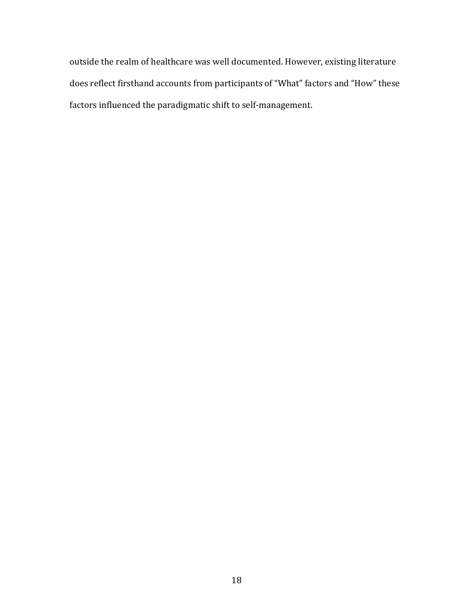outside the realm of healthcare was well documented. However, existing literature does reflect firsthand accounts from participants of "What" factors and "How" these factors influenced the paradigmatic shift to self-management.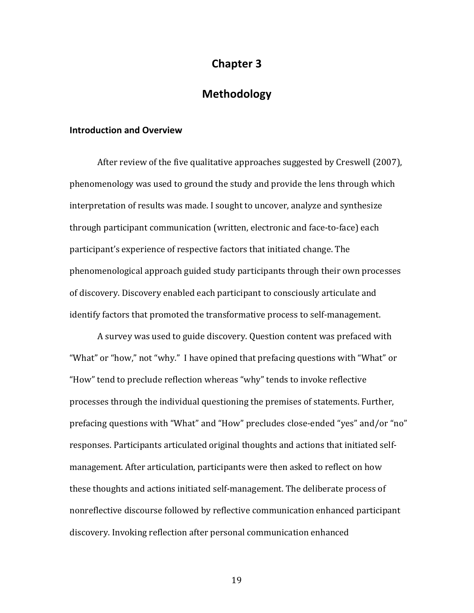## **Chapter 3**

## **Methodology**

### **Introduction and Overview**

After review of the five qualitative approaches suggested by Creswell (2007), phenomenology was used to ground the study and provide the lens through which interpretation of results was made. I sought to uncover, analyze and synthesize through participant communication (written, electronic and face-to-face) each participant's experience of respective factors that initiated change. The phenomenological approach guided study participants through their own processes of discovery. Discovery enabled each participant to consciously articulate and identify factors that promoted the transformative process to self-management.

A survey was used to guide discovery. Question content was prefaced with "What" or "how," not "why." I have opined that prefacing questions with "What" or "How" tend to preclude reflection whereas "why" tends to invoke reflective processes through the individual questioning the premises of statements. Further, prefacing questions with "What" and "How" precludes close-ended "yes" and/or "no" responses. Participants articulated original thoughts and actions that initiated selfmanagement. After articulation, participants were then asked to reflect on how these thoughts and actions initiated self-management. The deliberate process of nonreflective discourse followed by reflective communication enhanced participant discovery. Invoking reflection after personal communication enhanced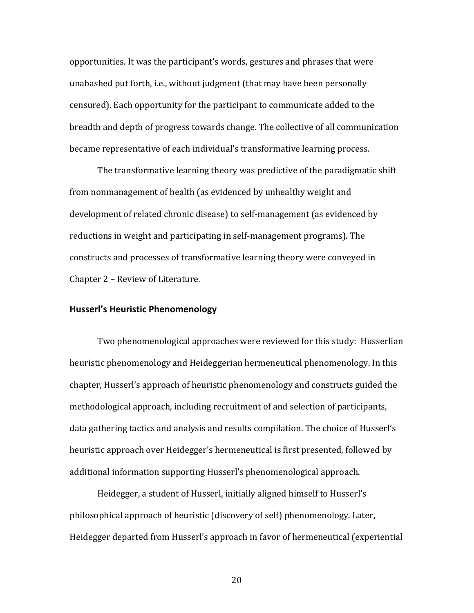opportunities. It was the participant's words, gestures and phrases that were unabashed put forth, i.e., without judgment (that may have been personally censured). Each opportunity for the participant to communicate added to the breadth and depth of progress towards change. The collective of all communication became representative of each individual's transformative learning process.

The transformative learning theory was predictive of the paradigmatic shift from nonmanagement of health (as evidenced by unhealthy weight and development of related chronic disease) to self-management (as evidenced by reductions in weight and participating in self-management programs). The constructs and processes of transformative learning theory were conveyed in Chapter 2 - Review of Literature.

#### **Husserl's Heuristic Phenomenology**

Two phenomenological approaches were reviewed for this study: Husserlian heuristic phenomenology and Heideggerian hermeneutical phenomenology. In this chapter, Husserl's approach of heuristic phenomenology and constructs guided the methodological approach, including recruitment of and selection of participants, data gathering tactics and analysis and results compilation. The choice of Husserl's heuristic approach over Heidegger's hermeneutical is first presented, followed by additional information supporting Husserl's phenomenological approach.

Heidegger, a student of Husserl, initially aligned himself to Husserl's philosophical approach of heuristic (discovery of self) phenomenology. Later, Heidegger departed from Husserl's approach in favor of hermeneutical (experiential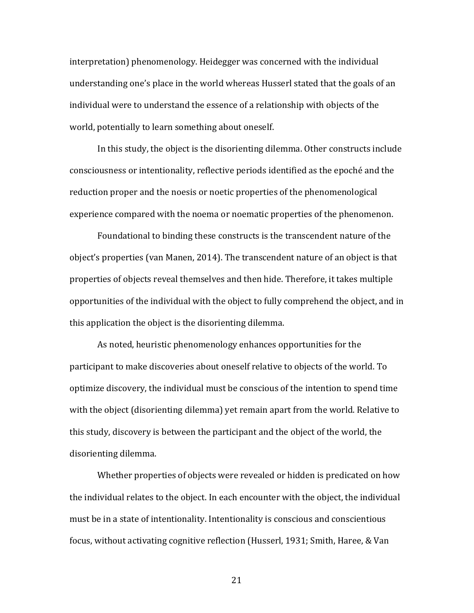interpretation) phenomenology. Heidegger was concerned with the individual understanding one's place in the world whereas Husserl stated that the goals of an individual were to understand the essence of a relationship with objects of the world, potentially to learn something about oneself.

In this study, the object is the disorienting dilemma. Other constructs include consciousness or intentionality, reflective periods identified as the epoché and the reduction proper and the noesis or noetic properties of the phenomenological experience compared with the noema or noematic properties of the phenomenon.

Foundational to binding these constructs is the transcendent nature of the object's properties (van Manen, 2014). The transcendent nature of an object is that properties of objects reveal themselves and then hide. Therefore, it takes multiple opportunities of the individual with the object to fully comprehend the object, and in this application the object is the disorienting dilemma.

As noted, heuristic phenomenology enhances opportunities for the participant to make discoveries about oneself relative to objects of the world. To optimize discovery, the individual must be conscious of the intention to spend time with the object (disorienting dilemma) yet remain apart from the world. Relative to this study, discovery is between the participant and the object of the world, the disorienting dilemma.

Whether properties of objects were revealed or hidden is predicated on how the individual relates to the object. In each encounter with the object, the individual must be in a state of intentionality. Intentionality is conscious and conscientious focus, without activating cognitive reflection (Husserl, 1931; Smith, Haree, & Van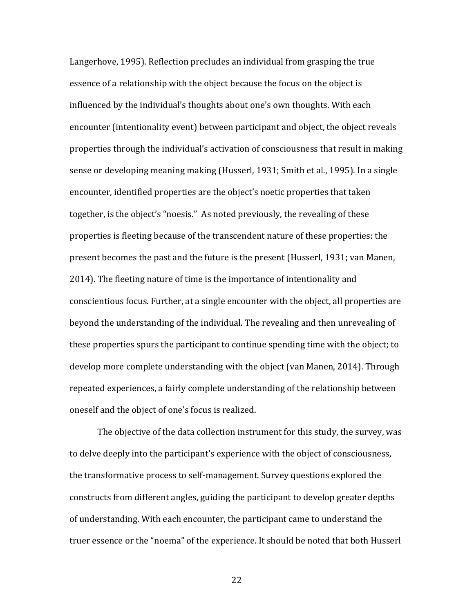Langerhove, 1995). Reflection precludes an individual from grasping the true essence of a relationship with the object because the focus on the object is influenced by the individual's thoughts about one's own thoughts. With each encounter (intentionality event) between participant and object, the object reveals properties through the individual's activation of consciousness that result in making sense or developing meaning making (Husserl, 1931; Smith et al., 1995). In a single encounter, identified properties are the object's noetic properties that taken together, is the object's "noesis." As noted previously, the revealing of these properties is fleeting because of the transcendent nature of these properties: the present becomes the past and the future is the present (Husserl, 1931; van Manen, 2014). The fleeting nature of time is the importance of intentionality and conscientious focus. Further, at a single encounter with the object, all properties are beyond the understanding of the individual. The revealing and then unrevealing of these properties spurs the participant to continue spending time with the object; to develop more complete understanding with the object (van Manen, 2014). Through repeated experiences, a fairly complete understanding of the relationship between oneself and the object of one's focus is realized.

The objective of the data collection instrument for this study, the survey, was to delve deeply into the participant's experience with the object of consciousness, the transformative process to self-management. Survey questions explored the constructs from different angles, guiding the participant to develop greater depths of understanding. With each encounter, the participant came to understand the truer essence or the "noema" of the experience. It should be noted that both Husserl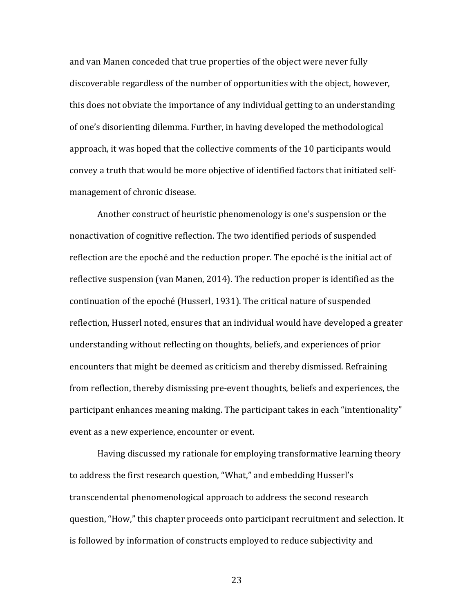and van Manen conceded that true properties of the object were never fully discoverable regardless of the number of opportunities with the object, however, this does not obviate the importance of any individual getting to an understanding of one's disorienting dilemma. Further, in having developed the methodological approach, it was hoped that the collective comments of the 10 participants would convey a truth that would be more objective of identified factors that initiated selfmanagement of chronic disease.

Another construct of heuristic phenomenology is one's suspension or the nonactivation of cognitive reflection. The two identified periods of suspended reflection are the epoché and the reduction proper. The epoché is the initial act of reflective suspension (van Manen, 2014). The reduction proper is identified as the continuation of the epoché (Husserl, 1931). The critical nature of suspended reflection, Husserl noted, ensures that an individual would have developed a greater understanding without reflecting on thoughts, beliefs, and experiences of prior encounters that might be deemed as criticism and thereby dismissed. Refraining from reflection, thereby dismissing pre-event thoughts, beliefs and experiences, the participant enhances meaning making. The participant takes in each "intentionality" event as a new experience, encounter or event.

Having discussed my rationale for employing transformative learning theory to address the first research question, "What," and embedding Husserl's transcendental phenomenological approach to address the second research question, "How," this chapter proceeds onto participant recruitment and selection. It is followed by information of constructs employed to reduce subjectivity and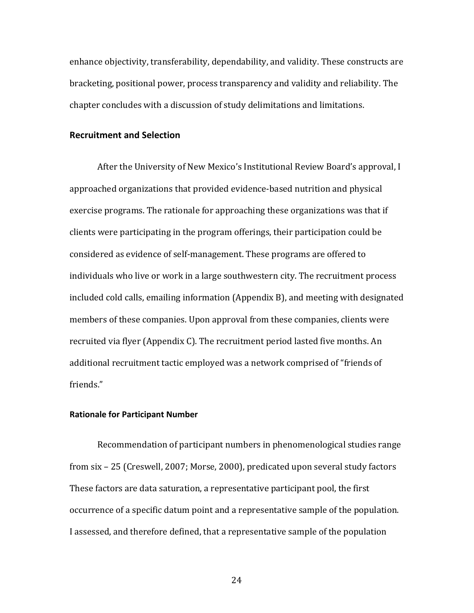enhance objectivity, transferability, dependability, and validity. These constructs are bracketing, positional power, process transparency and validity and reliability. The chapter concludes with a discussion of study delimitations and limitations.

### **Recruitment and Selection**

After the University of New Mexico's Institutional Review Board's approval, I approached organizations that provided evidence-based nutrition and physical exercise programs. The rationale for approaching these organizations was that if clients were participating in the program offerings, their participation could be considered as evidence of self-management. These programs are offered to individuals who live or work in a large southwestern city. The recruitment process included cold calls, emailing information (Appendix B), and meeting with designated members of these companies. Upon approval from these companies, clients were recruited via flyer (Appendix C). The recruitment period lasted five months. An additional recruitment tactic employed was a network comprised of "friends of friends." 

#### **Rationale for Participant Number**

Recommendation of participant numbers in phenomenological studies range from  $\text{six} - 25$  (Creswell, 2007; Morse, 2000), predicated upon several study factors These factors are data saturation, a representative participant pool, the first occurrence of a specific datum point and a representative sample of the population. I assessed, and therefore defined, that a representative sample of the population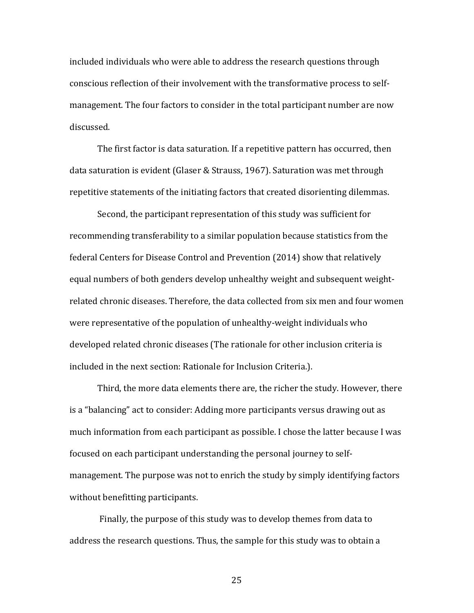included individuals who were able to address the research questions through conscious reflection of their involvement with the transformative process to selfmanagement. The four factors to consider in the total participant number are now discussed. 

The first factor is data saturation. If a repetitive pattern has occurred, then data saturation is evident (Glaser & Strauss, 1967). Saturation was met through repetitive statements of the initiating factors that created disorienting dilemmas.

Second, the participant representation of this study was sufficient for recommending transferability to a similar population because statistics from the federal Centers for Disease Control and Prevention (2014) show that relatively equal numbers of both genders develop unhealthy weight and subsequent weightrelated chronic diseases. Therefore, the data collected from six men and four women were representative of the population of unhealthy-weight individuals who developed related chronic diseases (The rationale for other inclusion criteria is included in the next section: Rationale for Inclusion Criteria.).

Third, the more data elements there are, the richer the study. However, there is a "balancing" act to consider: Adding more participants versus drawing out as much information from each participant as possible. I chose the latter because I was focused on each participant understanding the personal journey to selfmanagement. The purpose was not to enrich the study by simply identifying factors without benefitting participants.

Finally, the purpose of this study was to develop themes from data to address the research questions. Thus, the sample for this study was to obtain a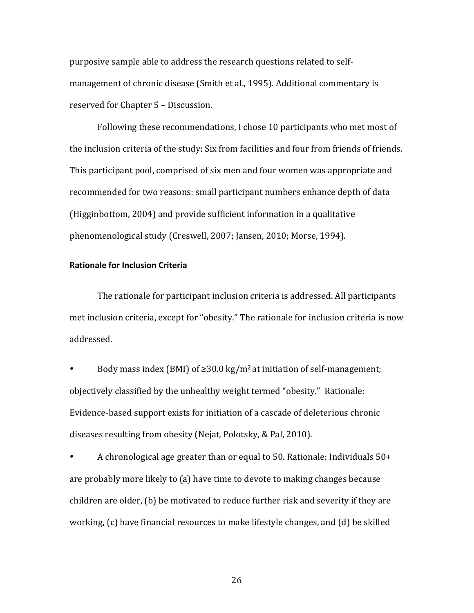purposive sample able to address the research questions related to selfmanagement of chronic disease (Smith et al., 1995). Additional commentary is reserved for Chapter 5 - Discussion.

Following these recommendations, I chose 10 participants who met most of the inclusion criteria of the study: Six from facilities and four from friends of friends. This participant pool, comprised of six men and four women was appropriate and recommended for two reasons: small participant numbers enhance depth of data (Higginbottom, 2004) and provide sufficient information in a qualitative phenomenological study (Creswell, 2007; Jansen, 2010; Morse, 1994).

### **Rationale for Inclusion Criteria**

The rationale for participant inclusion criteria is addressed. All participants met inclusion criteria, except for "obesity." The rationale for inclusion criteria is now addressed. 

Body mass index (BMI) of  $\geq$ 30.0 kg/m<sup>2</sup> at initiation of self-management; objectively classified by the unhealthy weight termed "obesity." Rationale: Evidence-based support exists for initiation of a cascade of deleterious chronic diseases resulting from obesity (Nejat, Polotsky, & Pal, 2010).

• A chronological age greater than or equal to 50. Rationale: Individuals  $50+$ are probably more likely to  $\alpha$  have time to devote to making changes because children are older,  $(b)$  be motivated to reduce further risk and severity if they are working,  $(c)$  have financial resources to make lifestyle changes, and  $(d)$  be skilled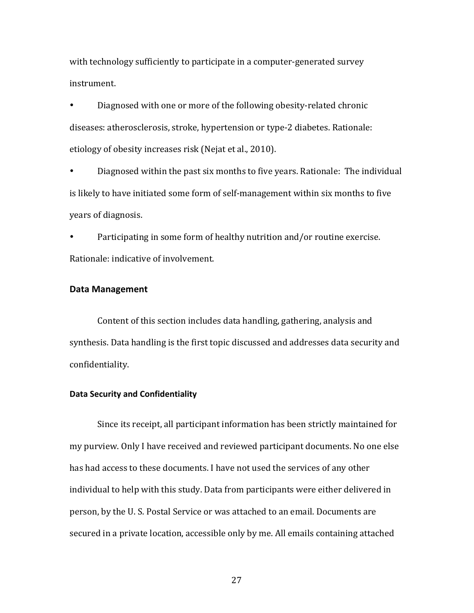with technology sufficiently to participate in a computer-generated survey instrument. 

Diagnosed with one or more of the following obesity-related chronic diseases: atherosclerosis, stroke, hypertension or type-2 diabetes. Rationale: etiology of obesity increases risk (Nejat et al., 2010).

Diagnosed within the past six months to five years. Rationale: The individual is likely to have initiated some form of self-management within six months to five years of diagnosis.

Participating in some form of healthy nutrition and/or routine exercise. Rationale: indicative of involvement.

### Data Management

Content of this section includes data handling, gathering, analysis and synthesis. Data handling is the first topic discussed and addresses data security and confidentiality. 

### **Data Security and Confidentiality**

Since its receipt, all participant information has been strictly maintained for my purview. Only I have received and reviewed participant documents. No one else has had access to these documents. I have not used the services of any other individual to help with this study. Data from participants were either delivered in person, by the U. S. Postal Service or was attached to an email. Documents are secured in a private location, accessible only by me. All emails containing attached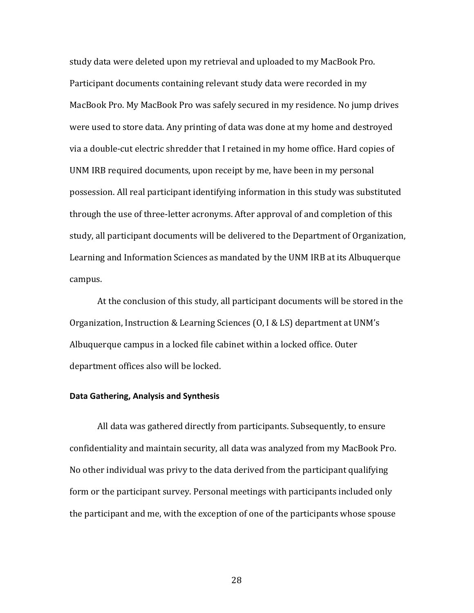study data were deleted upon my retrieval and uploaded to my MacBook Pro. Participant documents containing relevant study data were recorded in my MacBook Pro. My MacBook Pro was safely secured in my residence. No jump drives were used to store data. Any printing of data was done at my home and destroyed via a double-cut electric shredder that I retained in my home office. Hard copies of UNM IRB required documents, upon receipt by me, have been in my personal possession. All real participant identifying information in this study was substituted through the use of three-letter acronyms. After approval of and completion of this study, all participant documents will be delivered to the Department of Organization, Learning and Information Sciences as mandated by the UNM IRB at its Albuquerque campus. 

At the conclusion of this study, all participant documents will be stored in the Organization, Instruction & Learning Sciences  $(0, I & LS)$  department at UNM's Albuquerque campus in a locked file cabinet within a locked office. Outer department offices also will be locked.

# **Data Gathering, Analysis and Synthesis**

All data was gathered directly from participants. Subsequently, to ensure confidentiality and maintain security, all data was analyzed from my MacBook Pro. No other individual was privy to the data derived from the participant qualifying form or the participant survey. Personal meetings with participants included only the participant and me, with the exception of one of the participants whose spouse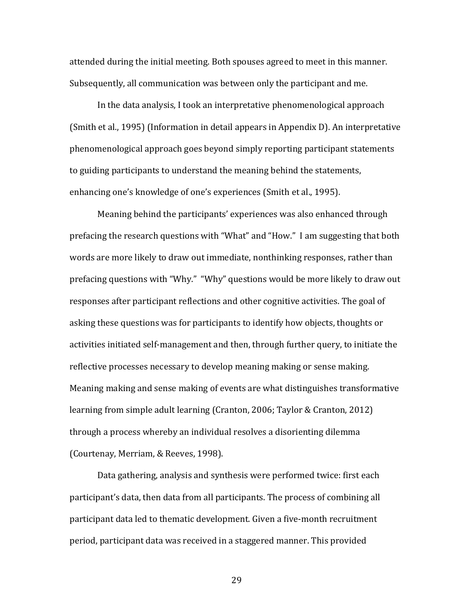attended during the initial meeting. Both spouses agreed to meet in this manner. Subsequently, all communication was between only the participant and me.

In the data analysis, I took an interpretative phenomenological approach (Smith et al., 1995) (Information in detail appears in Appendix D). An interpretative phenomenological approach goes beyond simply reporting participant statements to guiding participants to understand the meaning behind the statements, enhancing one's knowledge of one's experiences (Smith et al., 1995).

Meaning behind the participants' experiences was also enhanced through prefacing the research questions with "What" and "How." I am suggesting that both words are more likely to draw out immediate, nonthinking responses, rather than prefacing questions with "Why." "Why" questions would be more likely to draw out responses after participant reflections and other cognitive activities. The goal of asking these questions was for participants to identify how objects, thoughts or activities initiated self-management and then, through further query, to initiate the reflective processes necessary to develop meaning making or sense making. Meaning making and sense making of events are what distinguishes transformative learning from simple adult learning (Cranton, 2006; Taylor & Cranton, 2012) through a process whereby an individual resolves a disorienting dilemma (Courtenay, Merriam, & Reeves, 1998).

Data gathering, analysis and synthesis were performed twice: first each participant's data, then data from all participants. The process of combining all participant data led to thematic development. Given a five-month recruitment period, participant data was received in a staggered manner. This provided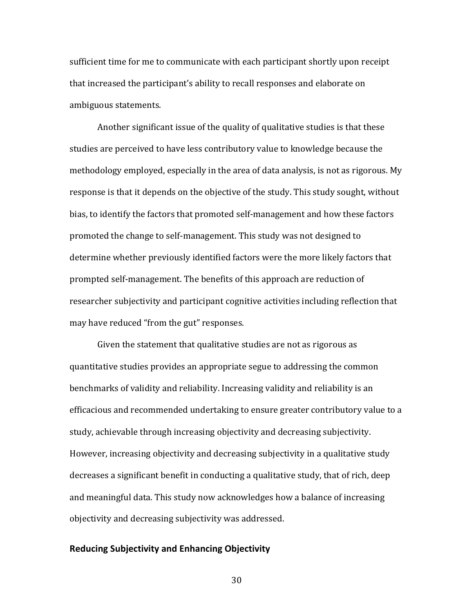sufficient time for me to communicate with each participant shortly upon receipt that increased the participant's ability to recall responses and elaborate on ambiguous statements.

Another significant issue of the quality of qualitative studies is that these studies are perceived to have less contributory value to knowledge because the methodology employed, especially in the area of data analysis, is not as rigorous. My response is that it depends on the objective of the study. This study sought, without bias, to identify the factors that promoted self-management and how these factors promoted the change to self-management. This study was not designed to determine whether previously identified factors were the more likely factors that prompted self-management. The benefits of this approach are reduction of researcher subjectivity and participant cognitive activities including reflection that may have reduced "from the gut" responses.

Given the statement that qualitative studies are not as rigorous as quantitative studies provides an appropriate segue to addressing the common benchmarks of validity and reliability. Increasing validity and reliability is an efficacious and recommended undertaking to ensure greater contributory value to a study, achievable through increasing objectivity and decreasing subjectivity. However, increasing objectivity and decreasing subjectivity in a qualitative study decreases a significant benefit in conducting a qualitative study, that of rich, deep and meaningful data. This study now acknowledges how a balance of increasing objectivity and decreasing subjectivity was addressed.

### **Reducing Subjectivity and Enhancing Objectivity**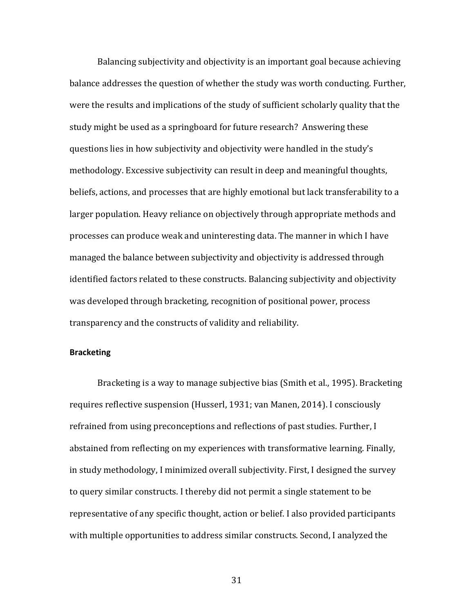Balancing subjectivity and objectivity is an important goal because achieving balance addresses the question of whether the study was worth conducting. Further, were the results and implications of the study of sufficient scholarly quality that the study might be used as a springboard for future research? Answering these questions lies in how subjectivity and objectivity were handled in the study's methodology. Excessive subjectivity can result in deep and meaningful thoughts, beliefs, actions, and processes that are highly emotional but lack transferability to a larger population. Heavy reliance on objectively through appropriate methods and processes can produce weak and uninteresting data. The manner in which I have managed the balance between subjectivity and objectivity is addressed through identified factors related to these constructs. Balancing subjectivity and objectivity was developed through bracketing, recognition of positional power, process transparency and the constructs of validity and reliability.

#### **Bracketing**

Bracketing is a way to manage subjective bias (Smith et al., 1995). Bracketing requires reflective suspension (Husserl, 1931; van Manen, 2014). I consciously refrained from using preconceptions and reflections of past studies. Further, I abstained from reflecting on my experiences with transformative learning. Finally, in study methodology, I minimized overall subjectivity. First, I designed the survey to query similar constructs. I thereby did not permit a single statement to be representative of any specific thought, action or belief. I also provided participants with multiple opportunities to address similar constructs. Second, I analyzed the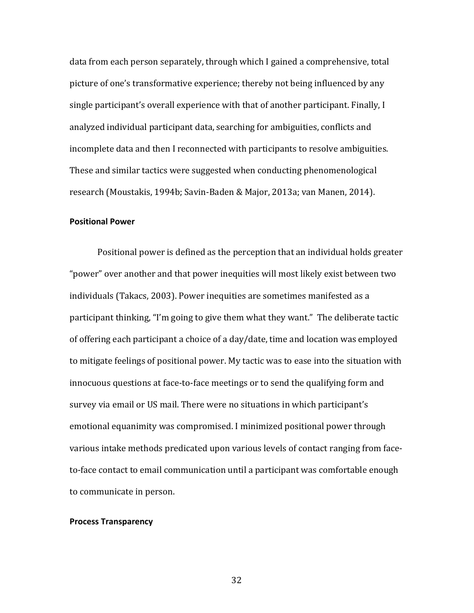data from each person separately, through which I gained a comprehensive, total picture of one's transformative experience; thereby not being influenced by any single participant's overall experience with that of another participant. Finally, I analyzed individual participant data, searching for ambiguities, conflicts and incomplete data and then I reconnected with participants to resolve ambiguities. These and similar tactics were suggested when conducting phenomenological research (Moustakis, 1994b; Savin-Baden & Major, 2013a; van Manen, 2014).

# **Positional Power**

Positional power is defined as the perception that an individual holds greater "power" over another and that power inequities will most likely exist between two individuals (Takacs, 2003). Power inequities are sometimes manifested as a participant thinking, "I'm going to give them what they want." The deliberate tactic of offering each participant a choice of a day/date, time and location was employed to mitigate feelings of positional power. My tactic was to ease into the situation with innocuous questions at face-to-face meetings or to send the qualifying form and survey via email or US mail. There were no situations in which participant's emotional equanimity was compromised. I minimized positional power through various intake methods predicated upon various levels of contact ranging from faceto-face contact to email communication until a participant was comfortable enough to communicate in person.

#### **Process Transparency**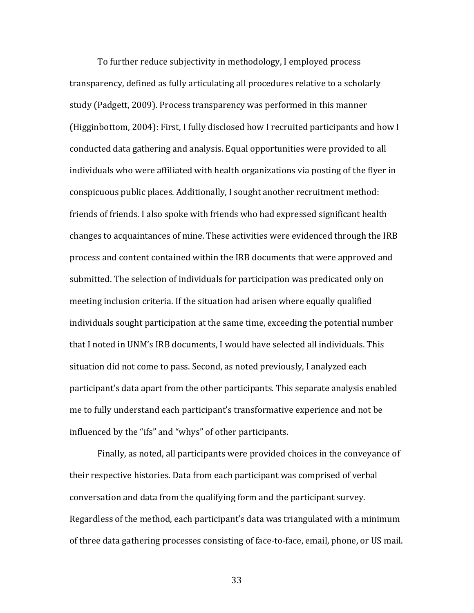To further reduce subjectivity in methodology, I employed process transparency, defined as fully articulating all procedures relative to a scholarly study (Padgett, 2009). Process transparency was performed in this manner (Higginbottom, 2004): First, I fully disclosed how I recruited participants and how I conducted data gathering and analysis. Equal opportunities were provided to all individuals who were affiliated with health organizations via posting of the flyer in conspicuous public places. Additionally, I sought another recruitment method: friends of friends. I also spoke with friends who had expressed significant health changes to acquaintances of mine. These activities were evidenced through the IRB process and content contained within the IRB documents that were approved and submitted. The selection of individuals for participation was predicated only on meeting inclusion criteria. If the situation had arisen where equally qualified individuals sought participation at the same time, exceeding the potential number that I noted in UNM's IRB documents, I would have selected all individuals. This situation did not come to pass. Second, as noted previously, I analyzed each participant's data apart from the other participants. This separate analysis enabled me to fully understand each participant's transformative experience and not be influenced by the "ifs" and "whys" of other participants.

Finally, as noted, all participants were provided choices in the conveyance of their respective histories. Data from each participant was comprised of verbal conversation and data from the qualifying form and the participant survey. Regardless of the method, each participant's data was triangulated with a minimum of three data gathering processes consisting of face-to-face, email, phone, or US mail.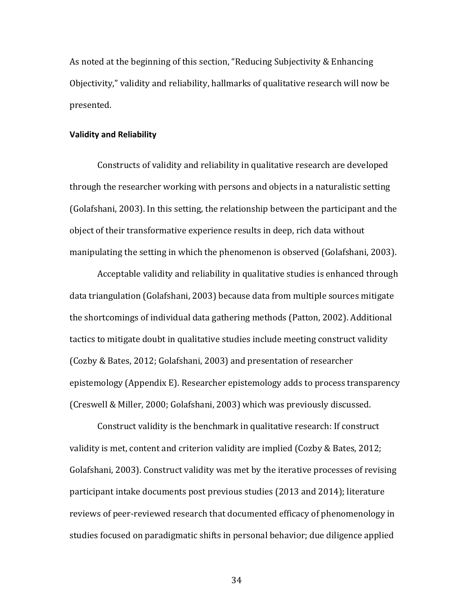As noted at the beginning of this section, "Reducing Subjectivity & Enhancing Objectivity," validity and reliability, hallmarks of qualitative research will now be presented. 

#### **Validity and Reliability**

Constructs of validity and reliability in qualitative research are developed through the researcher working with persons and objects in a naturalistic setting (Golafshani, 2003). In this setting, the relationship between the participant and the object of their transformative experience results in deep, rich data without manipulating the setting in which the phenomenon is observed (Golafshani, 2003).

Acceptable validity and reliability in qualitative studies is enhanced through data triangulation (Golafshani, 2003) because data from multiple sources mitigate the shortcomings of individual data gathering methods (Patton, 2002). Additional tactics to mitigate doubt in qualitative studies include meeting construct validity (Cozby & Bates, 2012; Golafshani, 2003) and presentation of researcher epistemology (Appendix E). Researcher epistemology adds to process transparency (Creswell & Miller, 2000; Golafshani, 2003) which was previously discussed.

Construct validity is the benchmark in qualitative research: If construct validity is met, content and criterion validity are implied  $(Cozby \&$  Bates, 2012; Golafshani, 2003). Construct validity was met by the iterative processes of revising participant intake documents post previous studies (2013 and 2014); literature reviews of peer-reviewed research that documented efficacy of phenomenology in studies focused on paradigmatic shifts in personal behavior; due diligence applied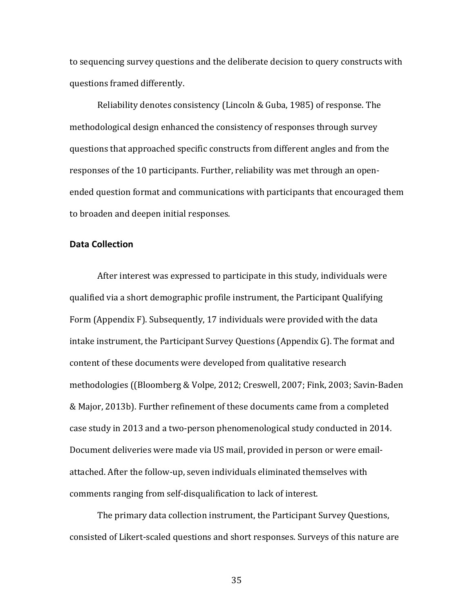to sequencing survey questions and the deliberate decision to query constructs with questions framed differently.

Reliability denotes consistency (Lincoln & Guba, 1985) of response. The methodological design enhanced the consistency of responses through survey questions that approached specific constructs from different angles and from the responses of the 10 participants. Further, reliability was met through an openended question format and communications with participants that encouraged them to broaden and deepen initial responses.

# **Data Collection**

After interest was expressed to participate in this study, individuals were qualified via a short demographic profile instrument, the Participant Qualifying Form (Appendix F). Subsequently, 17 individuals were provided with the data intake instrument, the Participant Survey Questions (Appendix G). The format and content of these documents were developed from qualitative research methodologies ((Bloomberg & Volpe, 2012; Creswell, 2007; Fink, 2003; Savin-Baden & Major, 2013b). Further refinement of these documents came from a completed case study in 2013 and a two-person phenomenological study conducted in 2014. Document deliveries were made via US mail, provided in person or were emailattached. After the follow-up, seven individuals eliminated themselves with comments ranging from self-disqualification to lack of interest.

The primary data collection instrument, the Participant Survey Questions, consisted of Likert-scaled questions and short responses. Surveys of this nature are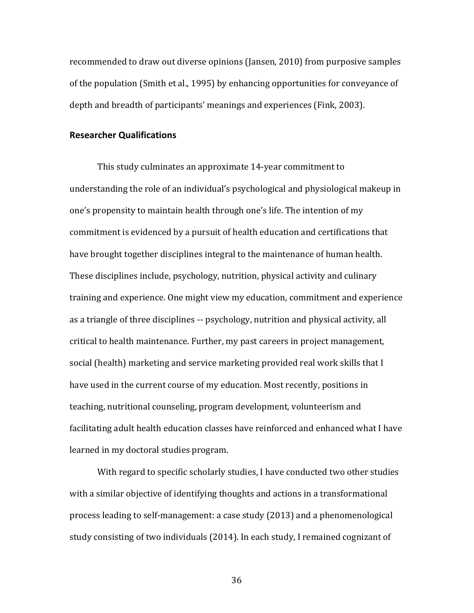recommended to draw out diverse opinions (Jansen, 2010) from purposive samples of the population (Smith et al., 1995) by enhancing opportunities for conveyance of depth and breadth of participants' meanings and experiences (Fink, 2003).

### **Researcher Qualifications**

This study culminates an approximate 14-year commitment to understanding the role of an individual's psychological and physiological makeup in one's propensity to maintain health through one's life. The intention of my commitment is evidenced by a pursuit of health education and certifications that have brought together disciplines integral to the maintenance of human health. These disciplines include, psychology, nutrition, physical activity and culinary training and experience. One might view my education, commitment and experience as a triangle of three disciplines -- psychology, nutrition and physical activity, all critical to health maintenance. Further, my past careers in project management, social (health) marketing and service marketing provided real work skills that I have used in the current course of my education. Most recently, positions in teaching, nutritional counseling, program development, volunteerism and facilitating adult health education classes have reinforced and enhanced what I have learned in my doctoral studies program.

With regard to specific scholarly studies, I have conducted two other studies with a similar objective of identifying thoughts and actions in a transformational process leading to self-management: a case study (2013) and a phenomenological study consisting of two individuals (2014). In each study, I remained cognizant of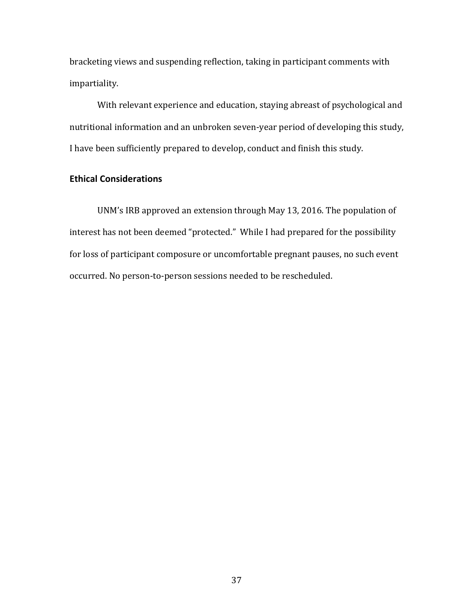bracketing views and suspending reflection, taking in participant comments with impartiality. 

With relevant experience and education, staying abreast of psychological and nutritional information and an unbroken seven-year period of developing this study, I have been sufficiently prepared to develop, conduct and finish this study.

# **Ethical Considerations**

UNM's IRB approved an extension through May 13, 2016. The population of interest has not been deemed "protected." While I had prepared for the possibility for loss of participant composure or uncomfortable pregnant pauses, no such event occurred. No person-to-person sessions needed to be rescheduled.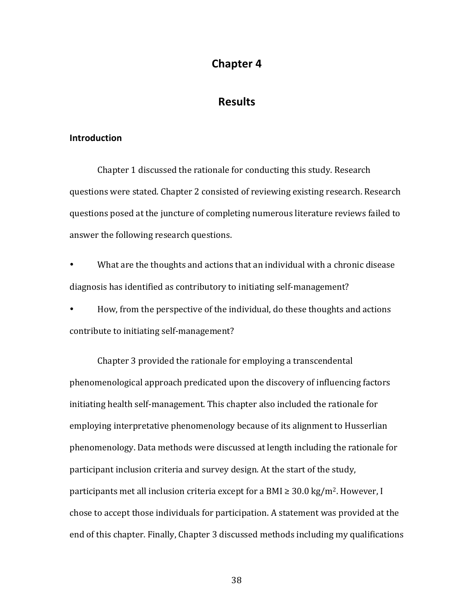# **Chapter 4**

# **Results**

### **Introduction**

Chapter 1 discussed the rationale for conducting this study. Research questions were stated. Chapter 2 consisted of reviewing existing research. Research questions posed at the juncture of completing numerous literature reviews failed to answer the following research questions.

What are the thoughts and actions that an individual with a chronic disease diagnosis has identified as contributory to initiating self-management?

How, from the perspective of the individual, do these thoughts and actions contribute to initiating self-management?

Chapter 3 provided the rationale for employing a transcendental phenomenological approach predicated upon the discovery of influencing factors initiating health self-management. This chapter also included the rationale for employing interpretative phenomenology because of its alignment to Husserlian phenomenology. Data methods were discussed at length including the rationale for participant inclusion criteria and survey design. At the start of the study, participants met all inclusion criteria except for a BMI  $\geq$  30.0 kg/m<sup>2</sup>. However, I chose to accept those individuals for participation. A statement was provided at the end of this chapter. Finally, Chapter 3 discussed methods including my qualifications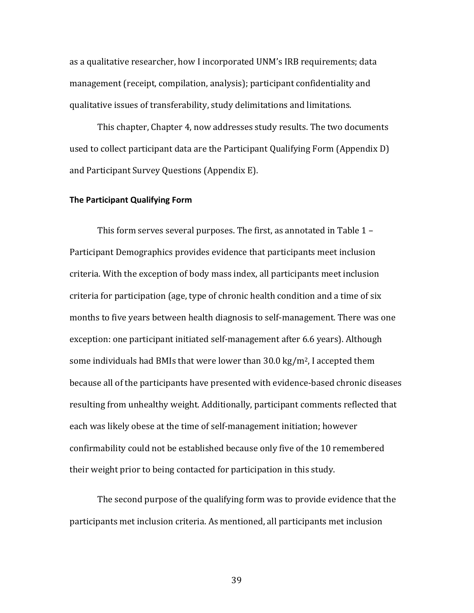as a qualitative researcher, how I incorporated UNM's IRB requirements; data management (receipt, compilation, analysis); participant confidentiality and qualitative issues of transferability, study delimitations and limitations.

This chapter, Chapter 4, now addresses study results. The two documents used to collect participant data are the Participant Qualifying Form (Appendix D) and Participant Survey Questions (Appendix E).

#### **The Participant Qualifying Form**

This form serves several purposes. The first, as annotated in Table  $1 -$ Participant Demographics provides evidence that participants meet inclusion criteria. With the exception of body mass index, all participants meet inclusion criteria for participation (age, type of chronic health condition and a time of six months to five years between health diagnosis to self-management. There was one exception: one participant initiated self-management after 6.6 years). Although some individuals had BMIs that were lower than  $30.0 \text{ kg/m}^2$ , I accepted them because all of the participants have presented with evidence-based chronic diseases resulting from unhealthy weight. Additionally, participant comments reflected that each was likely obese at the time of self-management initiation: however confirmability could not be established because only five of the 10 remembered their weight prior to being contacted for participation in this study.

The second purpose of the qualifying form was to provide evidence that the participants met inclusion criteria. As mentioned, all participants met inclusion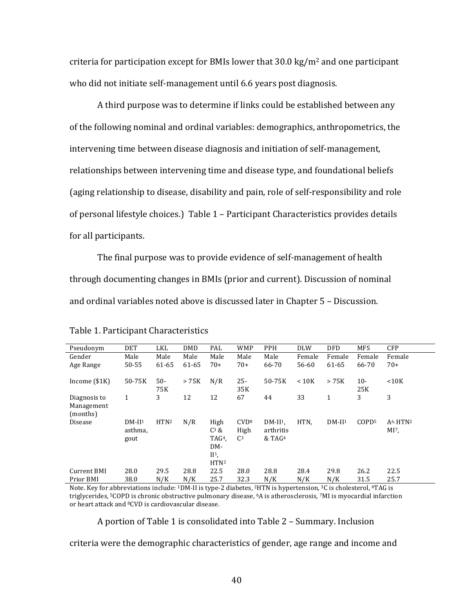criteria for participation except for BMIs lower that  $30.0 \text{ kg/m}^2$  and one participant who did not initiate self-management until 6.6 years post diagnosis.

A third purpose was to determine if links could be established between any of the following nominal and ordinal variables: demographics, anthropometrics, the intervening time between disease diagnosis and initiation of self-management, relationships between intervening time and disease type, and foundational beliefs (aging relationship to disease, disability and pain, role of self-responsibility and role of personal lifestyle choices.) Table 1 - Participant Characteristics provides details for all participants.

The final purpose was to provide evidence of self-management of health through documenting changes in BMIs (prior and current). Discussion of nominal and ordinal variables noted above is discussed later in Chapter 5 - Discussion.

| Pseudonym                              | <b>DET</b>                  | LKL              | <b>DMD</b> | PAL                                                                         | <b>WMP</b>                                 | <b>PPH</b>                                    | <b>DLW</b> | <b>DFD</b> | <b>MFS</b>        | <b>CFP</b>                         |
|----------------------------------------|-----------------------------|------------------|------------|-----------------------------------------------------------------------------|--------------------------------------------|-----------------------------------------------|------------|------------|-------------------|------------------------------------|
| Gender                                 | Male                        | Male             | Male       | Male                                                                        | Male                                       | Male                                          | Female     | Female     | Female            | Female                             |
| Age Range                              | 50-55                       | 61-65            | 61-65      | $70+$                                                                       | $70+$                                      | 66-70                                         | 56-60      | 61-65      | 66-70             | $70+$                              |
|                                        | 50-75K                      | $50 -$           | > 75K      | N/R                                                                         | $25 -$                                     | 50-75K                                        | < 10K      | > 75K      | $10 -$            | < 10K                              |
| Income $($1K)$                         |                             | 75K              |            |                                                                             | 35K                                        |                                               |            |            | 25K               |                                    |
| Diagnosis to<br>Management<br>(months) | $\mathbf{1}$                | 3                | 12         | 12                                                                          | 67                                         | 44                                            | 33         | 1          | 3                 | 3                                  |
| Disease                                | $DM-II1$<br>asthma,<br>gout | HTN <sup>2</sup> | N/R        | High<br>$C^3$ &<br>TAG <sup>4</sup> .<br>DM-<br>$II1$ ,<br>HTN <sup>2</sup> | CVD <sup>8</sup><br>High<br>C <sup>3</sup> | $DM-II1$<br>arthritis<br>$&$ TAG <sup>4</sup> | HTN.       | $DM-II1$   | COPD <sup>5</sup> | $A6$ , HTN <sup>2</sup><br>$MI7$ , |
| Current BMI                            | 28.0                        | 29.5             | 28.8       | 22.5                                                                        | 28.0                                       | 28.8                                          | 28.4       | 29.8       | 26.2              | 22.5                               |
| Prior BMI                              | 38.0                        | N/K              | N/K        | 25.7                                                                        | 32.3                                       | N/K                                           | N/K        | N/K        | 31.5              | 25.7                               |

|  |  | Table 1. Participant Characteristics |
|--|--|--------------------------------------|
|--|--|--------------------------------------|

Note. Key for abbreviations include: 1DM-II is type-2 diabetes, <sup>2</sup>HTN is hypertension, <sup>3</sup>C is cholesterol, <sup>4</sup>TAG is triglycerides, <sup>5</sup>COPD is chronic obstructive pulmonary disease, <sup>6</sup>A is atherosclerosis, 7MI is myocardial infarction or heart attack and <sup>8</sup>CVD is cardiovascular disease.

A portion of Table 1 is consolidated into Table 2 – Summary. Inclusion

criteria were the demographic characteristics of gender, age range and income and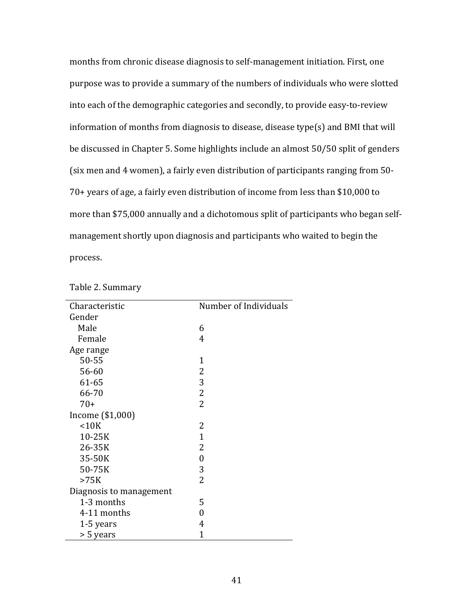months from chronic disease diagnosis to self-management initiation. First, one purpose was to provide a summary of the numbers of individuals who were slotted into each of the demographic categories and secondly, to provide easy-to-review information of months from diagnosis to disease, disease type(s) and BMI that will be discussed in Chapter 5. Some highlights include an almost 50/50 split of genders (six men and 4 women), a fairly even distribution of participants ranging from 50- $70+$  years of age, a fairly even distribution of income from less than \$10,000 to more than \$75,000 annually and a dichotomous split of participants who began selfmanagement shortly upon diagnosis and participants who waited to begin the process.

| Characteristic          | Number of Individuals |
|-------------------------|-----------------------|
| Gender                  |                       |
| Male                    | 6                     |
| Female                  | 4                     |
| Age range               |                       |
| 50-55                   | 1                     |
| 56-60                   | $\overline{2}$        |
| 61-65                   | 3                     |
| 66-70                   | $\overline{2}$        |
| $70+$                   | $\overline{2}$        |
| Income (\$1,000)        |                       |
| < 10K                   | 2                     |
| 10-25K                  | $\mathbf{1}$          |
| 26-35K                  | 2                     |
| 35-50K                  | $\boldsymbol{0}$      |
| 50-75K                  | 3                     |
| >75K                    | $\overline{2}$        |
| Diagnosis to management |                       |
| 1-3 months              | 5                     |
| 4-11 months             | 0                     |
| 1-5 years               | 4                     |
| > 5 years               | $\overline{1}$        |

|  |  | Table 2. Summary |
|--|--|------------------|
|--|--|------------------|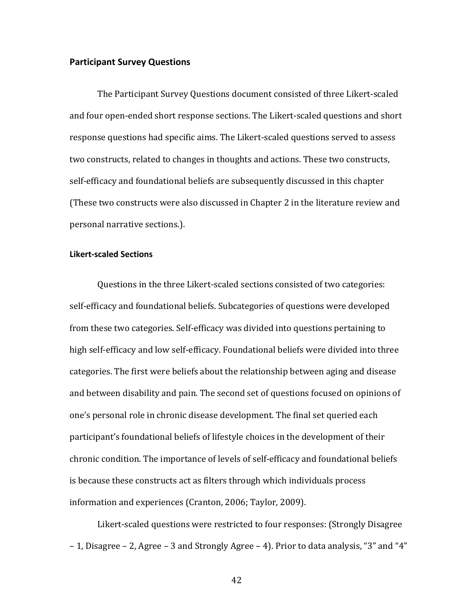#### **Participant Survey Questions**

The Participant Survey Questions document consisted of three Likert-scaled and four open-ended short response sections. The Likert-scaled questions and short response questions had specific aims. The Likert-scaled questions served to assess two constructs, related to changes in thoughts and actions. These two constructs, self-efficacy and foundational beliefs are subsequently discussed in this chapter (These two constructs were also discussed in Chapter 2 in the literature review and personal narrative sections.).

#### **Likert-scaled Sections**

Questions in the three Likert-scaled sections consisted of two categories: self-efficacy and foundational beliefs. Subcategories of questions were developed from these two categories. Self-efficacy was divided into questions pertaining to high self-efficacy and low self-efficacy. Foundational beliefs were divided into three categories. The first were beliefs about the relationship between aging and disease and between disability and pain. The second set of questions focused on opinions of one's personal role in chronic disease development. The final set queried each participant's foundational beliefs of lifestyle choices in the development of their chronic condition. The importance of levels of self-efficacy and foundational beliefs is because these constructs act as filters through which individuals process information and experiences (Cranton, 2006; Taylor, 2009).

Likert-scaled questions were restricted to four responses: (Strongly Disagree  $-1$ , Disagree  $-2$ , Agree  $-3$  and Strongly Agree  $-4$ ). Prior to data analysis, "3" and "4"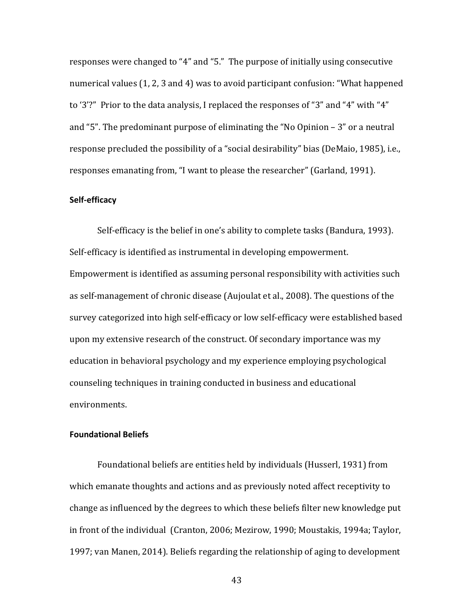responses were changed to "4" and "5." The purpose of initially using consecutive numerical values (1, 2, 3 and 4) was to avoid participant confusion: "What happened to '3'?" Prior to the data analysis, I replaced the responses of "3" and "4" with "4" and "5". The predominant purpose of eliminating the "No Opinion  $-3$ " or a neutral response precluded the possibility of a "social desirability" bias (DeMaio, 1985), i.e., responses emanating from, "I want to please the researcher" (Garland, 1991).

#### **Self-efficacy**

Self-efficacy is the belief in one's ability to complete tasks (Bandura, 1993). Self-efficacy is identified as instrumental in developing empowerment. Empowerment is identified as assuming personal responsibility with activities such as self-management of chronic disease (Aujoulat et al., 2008). The questions of the survey categorized into high self-efficacy or low self-efficacy were established based upon my extensive research of the construct. Of secondary importance was my education in behavioral psychology and my experience employing psychological counseling techniques in training conducted in business and educational environments.

### **Foundational Beliefs**

Foundational beliefs are entities held by individuals (Husserl, 1931) from which emanate thoughts and actions and as previously noted affect receptivity to change as influenced by the degrees to which these beliefs filter new knowledge put in front of the individual (Cranton, 2006; Mezirow, 1990; Moustakis, 1994a; Taylor, 1997; van Manen, 2014). Beliefs regarding the relationship of aging to development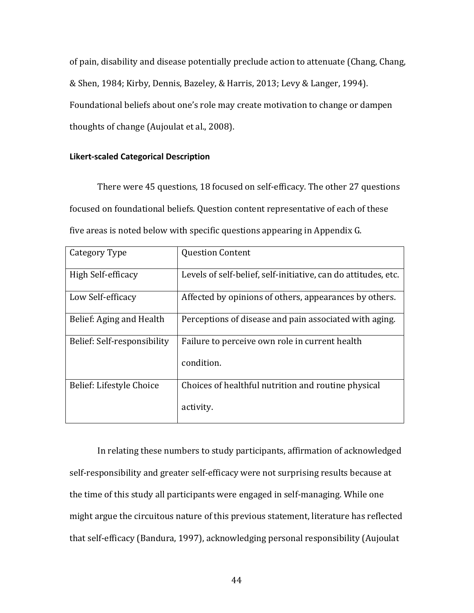of pain, disability and disease potentially preclude action to attenuate (Chang, Chang, & Shen, 1984; Kirby, Dennis, Bazeley, & Harris, 2013; Levy & Langer, 1994). Foundational beliefs about one's role may create motivation to change or dampen thoughts of change (Aujoulat et al., 2008).

### **Likert-scaled Categorical Description**

There were 45 questions, 18 focused on self-efficacy. The other 27 questions focused on foundational beliefs. Question content representative of each of these five areas is noted below with specific questions appearing in Appendix G.

| Category Type               | <b>Question Content</b>                                        |
|-----------------------------|----------------------------------------------------------------|
| High Self-efficacy          | Levels of self-belief, self-initiative, can do attitudes, etc. |
| Low Self-efficacy           | Affected by opinions of others, appearances by others.         |
| Belief: Aging and Health    | Perceptions of disease and pain associated with aging.         |
| Belief: Self-responsibility | Failure to perceive own role in current health                 |
|                             | condition.                                                     |
| Belief: Lifestyle Choice    | Choices of healthful nutrition and routine physical            |
|                             | activity.                                                      |

In relating these numbers to study participants, affirmation of acknowledged self-responsibility and greater self-efficacy were not surprising results because at the time of this study all participants were engaged in self-managing. While one might argue the circuitous nature of this previous statement, literature has reflected that self-efficacy (Bandura, 1997), acknowledging personal responsibility (Aujoulat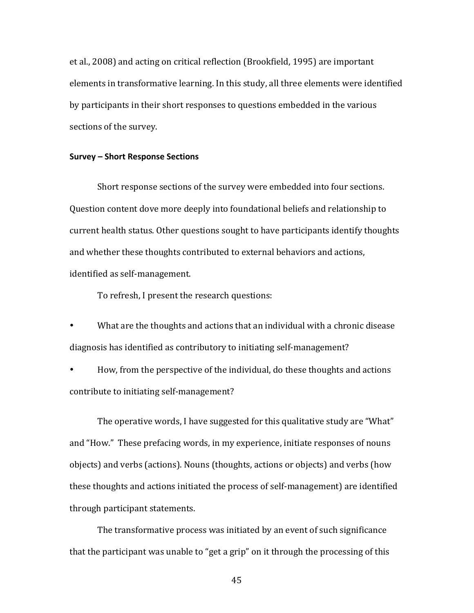et al., 2008) and acting on critical reflection (Brookfield, 1995) are important elements in transformative learning. In this study, all three elements were identified by participants in their short responses to questions embedded in the various sections of the survey.

#### **Survey – Short Response Sections**

Short response sections of the survey were embedded into four sections. Question content dove more deeply into foundational beliefs and relationship to current health status. Other questions sought to have participants identify thoughts and whether these thoughts contributed to external behaviors and actions, identified as self-management.

To refresh, I present the research questions:

What are the thoughts and actions that an individual with a chronic disease diagnosis has identified as contributory to initiating self-management?

How, from the perspective of the individual, do these thoughts and actions contribute to initiating self-management?

The operative words, I have suggested for this qualitative study are "What" and "How." These prefacing words, in my experience, initiate responses of nouns objects) and verbs (actions). Nouns (thoughts, actions or objects) and verbs (how these thoughts and actions initiated the process of self-management) are identified through participant statements.

The transformative process was initiated by an event of such significance that the participant was unable to "get a grip" on it through the processing of this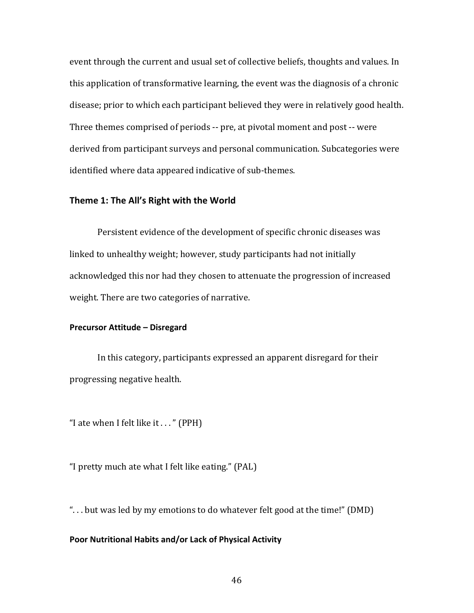event through the current and usual set of collective beliefs, thoughts and values. In this application of transformative learning, the event was the diagnosis of a chronic disease; prior to which each participant believed they were in relatively good health. Three themes comprised of periods -- pre, at pivotal moment and post -- were derived from participant surveys and personal communication. Subcategories were identified where data appeared indicative of sub-themes.

#### Theme 1: The All's Right with the World

Persistent evidence of the development of specific chronic diseases was linked to unhealthy weight; however, study participants had not initially acknowledged this nor had they chosen to attenuate the progression of increased weight. There are two categories of narrative.

#### **Precursor Attitude – Disregard**

In this category, participants expressed an apparent disregard for their progressing negative health.

"I ate when I felt like it  $\dots$ " (PPH)

"I pretty much ate what I felt like eating." (PAL)

"... but was led by my emotions to do whatever felt good at the time!" (DMD)

### Poor Nutritional Habits and/or Lack of Physical Activity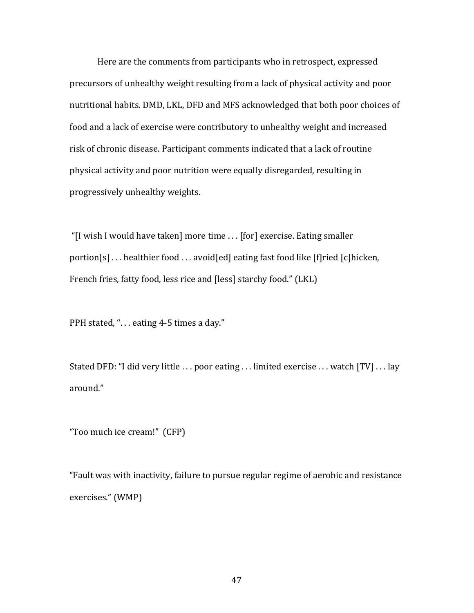Here are the comments from participants who in retrospect, expressed precursors of unhealthy weight resulting from a lack of physical activity and poor nutritional habits. DMD, LKL, DFD and MFS acknowledged that both poor choices of food and a lack of exercise were contributory to unhealthy weight and increased risk of chronic disease. Participant comments indicated that a lack of routine physical activity and poor nutrition were equally disregarded, resulting in progressively unhealthy weights.

"[I wish I would have taken] more time . . . [for] exercise. Eating smaller portion[s]  $\ldots$  healthier food  $\ldots$  avoid[ed] eating fast food like [f]ried [c]hicken, French fries, fatty food, less rice and [less] starchy food." (LKL)

PPH stated, "... eating 4-5 times a day."

Stated DFD: "I did very little  $\dots$  poor eating  $\dots$  limited exercise  $\dots$  watch [TV]  $\dots$  lay around."

"Too much ice cream!" (CFP)

"Fault was with inactivity, failure to pursue regular regime of aerobic and resistance exercises." (WMP)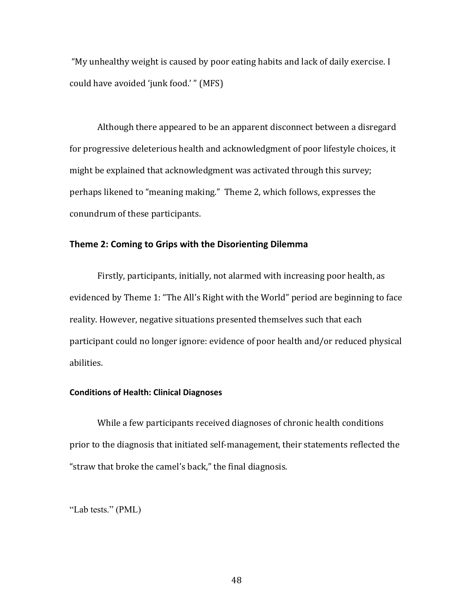"My unhealthy weight is caused by poor eating habits and lack of daily exercise. I could have avoided 'junk food.' " (MFS)

Although there appeared to be an apparent disconnect between a disregard for progressive deleterious health and acknowledgment of poor lifestyle choices, it might be explained that acknowledgment was activated through this survey; perhaps likened to "meaning making." Theme 2, which follows, expresses the conundrum of these participants.

# Theme 2: Coming to Grips with the Disorienting Dilemma

Firstly, participants, initially, not alarmed with increasing poor health, as evidenced by Theme 1: "The All's Right with the World" period are beginning to face reality. However, negative situations presented themselves such that each participant could no longer ignore: evidence of poor health and/or reduced physical abilities. 

#### **Conditions of Health: Clinical Diagnoses**

While a few participants received diagnoses of chronic health conditions prior to the diagnosis that initiated self-management, their statements reflected the "straw that broke the camel's back," the final diagnosis.

"Lab tests." (PML)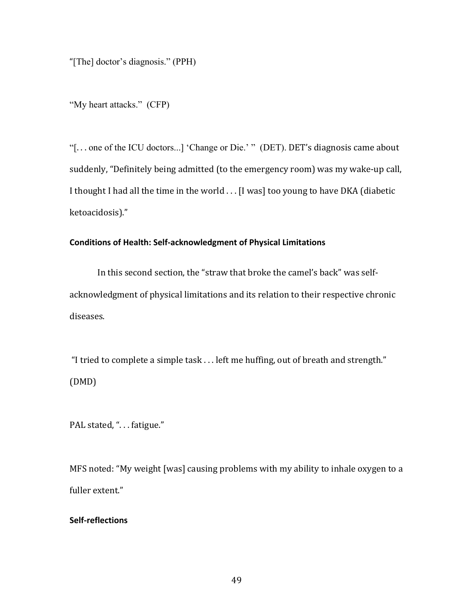"[The] doctor's diagnosis." (PPH)

"My heart attacks." (CFP)

"[... one of the ICU doctors...] 'Change or Die.' " (DET). DET's diagnosis came about suddenly, "Definitely being admitted (to the emergency room) was my wake-up call, I thought I had all the time in the world . . . [I was] too young to have DKA (diabetic ketoacidosis)." 

# **Conditions of Health: Self-acknowledgment of Physical Limitations**

In this second section, the "straw that broke the camel's back" was selfacknowledgment of physical limitations and its relation to their respective chronic diseases.

"I tried to complete a simple task  $\dots$  left me huffing, out of breath and strength." (DMD) 

PAL stated, "... fatigue."

MFS noted: "My weight [was] causing problems with my ability to inhale oxygen to a fuller extent."

# **Self-reflections**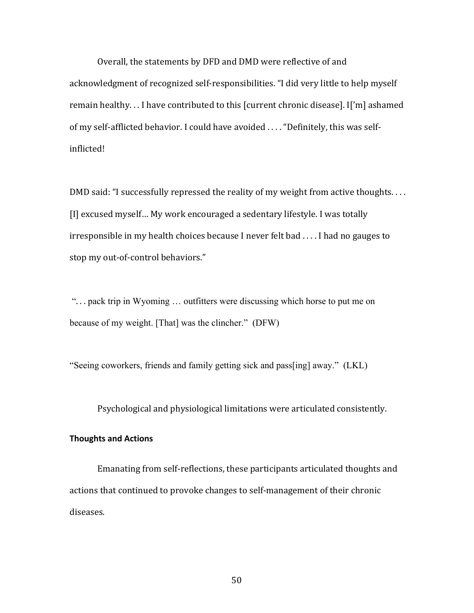Overall, the statements by DFD and DMD were reflective of and acknowledgment of recognized self-responsibilities. "I did very little to help myself remain healthy... I have contributed to this [current chronic disease]. I['m] ashamed of my self-afflicted behavior. I could have avoided .... "Definitely, this was selfinflicted! 

DMD said: "I successfully repressed the reality of my weight from active thoughts.... [I] excused myself... My work encouraged a sedentary lifestyle. I was totally irresponsible in my health choices because I never felt bad  $\dots$  I had no gauges to stop my out-of-control behaviors."

"... pack trip in Wyoming ... outfitters were discussing which horse to put me on because of my weight. [That] was the clincher." (DFW)

"Seeing coworkers, friends and family getting sick and pass[ing] away." (LKL)

Psychological and physiological limitations were articulated consistently.

#### **Thoughts and Actions**

Emanating from self-reflections, these participants articulated thoughts and actions that continued to provoke changes to self-management of their chronic diseases.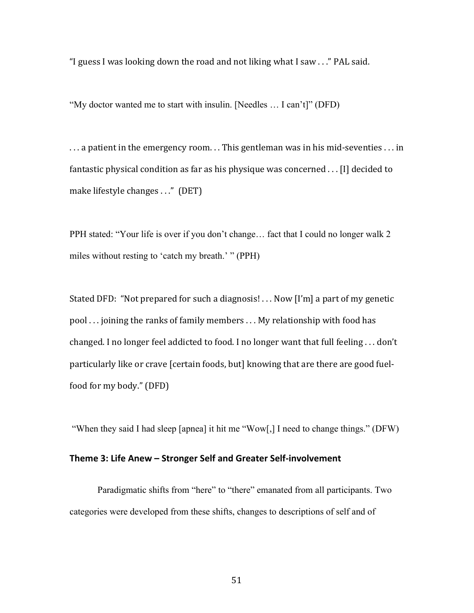"I guess I was looking down the road and not liking what I saw  $\ldots$ " PAL said.

"My doctor wanted me to start with insulin. [Needles … I can't]" (DFD)

... a patient in the emergency room... This gentleman was in his mid-seventies ... in fantastic physical condition as far as his physique was concerned  $\ldots$  [I] decided to make lifestyle changes . . ." (DET)

PPH stated: "Your life is over if you don't change… fact that I could no longer walk 2 miles without resting to 'catch my breath.' " (PPH)

Stated DFD: "Not prepared for such a diagnosis!  $\ldots$  Now [I'm] a part of my genetic pool ... joining the ranks of family members ... My relationship with food has changed. I no longer feel addicted to food. I no longer want that full feeling  $\dots$  don't particularly like or crave [certain foods, but] knowing that are there are good fuelfood for my body." (DFD)

"When they said I had sleep [apnea] it hit me "Wow[,] I need to change things." (DFW)

# Theme 3: Life Anew - Stronger Self and Greater Self-involvement

Paradigmatic shifts from "here" to "there" emanated from all participants. Two categories were developed from these shifts, changes to descriptions of self and of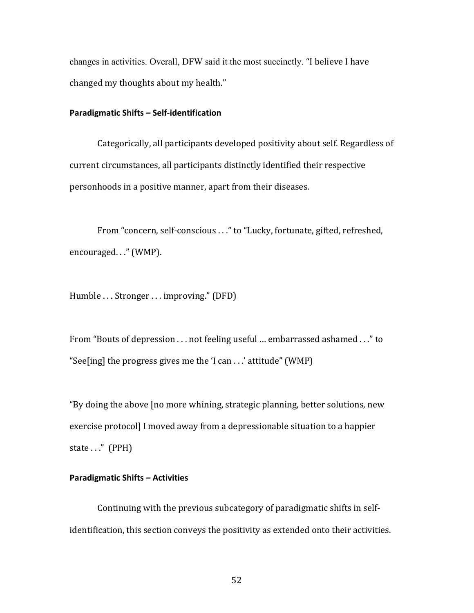changes in activities. Overall, DFW said it the most succinctly. "I believe I have changed my thoughts about my health."

#### **Paradigmatic Shifts - Self-identification**

Categorically, all participants developed positivity about self. Regardless of current circumstances, all participants distinctly identified their respective personhoods in a positive manner, apart from their diseases.

From "concern, self-conscious . . ." to "Lucky, fortunate, gifted, refreshed, encouraged. . ." (WMP).

Humble ... Stronger ... improving." (DFD)

From "Bouts of depression . . . not feeling useful ... embarrassed ashamed . . ." to "See[ing] the progress gives me the 'I can . . .' attitude" (WMP)

"By doing the above [no more whining, strategic planning, better solutions, new exercise protocol] I moved away from a depressionable situation to a happier state  $\ldots$ " (PPH)

# **Paradigmatic Shifts - Activities**

Continuing with the previous subcategory of paradigmatic shifts in selfidentification, this section conveys the positivity as extended onto their activities.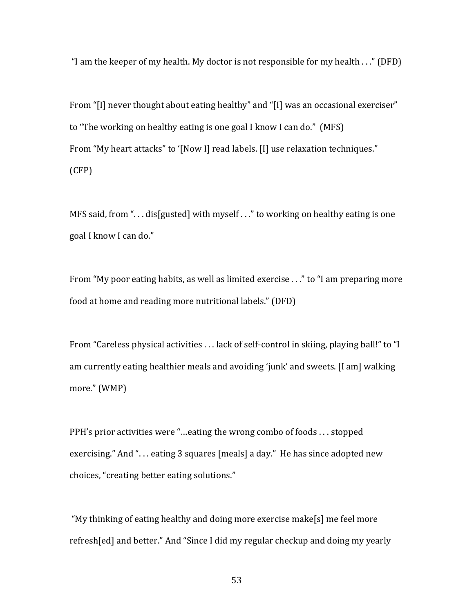"I am the keeper of my health. My doctor is not responsible for my health  $\ldots$ " (DFD)

From "[I] never thought about eating healthy" and "[I] was an occasional exerciser" to "The working on healthy eating is one goal I know I can do." (MFS) From "My heart attacks" to '[Now I] read labels. [I] use relaxation techniques." (CFP)

MFS said, from " $\ldots$  dis[gusted] with myself  $\ldots$ " to working on healthy eating is one goal I know I can do."

From "My poor eating habits, as well as limited exercise  $\ldots$ " to "I am preparing more food at home and reading more nutritional labels." (DFD)

From "Careless physical activities ... lack of self-control in skiing, playing ball!" to "I am currently eating healthier meals and avoiding 'junk' and sweets. [I am] walking more." (WMP)

PPH's prior activities were "...eating the wrong combo of foods  $\dots$  stopped exercising." And "... eating 3 squares [meals] a day." He has since adopted new choices, "creating better eating solutions."

"My thinking of eating healthy and doing more exercise make[s] me feel more refresh[ed] and better." And "Since I did my regular checkup and doing my yearly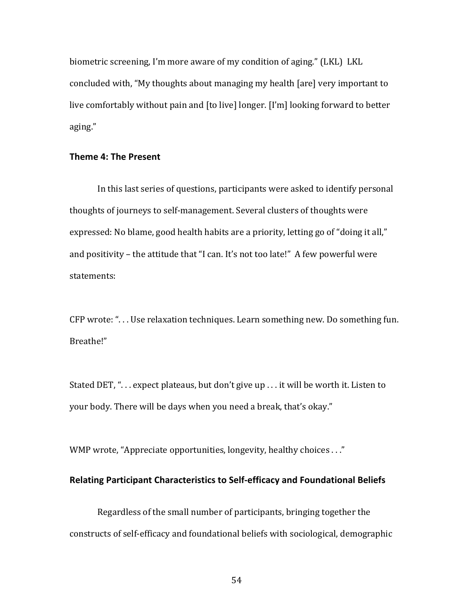biometric screening, I'm more aware of my condition of aging." (LKL) LKL concluded with, "My thoughts about managing my health [are] very important to live comfortably without pain and [to live] longer. [I'm] looking forward to better aging." 

## **Theme 4: The Present**

In this last series of questions, participants were asked to identify personal thoughts of journeys to self-management. Several clusters of thoughts were expressed: No blame, good health habits are a priority, letting go of "doing it all," and positivity  $-$  the attitude that "I can. It's not too late!" A few powerful were statements:

CFP wrote: "... Use relaxation techniques. Learn something new. Do something fun. Breathe!" 

Stated DET, "... expect plateaus, but don't give up ... it will be worth it. Listen to your body. There will be days when you need a break, that's okay."

WMP wrote, "Appreciate opportunities, longevity, healthy choices . . ."

# **Relating Participant Characteristics to Self-efficacy and Foundational Beliefs**

Regardless of the small number of participants, bringing together the constructs of self-efficacy and foundational beliefs with sociological, demographic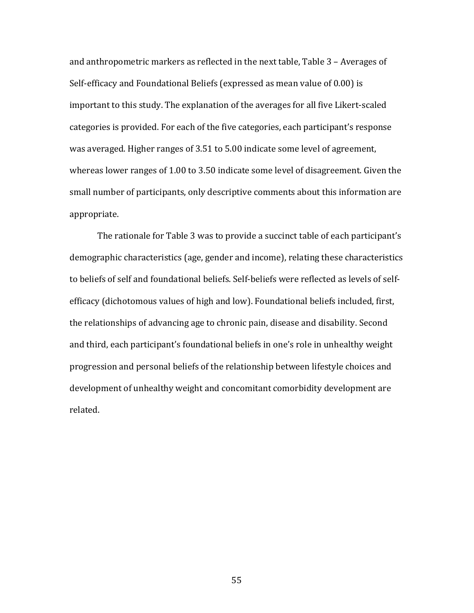and anthropometric markers as reflected in the next table, Table  $3$  – Averages of Self-efficacy and Foundational Beliefs (expressed as mean value of 0.00) is important to this study. The explanation of the averages for all five Likert-scaled categories is provided. For each of the five categories, each participant's response was averaged. Higher ranges of 3.51 to 5.00 indicate some level of agreement, whereas lower ranges of 1.00 to 3.50 indicate some level of disagreement. Given the small number of participants, only descriptive comments about this information are appropriate. 

The rationale for Table 3 was to provide a succinct table of each participant's demographic characteristics (age, gender and income), relating these characteristics to beliefs of self and foundational beliefs. Self-beliefs were reflected as levels of selfefficacy (dichotomous values of high and low). Foundational beliefs included, first, the relationships of advancing age to chronic pain, disease and disability. Second and third, each participant's foundational beliefs in one's role in unhealthy weight progression and personal beliefs of the relationship between lifestyle choices and development of unhealthy weight and concomitant comorbidity development are related.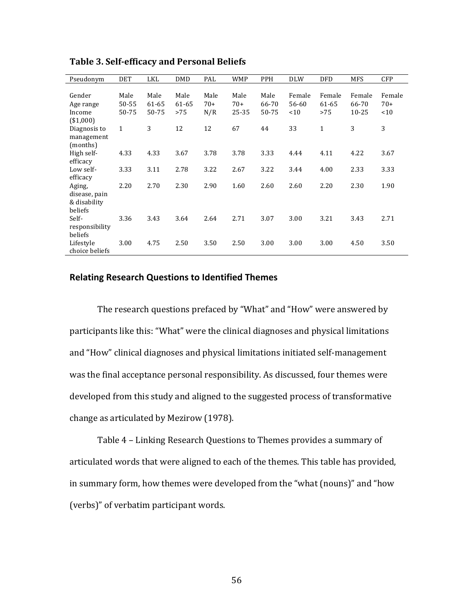| Pseudonym      | <b>DET</b>   | LKL   | DMD   | PAL   | <b>WMP</b> | <b>PPH</b> | <b>DLW</b> | <b>DFD</b>   | <b>MFS</b> | <b>CFP</b> |
|----------------|--------------|-------|-------|-------|------------|------------|------------|--------------|------------|------------|
|                |              |       |       |       |            |            |            |              |            |            |
| Gender         | Male         | Male  | Male  | Male  | Male       | Male       | Female     | Female       | Female     | Female     |
| Age range      | 50-55        | 61-65 | 61-65 | $70+$ | $70+$      | 66-70      | 56-60      | 61-65        | 66-70      | $70+$      |
| Income         | 50-75        | 50-75 | >75   | N/R   | 25-35      | 50-75      | < 10       | >75          | $10 - 25$  | ~10        |
| ( \$1,000]     |              |       |       |       |            |            |            |              |            |            |
| Diagnosis to   | $\mathbf{1}$ | 3     | 12    | 12    | 67         | 44         | 33         | $\mathbf{1}$ | 3          | 3          |
| management     |              |       |       |       |            |            |            |              |            |            |
| (months)       |              |       |       |       |            |            |            |              |            |            |
| High self-     | 4.33         | 4.33  | 3.67  | 3.78  | 3.78       | 3.33       | 4.44       | 4.11         | 4.22       | 3.67       |
| efficacy       |              |       |       |       |            |            |            |              |            |            |
| Low self-      | 3.33         | 3.11  | 2.78  | 3.22  | 2.67       | 3.22       | 3.44       | 4.00         | 2.33       | 3.33       |
| efficacy       |              |       |       |       |            |            |            |              |            |            |
| Aging,         | 2.20         | 2.70  | 2.30  | 2.90  | 1.60       | 2.60       | 2.60       | 2.20         | 2.30       | 1.90       |
| disease, pain  |              |       |       |       |            |            |            |              |            |            |
| & disability   |              |       |       |       |            |            |            |              |            |            |
| beliefs        |              |       |       |       |            |            |            |              |            |            |
| Self-          | 3.36         | 3.43  | 3.64  | 2.64  | 2.71       | 3.07       | 3.00       | 3.21         | 3.43       | 2.71       |
| responsibility |              |       |       |       |            |            |            |              |            |            |
| beliefs        |              |       |       |       |            |            |            |              |            |            |
| Lifestyle      | 3.00         | 4.75  | 2.50  | 3.50  | 2.50       | 3.00       | 3.00       | 3.00         | 4.50       | 3.50       |
| choice beliefs |              |       |       |       |            |            |            |              |            |            |

**Table 3. Self-efficacy and Personal Beliefs**

#### **Relating Research Questions to Identified Themes**

The research questions prefaced by "What" and "How" were answered by participants like this: "What" were the clinical diagnoses and physical limitations and "How" clinical diagnoses and physical limitations initiated self-management was the final acceptance personal responsibility. As discussed, four themes were developed from this study and aligned to the suggested process of transformative change as articulated by Mezirow (1978).

Table 4 - Linking Research Questions to Themes provides a summary of articulated words that were aligned to each of the themes. This table has provided, in summary form, how themes were developed from the "what (nouns)" and "how (verbs)" of verbatim participant words.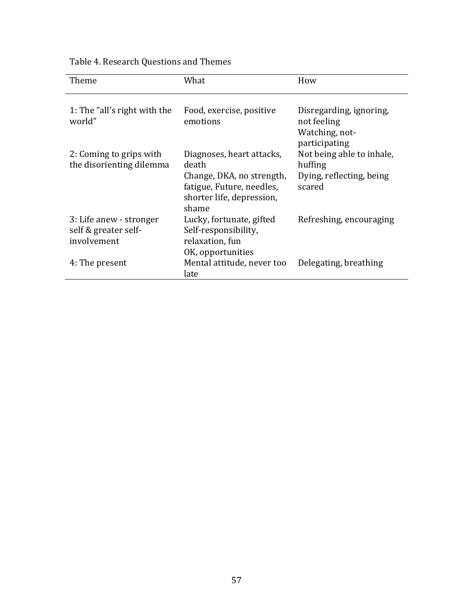| Table 4. Research Questions and Themes |
|----------------------------------------|
|----------------------------------------|

| Theme                                                          | What                                                                                                                               | How                                                                        |
|----------------------------------------------------------------|------------------------------------------------------------------------------------------------------------------------------------|----------------------------------------------------------------------------|
| 1: The "all's right with the<br>world"                         | Food, exercise, positive<br>emotions                                                                                               | Disregarding, ignoring,<br>not feeling<br>Watching, not-<br>participating  |
| 2: Coming to grips with<br>the disorienting dilemma            | Diagnoses, heart attacks,<br>death<br>Change, DKA, no strength,<br>fatigue, Future, needles,<br>shorter life, depression,<br>shame | Not being able to inhale,<br>huffing<br>Dying, reflecting, being<br>scared |
| 3: Life anew - stronger<br>self & greater self-<br>involvement | Lucky, fortunate, gifted<br>Self-responsibility,<br>relaxation, fun<br>OK, opportunities                                           | Refreshing, encouraging                                                    |
| 4: The present                                                 | Mental attitude, never too<br>late                                                                                                 | Delegating, breathing                                                      |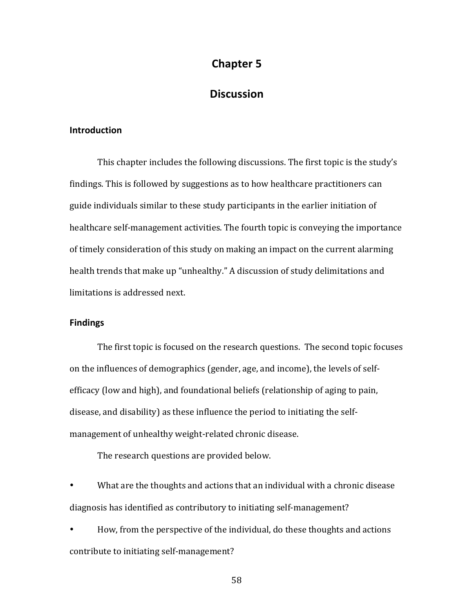# **Chapter 5**

# **Discussion**

### **Introduction**

This chapter includes the following discussions. The first topic is the study's findings. This is followed by suggestions as to how healthcare practitioners can guide individuals similar to these study participants in the earlier initiation of healthcare self-management activities. The fourth topic is conveying the importance of timely consideration of this study on making an impact on the current alarming health trends that make up "unhealthy." A discussion of study delimitations and limitations is addressed next.

#### **Findings**

The first topic is focused on the research questions. The second topic focuses on the influences of demographics (gender, age, and income), the levels of selfefficacy (low and high), and foundational beliefs (relationship of aging to pain, disease, and disability) as these influence the period to initiating the selfmanagement of unhealthy weight-related chronic disease.

The research questions are provided below.

What are the thoughts and actions that an individual with a chronic disease diagnosis has identified as contributory to initiating self-management?

• How, from the perspective of the individual, do these thoughts and actions contribute to initiating self-management?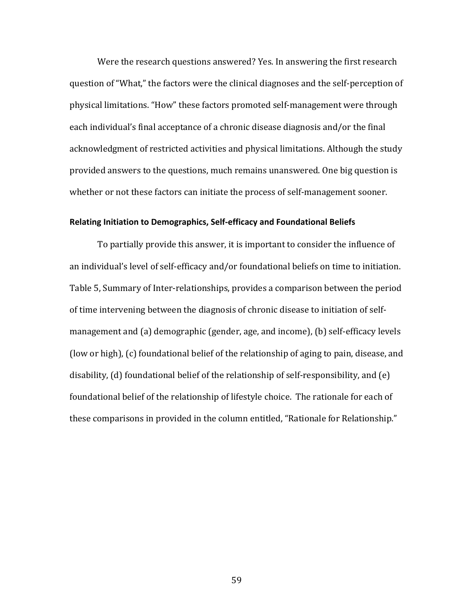Were the research questions answered? Yes. In answering the first research question of "What," the factors were the clinical diagnoses and the self-perception of physical limitations. "How" these factors promoted self-management were through each individual's final acceptance of a chronic disease diagnosis and/or the final acknowledgment of restricted activities and physical limitations. Although the study provided answers to the questions, much remains unanswered. One big question is whether or not these factors can initiate the process of self-management sooner.

#### **Relating Initiation to Demographics, Self-efficacy and Foundational Beliefs**

To partially provide this answer, it is important to consider the influence of an individual's level of self-efficacy and/or foundational beliefs on time to initiation. Table 5, Summary of Inter-relationships, provides a comparison between the period of time intervening between the diagnosis of chronic disease to initiation of selfmanagement and (a) demographic (gender, age, and income), (b) self-efficacy levels (low or high), (c) foundational belief of the relationship of aging to pain, disease, and disability,  $(d)$  foundational belief of the relationship of self-responsibility, and  $(e)$ foundational belief of the relationship of lifestyle choice. The rationale for each of these comparisons in provided in the column entitled, "Rationale for Relationship."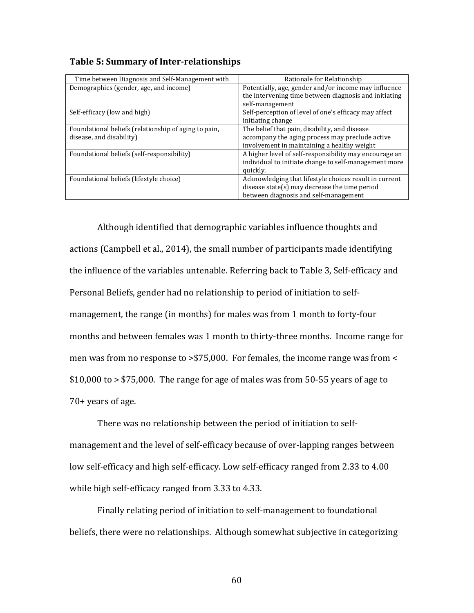| <b>Table 5: Summary of Inter-relationships</b> |  |  |  |  |  |  |  |  |  |  |  |
|------------------------------------------------|--|--|--|--|--|--|--|--|--|--|--|
|------------------------------------------------|--|--|--|--|--|--|--|--|--|--|--|

| Time between Diagnosis and Self-Management with      | Rationale for Relationship                             |
|------------------------------------------------------|--------------------------------------------------------|
| Demographics (gender, age, and income)               | Potentially, age, gender and/or income may influence   |
|                                                      | the intervening time between diagnosis and initiating  |
|                                                      | self-management                                        |
| Self-efficacy (low and high)                         | Self-perception of level of one's efficacy may affect  |
|                                                      | initiating change                                      |
| Foundational beliefs (relationship of aging to pain, | The belief that pain, disability, and disease          |
| disease, and disability)                             | accompany the aging process may preclude active        |
|                                                      | involvement in maintaining a healthy weight            |
| Foundational beliefs (self-responsibility)           | A higher level of self-responsibility may encourage an |
|                                                      | individual to initiate change to self-management more  |
|                                                      | quickly.                                               |
| Foundational beliefs (lifestyle choice)              | Acknowledging that lifestyle choices result in current |
|                                                      | disease state(s) may decrease the time period          |
|                                                      | between diagnosis and self-management                  |

Although identified that demographic variables influence thoughts and actions (Campbell et al., 2014), the small number of participants made identifying the influence of the variables untenable. Referring back to Table 3, Self-efficacy and Personal Beliefs, gender had no relationship to period of initiation to selfmanagement, the range (in months) for males was from 1 month to forty-four months and between females was 1 month to thirty-three months. Income range for men was from no response to  $> $75,000$ . For females, the income range was from  $<$  $$10,000$  to  $> $75,000$ . The range for age of males was from 50-55 years of age to  $70+$  years of age.

There was no relationship between the period of initiation to selfmanagement and the level of self-efficacy because of over-lapping ranges between low self-efficacy and high self-efficacy. Low self-efficacy ranged from 2.33 to 4.00 while high self-efficacy ranged from 3.33 to 4.33.

Finally relating period of initiation to self-management to foundational beliefs, there were no relationships. Although somewhat subjective in categorizing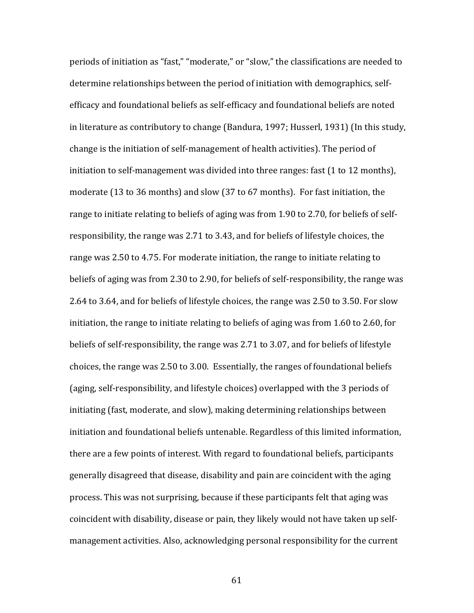periods of initiation as "fast," "moderate," or "slow," the classifications are needed to determine relationships between the period of initiation with demographics, selfefficacy and foundational beliefs as self-efficacy and foundational beliefs are noted in literature as contributory to change (Bandura, 1997; Husserl, 1931) (In this study, change is the initiation of self-management of health activities). The period of initiation to self-management was divided into three ranges: fast  $(1 \text{ to } 12 \text{ months})$ , moderate (13 to 36 months) and slow (37 to 67 months). For fast initiation, the range to initiate relating to beliefs of aging was from 1.90 to 2.70, for beliefs of selfresponsibility, the range was 2.71 to 3.43, and for beliefs of lifestyle choices, the range was 2.50 to 4.75. For moderate initiation, the range to initiate relating to beliefs of aging was from 2.30 to 2.90, for beliefs of self-responsibility, the range was 2.64 to 3.64, and for beliefs of lifestyle choices, the range was 2.50 to 3.50. For slow initiation, the range to initiate relating to beliefs of aging was from 1.60 to 2.60, for beliefs of self-responsibility, the range was 2.71 to 3.07, and for beliefs of lifestyle choices, the range was 2.50 to 3.00. Essentially, the ranges of foundational beliefs (aging, self-responsibility, and lifestyle choices) overlapped with the 3 periods of initiating (fast, moderate, and slow), making determining relationships between initiation and foundational beliefs untenable. Regardless of this limited information, there are a few points of interest. With regard to foundational beliefs, participants generally disagreed that disease, disability and pain are coincident with the aging process. This was not surprising, because if these participants felt that aging was coincident with disability, disease or pain, they likely would not have taken up selfmanagement activities. Also, acknowledging personal responsibility for the current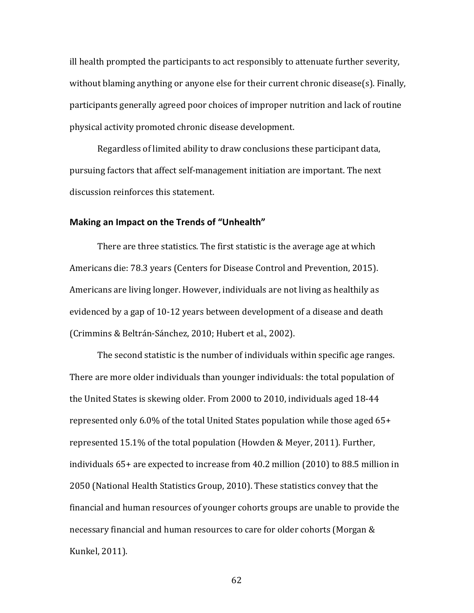ill health prompted the participants to act responsibly to attenuate further severity, without blaming anything or anyone else for their current chronic disease(s). Finally, participants generally agreed poor choices of improper nutrition and lack of routine physical activity promoted chronic disease development.

Regardless of limited ability to draw conclusions these participant data, pursuing factors that affect self-management initiation are important. The next discussion reinforces this statement.

#### **Making an Impact on the Trends of "Unhealth"**

There are three statistics. The first statistic is the average age at which Americans die: 78.3 years (Centers for Disease Control and Prevention, 2015). Americans are living longer. However, individuals are not living as healthily as evidenced by a gap of 10-12 years between development of a disease and death (Crimmins & Beltrán-Sánchez, 2010; Hubert et al., 2002).

The second statistic is the number of individuals within specific age ranges. There are more older individuals than younger individuals: the total population of the United States is skewing older. From 2000 to 2010, individuals aged 18-44 represented only  $6.0\%$  of the total United States population while those aged  $65+$ represented  $15.1\%$  of the total population (Howden & Meyer, 2011). Further, individuals  $65+$  are expected to increase from  $40.2$  million  $(2010)$  to  $88.5$  million in 2050 (National Health Statistics Group, 2010). These statistics convey that the financial and human resources of younger cohorts groups are unable to provide the necessary financial and human resources to care for older cohorts (Morgan & Kunkel, 2011).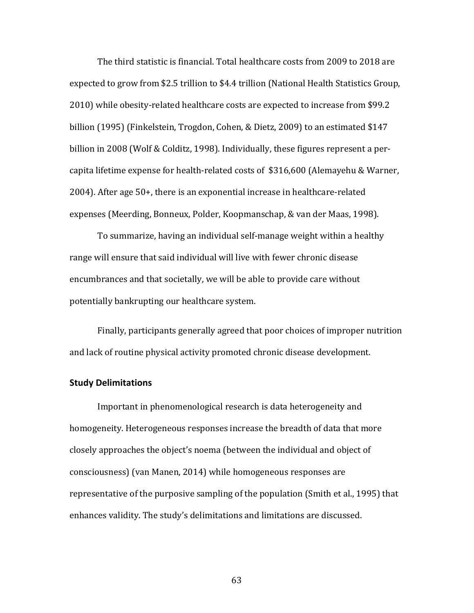The third statistic is financial. Total healthcare costs from 2009 to 2018 are expected to grow from \$2.5 trillion to \$4.4 trillion (National Health Statistics Group, 2010) while obesity-related healthcare costs are expected to increase from \$99.2 billion  $(1995)$  (Finkelstein, Trogdon, Cohen, & Dietz, 2009) to an estimated \$147 billion in 2008 (Wolf & Colditz, 1998). Individually, these figures represent a percapita lifetime expense for health-related costs of \$316,600 (Alemayehu & Warner,  $2004$ ). After age 50+, there is an exponential increase in healthcare-related expenses (Meerding, Bonneux, Polder, Koopmanschap, & van der Maas, 1998).

To summarize, having an individual self-manage weight within a healthy range will ensure that said individual will live with fewer chronic disease encumbrances and that societally, we will be able to provide care without potentially bankrupting our healthcare system.

Finally, participants generally agreed that poor choices of improper nutrition and lack of routine physical activity promoted chronic disease development.

### **Study Delimitations**

Important in phenomenological research is data heterogeneity and homogeneity. Heterogeneous responses increase the breadth of data that more closely approaches the object's noema (between the individual and object of consciousness) (van Manen, 2014) while homogeneous responses are representative of the purposive sampling of the population (Smith et al., 1995) that enhances validity. The study's delimitations and limitations are discussed.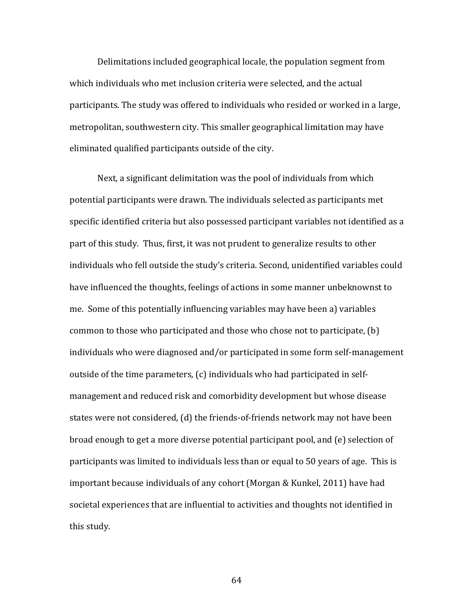Delimitations included geographical locale, the population segment from which individuals who met inclusion criteria were selected, and the actual participants. The study was offered to individuals who resided or worked in a large, metropolitan, southwestern city. This smaller geographical limitation may have eliminated qualified participants outside of the city.

Next, a significant delimitation was the pool of individuals from which potential participants were drawn. The individuals selected as participants met specific identified criteria but also possessed participant variables not identified as a part of this study. Thus, first, it was not prudent to generalize results to other individuals who fell outside the study's criteria. Second, unidentified variables could have influenced the thoughts, feelings of actions in some manner unbeknownst to me. Some of this potentially influencing variables may have been a) variables common to those who participated and those who chose not to participate,  $(b)$ individuals who were diagnosed and/or participated in some form self-management outside of the time parameters,  $(c)$  individuals who had participated in selfmanagement and reduced risk and comorbidity development but whose disease states were not considered, (d) the friends-of-friends network may not have been broad enough to get a more diverse potential participant pool, and (e) selection of participants was limited to individuals less than or equal to 50 years of age. This is important because individuals of any cohort (Morgan & Kunkel, 2011) have had societal experiences that are influential to activities and thoughts not identified in this study.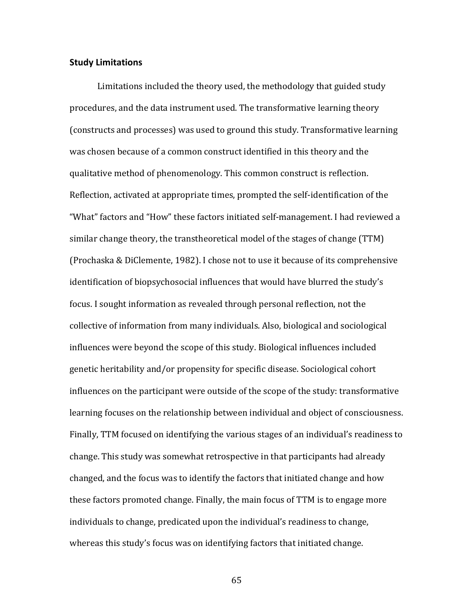#### **Study Limitations**

Limitations included the theory used, the methodology that guided study procedures, and the data instrument used. The transformative learning theory (constructs and processes) was used to ground this study. Transformative learning was chosen because of a common construct identified in this theory and the qualitative method of phenomenology. This common construct is reflection. Reflection, activated at appropriate times, prompted the self-identification of the "What" factors and "How" these factors initiated self-management. I had reviewed a similar change theory, the transtheoretical model of the stages of change (TTM) (Prochaska & DiClemente, 1982). I chose not to use it because of its comprehensive identification of biopsychosocial influences that would have blurred the study's focus. I sought information as revealed through personal reflection, not the collective of information from many individuals. Also, biological and sociological influences were beyond the scope of this study. Biological influences included genetic heritability and/or propensity for specific disease. Sociological cohort influences on the participant were outside of the scope of the study: transformative learning focuses on the relationship between individual and object of consciousness. Finally, TTM focused on identifying the various stages of an individual's readiness to change. This study was somewhat retrospective in that participants had already changed, and the focus was to identify the factors that initiated change and how these factors promoted change. Finally, the main focus of TTM is to engage more individuals to change, predicated upon the individual's readiness to change, whereas this study's focus was on identifying factors that initiated change.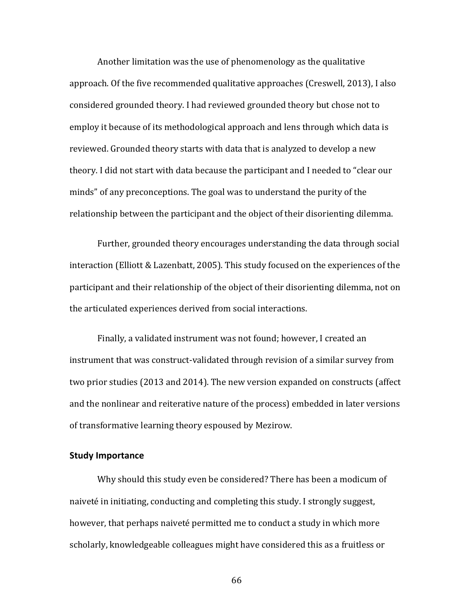Another limitation was the use of phenomenology as the qualitative approach. Of the five recommended qualitative approaches (Creswell, 2013), I also considered grounded theory. I had reviewed grounded theory but chose not to employ it because of its methodological approach and lens through which data is reviewed. Grounded theory starts with data that is analyzed to develop a new theory. I did not start with data because the participant and I needed to "clear our minds" of any preconceptions. The goal was to understand the purity of the relationship between the participant and the object of their disorienting dilemma.

Further, grounded theory encourages understanding the data through social interaction (Elliott  $&$  Lazenbatt, 2005). This study focused on the experiences of the participant and their relationship of the object of their disorienting dilemma, not on the articulated experiences derived from social interactions.

Finally, a validated instrument was not found; however, I created an instrument that was construct-validated through revision of a similar survey from two prior studies (2013 and 2014). The new version expanded on constructs (affect and the nonlinear and reiterative nature of the process) embedded in later versions of transformative learning theory espoused by Mezirow.

#### **Study Importance**

Why should this study even be considered? There has been a modicum of naiveté in initiating, conducting and completing this study. I strongly suggest, however, that perhaps naiveté permitted me to conduct a study in which more scholarly, knowledgeable colleagues might have considered this as a fruitless or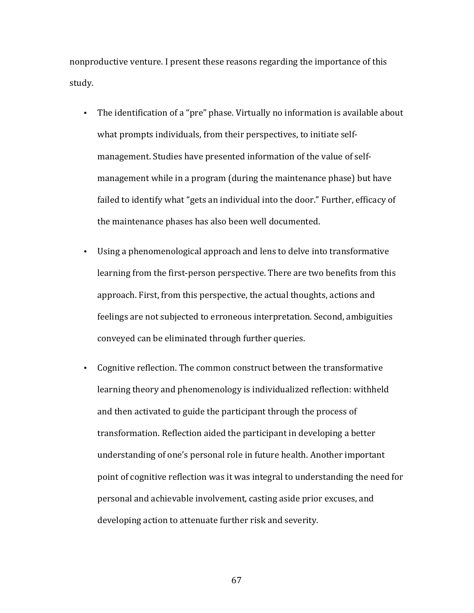nonproductive venture. I present these reasons regarding the importance of this study. 

- The identification of a "pre" phase. Virtually no information is available about what prompts individuals, from their perspectives, to initiate selfmanagement. Studies have presented information of the value of selfmanagement while in a program (during the maintenance phase) but have failed to identify what "gets an individual into the door." Further, efficacy of the maintenance phases has also been well documented.
- Using a phenomenological approach and lens to delve into transformative learning from the first-person perspective. There are two benefits from this approach. First, from this perspective, the actual thoughts, actions and feelings are not subjected to erroneous interpretation. Second, ambiguities conveyed can be eliminated through further queries.
- Cognitive reflection. The common construct between the transformative learning theory and phenomenology is individualized reflection: withheld and then activated to guide the participant through the process of transformation. Reflection aided the participant in developing a better understanding of one's personal role in future health. Another important point of cognitive reflection was it was integral to understanding the need for personal and achievable involvement, casting aside prior excuses, and developing action to attenuate further risk and severity.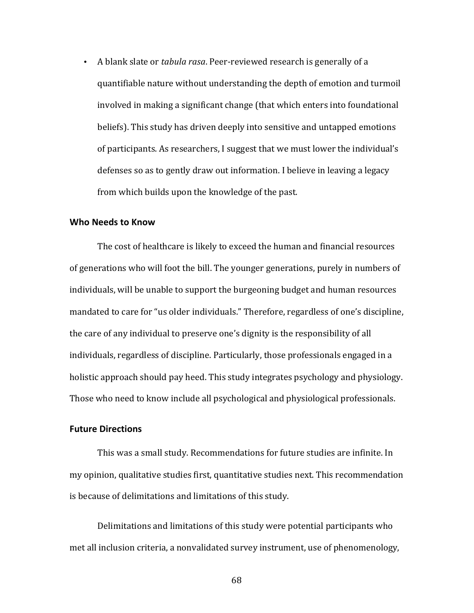• A blank slate or *tabula rasa*. Peer-reviewed research is generally of a quantifiable nature without understanding the depth of emotion and turmoil involved in making a significant change (that which enters into foundational beliefs). This study has driven deeply into sensitive and untapped emotions of participants. As researchers, I suggest that we must lower the individual's defenses so as to gently draw out information. I believe in leaving a legacy from which builds upon the knowledge of the past.

#### **Who Needs to Know**

The cost of healthcare is likely to exceed the human and financial resources of generations who will foot the bill. The younger generations, purely in numbers of individuals, will be unable to support the burgeoning budget and human resources mandated to care for "us older individuals." Therefore, regardless of one's discipline, the care of any individual to preserve one's dignity is the responsibility of all individuals, regardless of discipline. Particularly, those professionals engaged in a holistic approach should pay heed. This study integrates psychology and physiology. Those who need to know include all psychological and physiological professionals.

#### **Future Directions**

This was a small study. Recommendations for future studies are infinite. In my opinion, qualitative studies first, quantitative studies next. This recommendation is because of delimitations and limitations of this study.

Delimitations and limitations of this study were potential participants who met all inclusion criteria, a nonvalidated survey instrument, use of phenomenology,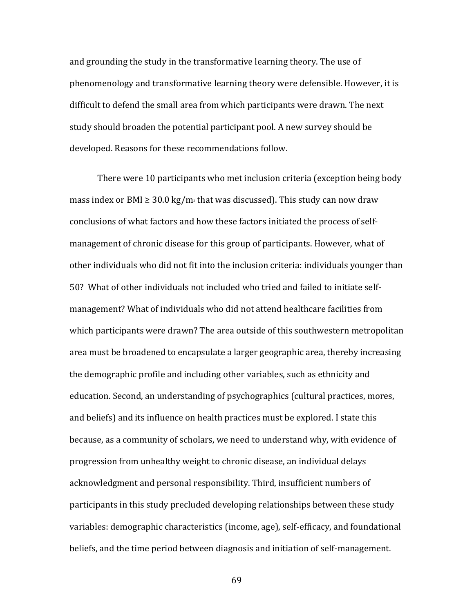and grounding the study in the transformative learning theory. The use of phenomenology and transformative learning theory were defensible. However, it is difficult to defend the small area from which participants were drawn. The next study should broaden the potential participant pool. A new survey should be developed. Reasons for these recommendations follow.

There were 10 participants who met inclusion criteria (exception being body mass index or BMI  $\geq 30.0 \text{ kg/m}$  that was discussed). This study can now draw conclusions of what factors and how these factors initiated the process of selfmanagement of chronic disease for this group of participants. However, what of other individuals who did not fit into the inclusion criteria: individuals younger than 50? What of other individuals not included who tried and failed to initiate selfmanagement? What of individuals who did not attend healthcare facilities from which participants were drawn? The area outside of this southwestern metropolitan area must be broadened to encapsulate a larger geographic area, thereby increasing the demographic profile and including other variables, such as ethnicity and education. Second, an understanding of psychographics (cultural practices, mores, and beliefs) and its influence on health practices must be explored. I state this because, as a community of scholars, we need to understand why, with evidence of progression from unhealthy weight to chronic disease, an individual delays acknowledgment and personal responsibility. Third, insufficient numbers of participants in this study precluded developing relationships between these study variables: demographic characteristics (income, age), self-efficacy, and foundational beliefs, and the time period between diagnosis and initiation of self-management.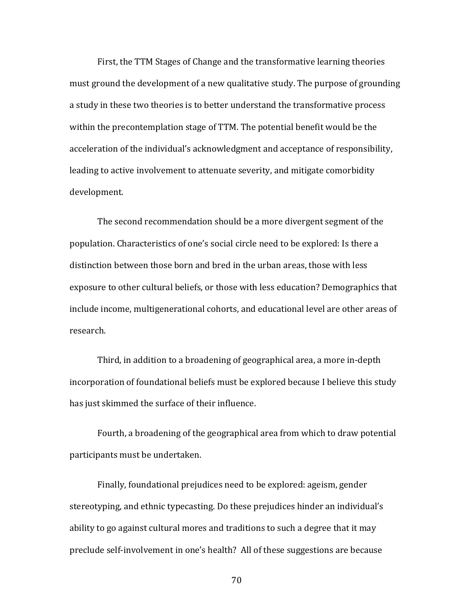First, the TTM Stages of Change and the transformative learning theories must ground the development of a new qualitative study. The purpose of grounding a study in these two theories is to better understand the transformative process within the precontemplation stage of TTM. The potential benefit would be the acceleration of the individual's acknowledgment and acceptance of responsibility, leading to active involvement to attenuate severity, and mitigate comorbidity development.

The second recommendation should be a more divergent segment of the population. Characteristics of one's social circle need to be explored: Is there a distinction between those born and bred in the urban areas, those with less exposure to other cultural beliefs, or those with less education? Demographics that include income, multigenerational cohorts, and educational level are other areas of research. 

Third, in addition to a broadening of geographical area, a more in-depth incorporation of foundational beliefs must be explored because I believe this study has just skimmed the surface of their influence.

Fourth, a broadening of the geographical area from which to draw potential participants must be undertaken.

Finally, foundational prejudices need to be explored: ageism, gender stereotyping, and ethnic typecasting. Do these prejudices hinder an individual's ability to go against cultural mores and traditions to such a degree that it may preclude self-involvement in one's health? All of these suggestions are because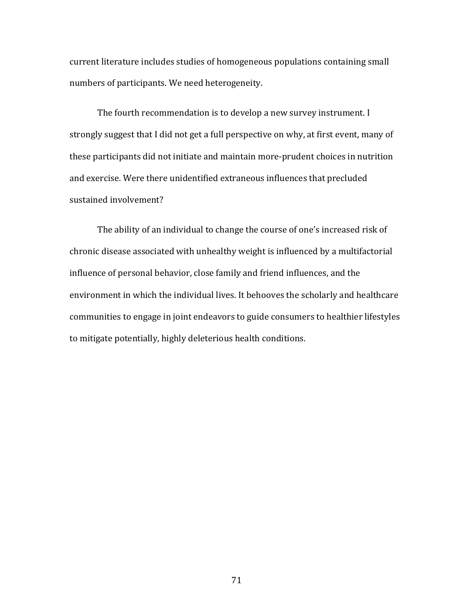current literature includes studies of homogeneous populations containing small numbers of participants. We need heterogeneity.

The fourth recommendation is to develop a new survey instrument. I strongly suggest that I did not get a full perspective on why, at first event, many of these participants did not initiate and maintain more-prudent choices in nutrition and exercise. Were there unidentified extraneous influences that precluded sustained involvement?

The ability of an individual to change the course of one's increased risk of chronic disease associated with unhealthy weight is influenced by a multifactorial influence of personal behavior, close family and friend influences, and the environment in which the individual lives. It behooves the scholarly and healthcare communities to engage in joint endeavors to guide consumers to healthier lifestyles to mitigate potentially, highly deleterious health conditions.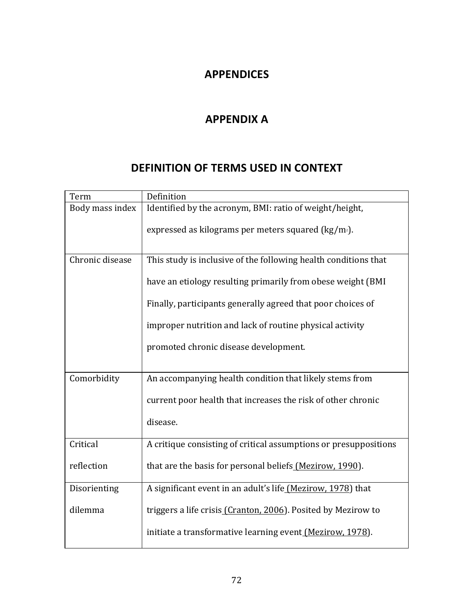# **APPENDICES**

# **APPENDIX A**

# **DEFINITION OF TERMS USED IN CONTEXT**

| Term            | Definition                                                       |
|-----------------|------------------------------------------------------------------|
| Body mass index | Identified by the acronym, BMI: ratio of weight/height,          |
|                 | expressed as kilograms per meters squared ( $\text{kg/m}_2$ ).   |
| Chronic disease | This study is inclusive of the following health conditions that  |
|                 | have an etiology resulting primarily from obese weight (BMI)     |
|                 | Finally, participants generally agreed that poor choices of      |
|                 | improper nutrition and lack of routine physical activity         |
|                 | promoted chronic disease development.                            |
| Comorbidity     | An accompanying health condition that likely stems from          |
|                 |                                                                  |
|                 | current poor health that increases the risk of other chronic     |
|                 | disease.                                                         |
| Critical        | A critique consisting of critical assumptions or presuppositions |
| reflection      | that are the basis for personal beliefs (Mezirow, 1990).         |
| Disorienting    | A significant event in an adult's life (Mezirow, 1978) that      |
| dilemma         | triggers a life crisis (Cranton, 2006). Posited by Mezirow to    |
|                 | initiate a transformative learning event (Mezirow, 1978).        |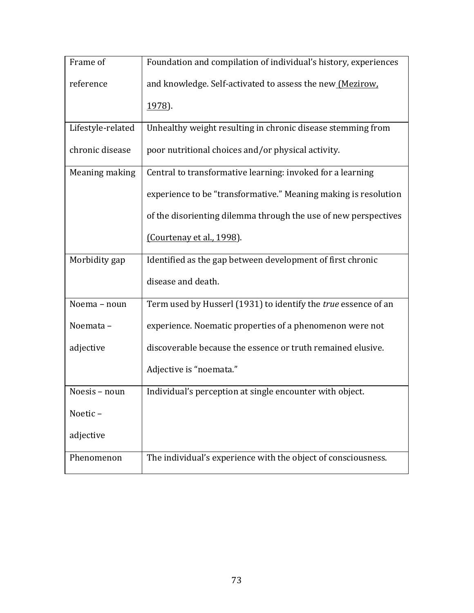| Frame of          | Foundation and compilation of individual's history, experiences |
|-------------------|-----------------------------------------------------------------|
| reference         | and knowledge. Self-activated to assess the new (Mezirow,       |
|                   | 1978).                                                          |
| Lifestyle-related | Unhealthy weight resulting in chronic disease stemming from     |
| chronic disease   | poor nutritional choices and/or physical activity.              |
| Meaning making    | Central to transformative learning: invoked for a learning      |
|                   | experience to be "transformative." Meaning making is resolution |
|                   | of the disorienting dilemma through the use of new perspectives |
|                   | (Courtenay et al., 1998).                                       |
| Morbidity gap     | Identified as the gap between development of first chronic      |
|                   | disease and death.                                              |
| Noema - noun      | Term used by Husserl (1931) to identify the true essence of an  |
| Noemata-          | experience. Noematic properties of a phenomenon were not        |
| adjective         | discoverable because the essence or truth remained elusive.     |
|                   | Adjective is "noemata."                                         |
| Noesis - noun     | Individual's perception at single encounter with object.        |
| Noetic-           |                                                                 |
| adjective         |                                                                 |
| Phenomenon        | The individual's experience with the object of consciousness.   |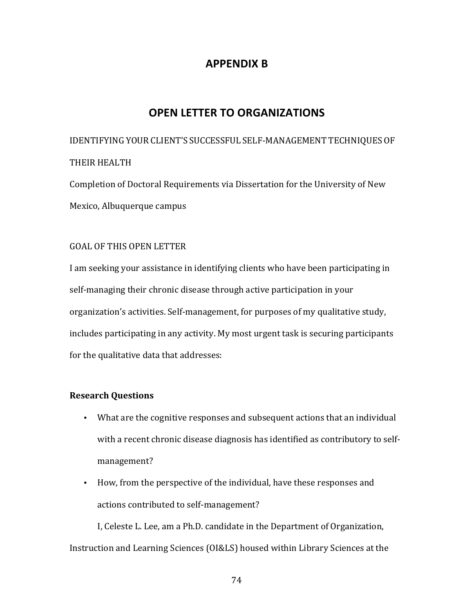## **APPENDIX B**

# **OPEN LETTER TO ORGANIZATIONS**

IDENTIFYING YOUR CLIENT'S SUCCESSFUL SELF-MANAGEMENT TECHNIQUES OF THEIR HEALTH

Completion of Doctoral Requirements via Dissertation for the University of New Mexico, Albuquerque campus

### GOAL OF THIS OPEN LETTER

I am seeking your assistance in identifying clients who have been participating in self-managing their chronic disease through active participation in your organization's activities. Self-management, for purposes of my qualitative study, includes participating in any activity. My most urgent task is securing participants for the qualitative data that addresses:

### **Research Questions**

- What are the cognitive responses and subsequent actions that an individual with a recent chronic disease diagnosis has identified as contributory to selfmanagement?
- How, from the perspective of the individual, have these responses and actions contributed to self-management?

I, Celeste L. Lee, am a Ph.D. candidate in the Department of Organization, Instruction and Learning Sciences (OI&LS) housed within Library Sciences at the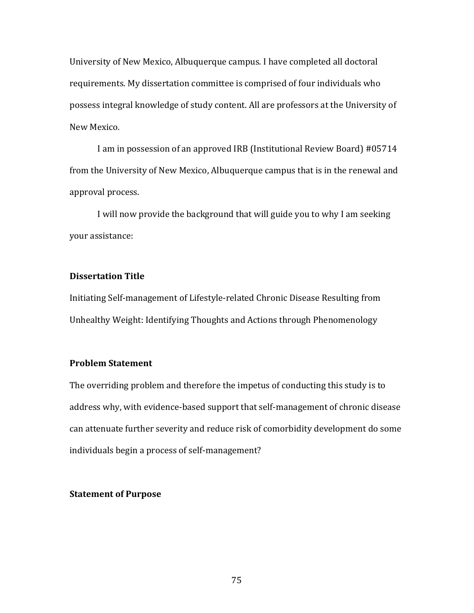University of New Mexico, Albuquerque campus. I have completed all doctoral requirements. My dissertation committee is comprised of four individuals who possess integral knowledge of study content. All are professors at the University of New Mexico.

I am in possession of an approved IRB (Institutional Review Board) #05714 from the University of New Mexico, Albuquerque campus that is in the renewal and approval process.

I will now provide the background that will guide you to why I am seeking your assistance:

#### **Dissertation Title**

Initiating Self-management of Lifestyle-related Chronic Disease Resulting from Unhealthy Weight: Identifying Thoughts and Actions through Phenomenology

### **Problem Statement**

The overriding problem and therefore the impetus of conducting this study is to address why, with evidence-based support that self-management of chronic disease can attenuate further severity and reduce risk of comorbidity development do some individuals begin a process of self-management?

### **Statement of Purpose**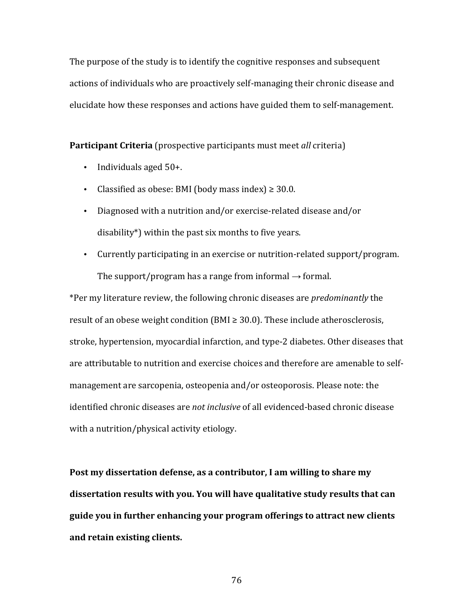The purpose of the study is to identify the cognitive responses and subsequent actions of individuals who are proactively self-managing their chronic disease and elucidate how these responses and actions have guided them to self-management.

**Participant Criteria** (prospective participants must meet *all* criteria)

- Individuals aged  $50+$ .
- Classified as obese: BMI (body mass index)  $\geq$  30.0.
- Diagnosed with a nutrition and/or exercise-related disease and/or disability\*) within the past six months to five years.
- Currently participating in an exercise or nutrition-related support/program. The support/program has a range from informal  $\rightarrow$  formal.

\*Per my literature review, the following chronic diseases are *predominantly* the result of an obese weight condition  $(BMI \geq 30.0)$ . These include atherosclerosis, stroke, hypertension, myocardial infarction, and type-2 diabetes. Other diseases that are attributable to nutrition and exercise choices and therefore are amenable to selfmanagement are sarcopenia, osteopenia and/or osteoporosis. Please note: the identified chronic diseases are *not inclusive* of all evidenced-based chronic disease with a nutrition/physical activity etiology.

Post my dissertation defense, as a contributor, I am willing to share my dissertation results with you. You will have qualitative study results that can guide you in further enhancing your program offerings to attract new clients **and retain existing clients.**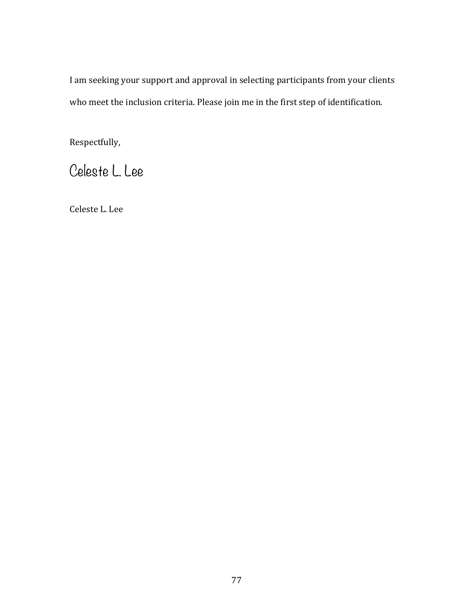I am seeking your support and approval in selecting participants from your clients who meet the inclusion criteria. Please join me in the first step of identification.

Respectfully,

Celeste L. Lee

Celeste L. Lee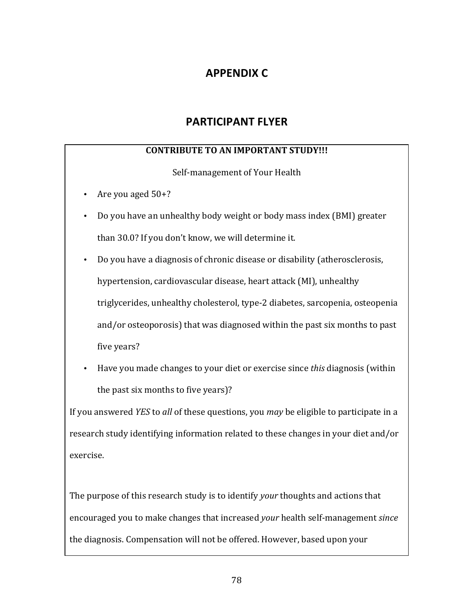# **APPENDIX C**

# **PARTICIPANT FLYER**

## **CONTRIBUTE TO AN IMPORTANT STUDY!!!**

Self-management of Your Health

- Are you aged  $50+?$
- Do you have an unhealthy body weight or body mass index (BMI) greater than 30.0? If you don't know, we will determine it.
- Do you have a diagnosis of chronic disease or disability (atherosclerosis, hypertension, cardiovascular disease, heart attack (MI), unhealthy triglycerides, unhealthy cholesterol, type-2 diabetes, sarcopenia, osteopenia and/or osteoporosis) that was diagnosed within the past six months to past five years?
- Have you made changes to your diet or exercise since *this* diagnosis (within the past six months to five years)?

If you answered *YES* to *all* of these questions, you *may* be eligible to participate in a research study identifying information related to these changes in your diet and/or exercise.

The purpose of this research study is to identify *your* thoughts and actions that encouraged you to make changes that increased *your* health self-management *since* the diagnosis. Compensation will not be offered. However, based upon your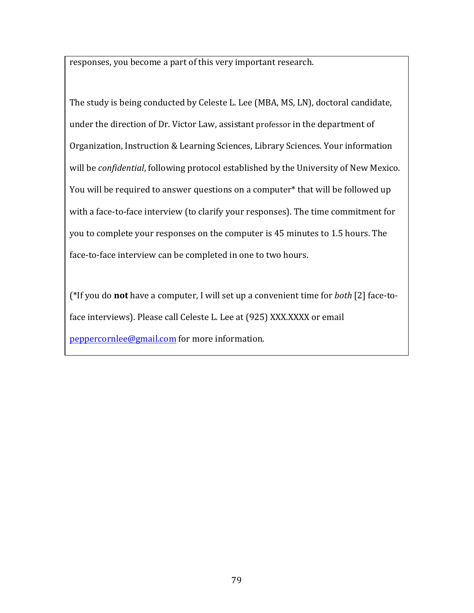responses, you become a part of this very important research.

The study is being conducted by Celeste L. Lee (MBA, MS, LN), doctoral candidate, under the direction of Dr. Victor Law, assistant professor in the department of Organization, Instruction & Learning Sciences, Library Sciences. Your information will be *confidential*, following protocol established by the University of New Mexico. You will be required to answer questions on a computer\* that will be followed up with a face-to-face interview (to clarify your responses). The time commitment for you to complete your responses on the computer is 45 minutes to 1.5 hours. The face-to-face interview can be completed in one to two hours.

(\*If you do **not** have a computer, I will set up a convenient time for *both* [2] face-toface interviews). Please call Celeste L. Lee at (925) XXX.XXXX or email peppercornlee@gmail.com for more information.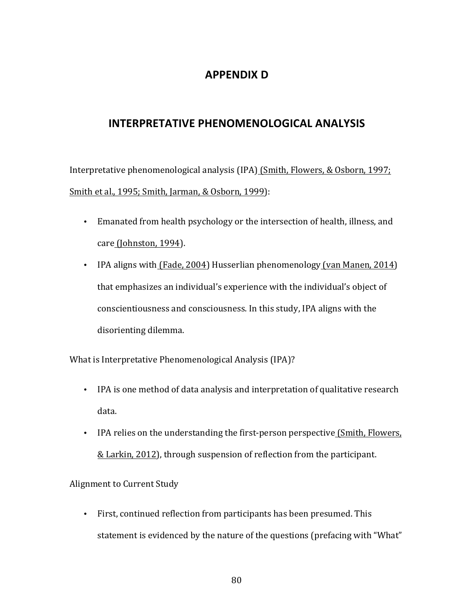## **APPENDIX D**

## **INTERPRETATIVE PHENOMENOLOGICAL ANALYSIS**

Interpretative phenomenological analysis (IPA) (Smith, Flowers, & Osborn, 1997; Smith et al., 1995; Smith, Jarman, & Osborn, 1999):

- Emanated from health psychology or the intersection of health, illness, and care (Johnston, 1994).
- IPA aligns with (Fade, 2004) Husserlian phenomenology (van Manen, 2014) that emphasizes an individual's experience with the individual's object of conscientiousness and consciousness. In this study, IPA aligns with the disorienting dilemma.

What is Interpretative Phenomenological Analysis (IPA)?

- IPA is one method of data analysis and interpretation of qualitative research data.
- IPA relies on the understanding the first-person perspective (Smith, Flowers,  $&$  Larkin, 2012), through suspension of reflection from the participant.

Alignment to Current Study

• First, continued reflection from participants has been presumed. This statement is evidenced by the nature of the questions (prefacing with "What"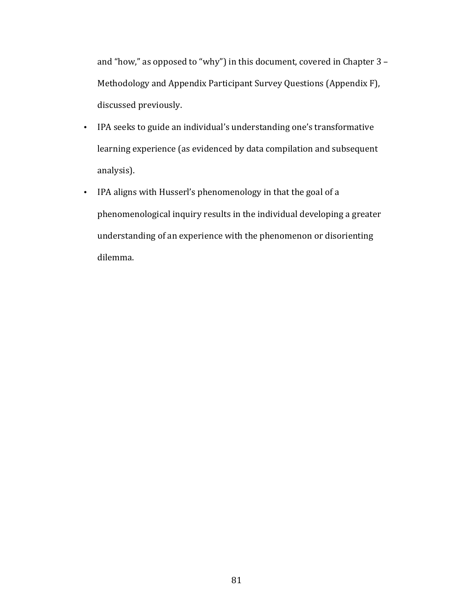and "how," as opposed to "why") in this document, covered in Chapter  $3$  – Methodology and Appendix Participant Survey Questions (Appendix F), discussed previously.

- IPA seeks to guide an individual's understanding one's transformative learning experience (as evidenced by data compilation and subsequent analysis).
- IPA aligns with Husserl's phenomenology in that the goal of a phenomenological inquiry results in the individual developing a greater understanding of an experience with the phenomenon or disorienting dilemma.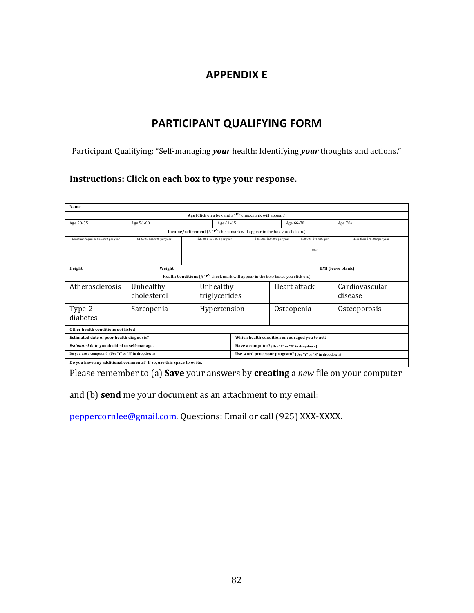# **APPENDIX E**

# **PARTICIPANT QUALIFYING FORM**

Participant Qualifying: "Self-managing *your* health: Identifying *your* thoughts and actions."

### Instructions: Click on each box to type your response.

| Name                                                                                        |                                                                                                     |        |                            |                                                          |                                               |                            |  |                       |                             |
|---------------------------------------------------------------------------------------------|-----------------------------------------------------------------------------------------------------|--------|----------------------------|----------------------------------------------------------|-----------------------------------------------|----------------------------|--|-----------------------|-----------------------------|
| Age (Click on a box and a " $\checkmark$ " checkmark will appear.)                          |                                                                                                     |        |                            |                                                          |                                               |                            |  |                       |                             |
| Age 50-55                                                                                   | Age 56-60                                                                                           |        | Age 61-65                  |                                                          |                                               | Age 66-70                  |  | Age 70+               |                             |
|                                                                                             | <b>Income/retirement</b> (A " $\checkmark$ " check mark will appear in the box you click on.)       |        |                            |                                                          |                                               |                            |  |                       |                             |
| Less than/equal to \$10,000 per year                                                        | \$10,001-\$25,000 per year                                                                          |        | \$25,001-\$35,000 per year |                                                          |                                               | \$35,001-\$50,000 per year |  | \$50,001-\$75,000 per | More than \$75,000 per year |
|                                                                                             |                                                                                                     |        |                            |                                                          |                                               |                            |  | year                  |                             |
|                                                                                             |                                                                                                     |        |                            |                                                          |                                               |                            |  |                       |                             |
| Height                                                                                      |                                                                                                     | Weight |                            |                                                          |                                               |                            |  |                       | <b>BMI</b> (leave blank)    |
|                                                                                             | <b>Health Conditions</b> (A " $\checkmark$ " check mark will appear in the box/boxes you click on.) |        |                            |                                                          |                                               |                            |  |                       |                             |
| Atherosclerosis                                                                             | Unhealthy                                                                                           |        |                            | Unhealthy                                                |                                               | Heart attack               |  |                       | Cardiovascular              |
|                                                                                             | cholesterol<br>triglycerides                                                                        |        |                            |                                                          |                                               | disease                    |  |                       |                             |
| Type-2                                                                                      | Sarcopenia                                                                                          |        |                            | Hypertension                                             |                                               | Osteopenia                 |  |                       | Osteoporosis                |
| diabetes                                                                                    |                                                                                                     |        |                            |                                                          |                                               |                            |  |                       |                             |
| Other health conditions not listed                                                          |                                                                                                     |        |                            |                                                          |                                               |                            |  |                       |                             |
| Estimated date of poor health diagnosis?                                                    |                                                                                                     |        |                            |                                                          | Which health condition encouraged you to act? |                            |  |                       |                             |
| Estimated date you decided to self-manage.<br>Have a computer? (Use "Y" or "N" in dropdown) |                                                                                                     |        |                            |                                                          |                                               |                            |  |                       |                             |
| Do you use a computer? (Use "Y" or "N" in dropdown)                                         |                                                                                                     |        |                            | Use word processor program? (Use "Y" or "N" in dropdown) |                                               |                            |  |                       |                             |
| Do you have any additional comments? If so, use this space to write.                        |                                                                                                     |        |                            |                                                          |                                               |                            |  |                       |                             |

Please remember to (a) **Save** your answers by **creating** a *new* file on your computer

and (b) **send** me your document as an attachment to my email:

peppercornlee@gmail.com. Questions: Email or call (925) XXX-XXXX.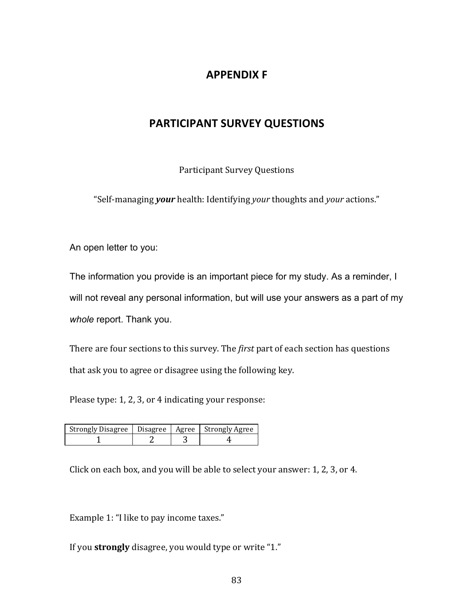## **APPENDIX F**

## **PARTICIPANT SURVEY QUESTIONS**

Participant Survey Questions

"Self-managing *your* health: Identifying *your* thoughts and *your* actions."

An open letter to you:

The information you provide is an important piece for my study. As a reminder, I will not reveal any personal information, but will use your answers as a part of my *whole* report. Thank you.

There are four sections to this survey. The *first* part of each section has questions that ask you to agree or disagree using the following key.

Please type: 1, 2, 3, or 4 indicating your response:

| Strongly Disagree   Disagree   Agree   Strongly Agree |  |  |
|-------------------------------------------------------|--|--|
|                                                       |  |  |

Click on each box, and you will be able to select your answer:  $1, 2, 3$ , or  $4$ .

Example 1: "I like to pay income taxes."

If you **strongly** disagree, you would type or write "1."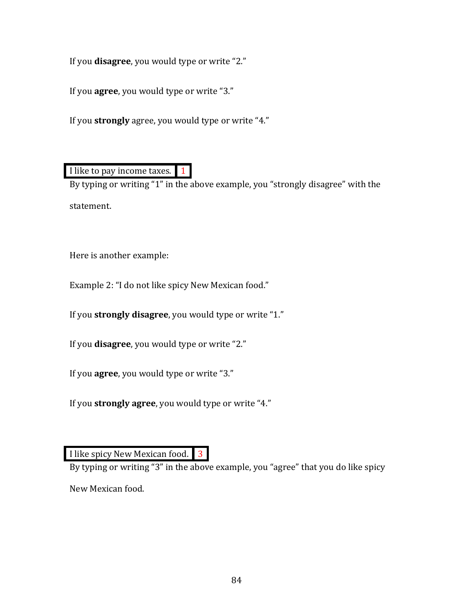If you **disagree**, you would type or write "2."

If you **agree**, you would type or write "3."

If you **strongly** agree, you would type or write "4."

I like to pay income taxes. 1

By typing or writing "1" in the above example, you "strongly disagree" with the statement.

Here is another example:

Example 2: "I do not like spicy New Mexican food."

If you **strongly disagree**, you would type or write "1."

If you **disagree**, you would type or write "2."

If you **agree**, you would type or write "3."

If you **strongly agree**, you would type or write "4."

I like spicy New Mexican food. 3

By typing or writing "3" in the above example, you "agree" that you do like spicy

New Mexican food.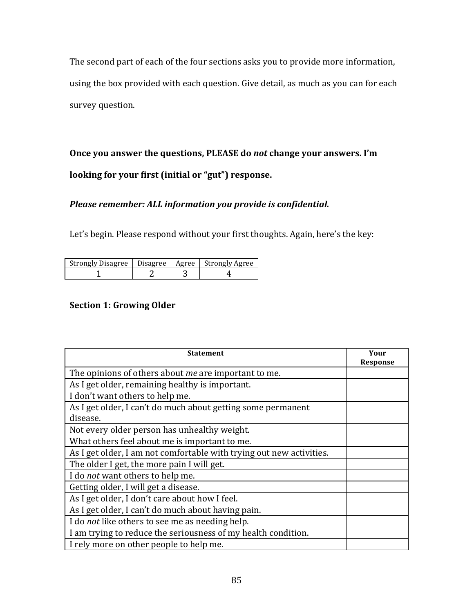The second part of each of the four sections asks you to provide more information, using the box provided with each question. Give detail, as much as you can for each survey question.

**Once you answer the questions, PLEASE do** *not* **change your answers. I'm** looking for your first (initial or "gut") response.

## *Please remember: ALL information you provide is confidential.*

Let's begin. Please respond without your first thoughts. Again, here's the key:

| Strongly Disagree   Disagree   Agree   Strongly Agree |  |  |
|-------------------------------------------------------|--|--|
|                                                       |  |  |

## **Section 1: Growing Older**

| <b>Statement</b>                                                     | Your<br>Response |
|----------------------------------------------------------------------|------------------|
| The opinions of others about <i>me</i> are important to me.          |                  |
| As I get older, remaining healthy is important.                      |                  |
| I don't want others to help me.                                      |                  |
| As I get older, I can't do much about getting some permanent         |                  |
| disease.                                                             |                  |
| Not every older person has unhealthy weight.                         |                  |
| What others feel about me is important to me.                        |                  |
| As I get older, I am not comfortable with trying out new activities. |                  |
| The older I get, the more pain I will get.                           |                  |
| I do <i>not</i> want others to help me.                              |                  |
| Getting older, I will get a disease.                                 |                  |
| As I get older, I don't care about how I feel.                       |                  |
| As I get older, I can't do much about having pain.                   |                  |
| I do <i>not</i> like others to see me as needing help.               |                  |
| I am trying to reduce the seriousness of my health condition.        |                  |
| I rely more on other people to help me.                              |                  |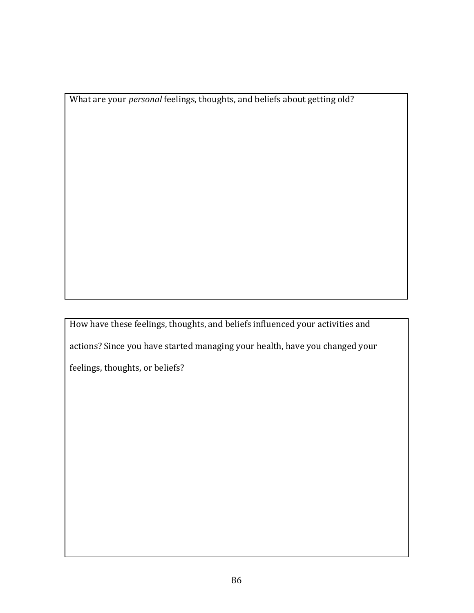What are your *personal* feelings, thoughts, and beliefs about getting old?

How have these feelings, thoughts, and beliefs influenced your activities and actions? Since you have started managing your health, have you changed your feelings, thoughts, or beliefs?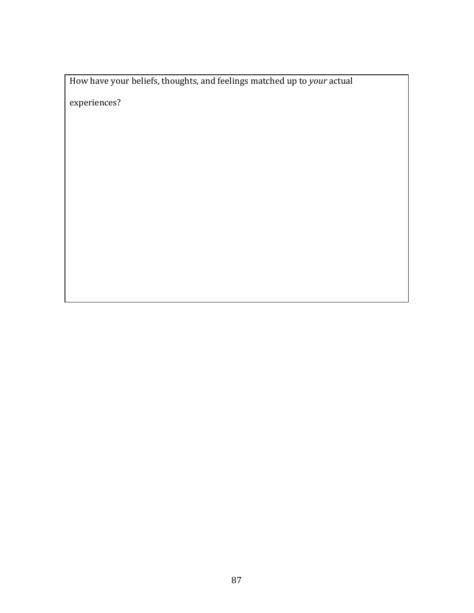How have your beliefs, thoughts, and feelings matched up to *your* actual

experiences?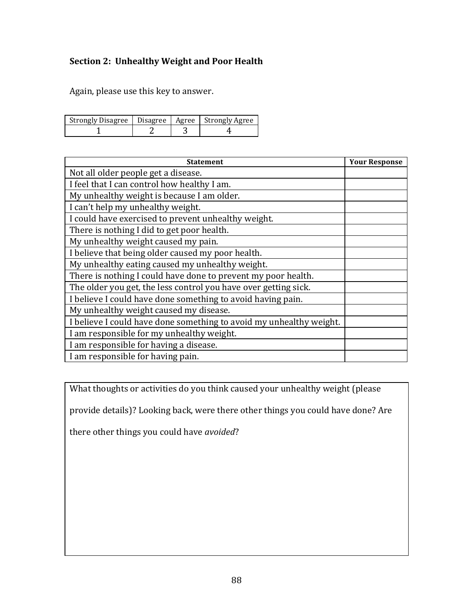## **Section 2: Unhealthy Weight and Poor Health**

Again, please use this key to answer.

| Strongly Disagree   Disagree   Agree   Strongly Agree |  |  |
|-------------------------------------------------------|--|--|
|                                                       |  |  |

| <b>Statement</b>                                                    | <b>Your Response</b> |
|---------------------------------------------------------------------|----------------------|
| Not all older people get a disease.                                 |                      |
| I feel that I can control how healthy I am.                         |                      |
| My unhealthy weight is because I am older.                          |                      |
| I can't help my unhealthy weight.                                   |                      |
| I could have exercised to prevent unhealthy weight.                 |                      |
| There is nothing I did to get poor health.                          |                      |
| My unhealthy weight caused my pain.                                 |                      |
| I believe that being older caused my poor health.                   |                      |
| My unhealthy eating caused my unhealthy weight.                     |                      |
| There is nothing I could have done to prevent my poor health.       |                      |
| The older you get, the less control you have over getting sick.     |                      |
| I believe I could have done something to avoid having pain.         |                      |
| My unhealthy weight caused my disease.                              |                      |
| I believe I could have done something to avoid my unhealthy weight. |                      |
| I am responsible for my unhealthy weight.                           |                      |
| I am responsible for having a disease.                              |                      |
| I am responsible for having pain.                                   |                      |

What thoughts or activities do you think caused your unhealthy weight (please

provide details)? Looking back, were there other things you could have done? Are

there other things you could have *avoided*?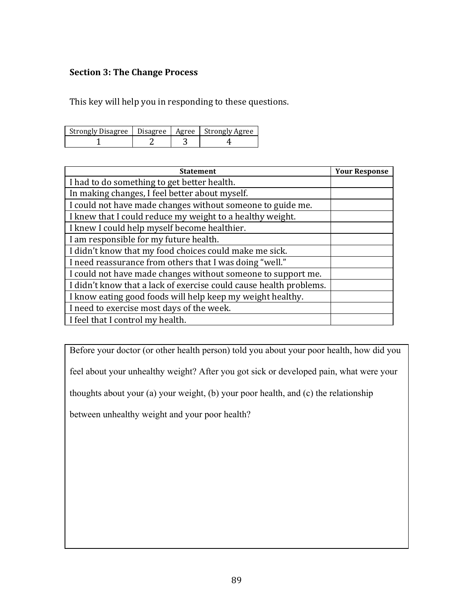### **Section 3: The Change Process**

This key will help you in responding to these questions.

| Strongly Disagree   Disagree   Agree   Strongly Agree |  |  |
|-------------------------------------------------------|--|--|
|                                                       |  |  |

| <b>Statement</b>                                                   | <b>Your Response</b> |
|--------------------------------------------------------------------|----------------------|
| I had to do something to get better health.                        |                      |
| In making changes, I feel better about myself.                     |                      |
| I could not have made changes without someone to guide me.         |                      |
| I knew that I could reduce my weight to a healthy weight.          |                      |
| I knew I could help myself become healthier.                       |                      |
| I am responsible for my future health.                             |                      |
| I didn't know that my food choices could make me sick.             |                      |
| I need reassurance from others that I was doing "well."            |                      |
| I could not have made changes without someone to support me.       |                      |
| I didn't know that a lack of exercise could cause health problems. |                      |
| I know eating good foods will help keep my weight healthy.         |                      |
| I need to exercise most days of the week.                          |                      |
| I feel that I control my health.                                   |                      |

Before your doctor (or other health person) told you about your poor health, how did you

feel about your unhealthy weight? After you got sick or developed pain, what were your

thoughts about your (a) your weight, (b) your poor health, and (c) the relationship

between unhealthy weight and your poor health?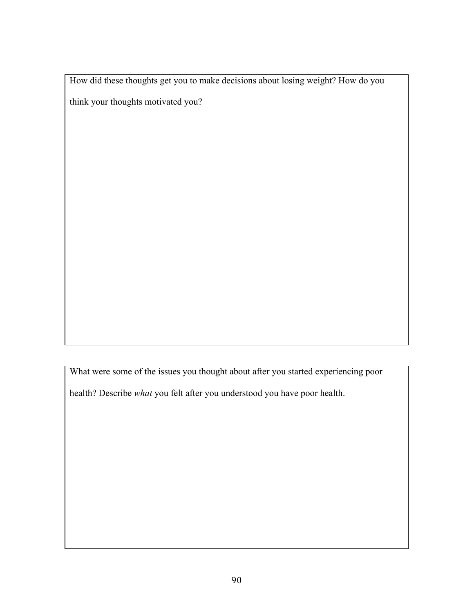How did these thoughts get you to make decisions about losing weight? How do you

think your thoughts motivated you?

What were some of the issues you thought about after you started experiencing poor

health? Describe *what* you felt after you understood you have poor health.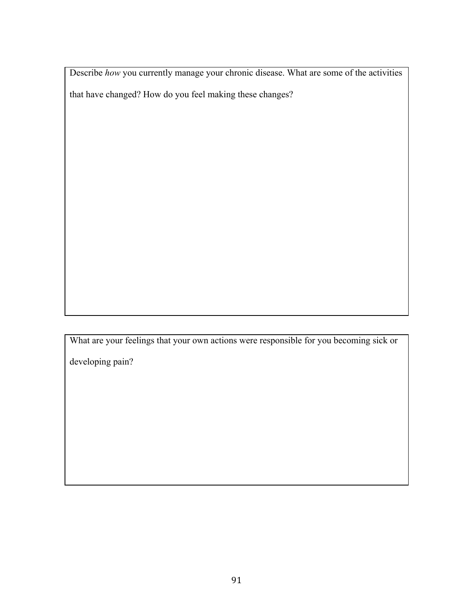Describe *how* you currently manage your chronic disease. What are some of the activities that have changed? How do you feel making these changes?

What are your feelings that your own actions were responsible for you becoming sick or

developing pain?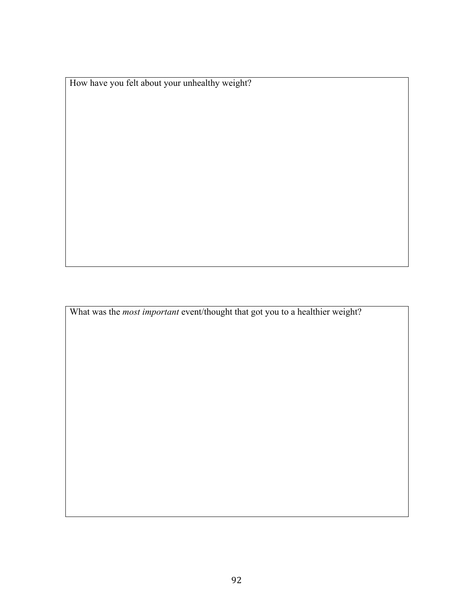How have you felt about your unhealthy weight?

What was the *most important* event/thought that got you to a healthier weight?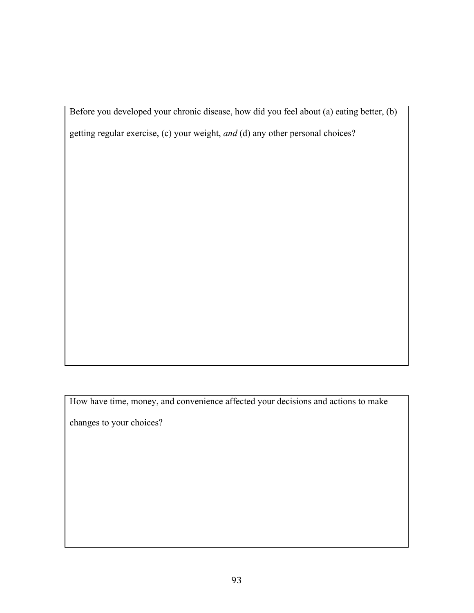Before you developed your chronic disease, how did you feel about (a) eating better, (b)

getting regular exercise, (c) your weight, *and* (d) any other personal choices?

How have time, money, and convenience affected your decisions and actions to make

changes to your choices?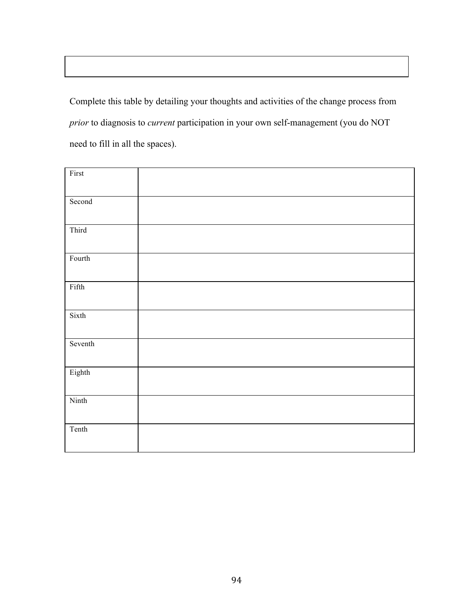Complete this table by detailing your thoughts and activities of the change process from *prior* to diagnosis to *current* participation in your own self-management (you do NOT need to fill in all the spaces).

| First           |  |  |
|-----------------|--|--|
| Second          |  |  |
| Third           |  |  |
| $\mbox{Fourth}$ |  |  |
| Fifth           |  |  |
| Sixth           |  |  |
| Seventh         |  |  |
| Eighth          |  |  |
| Ninth           |  |  |
| Tenth           |  |  |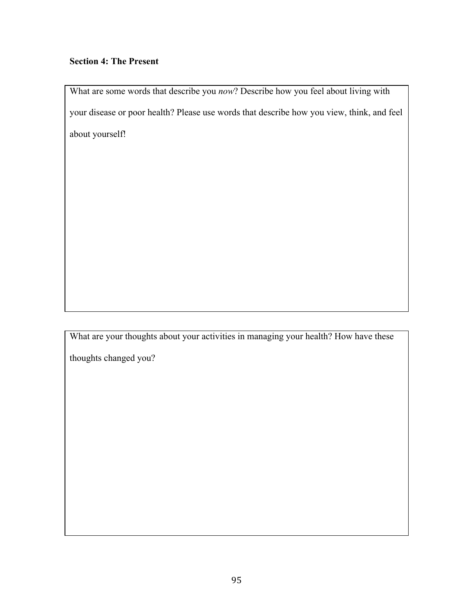## **Section 4: The Present**

What are some words that describe you *now*? Describe how you feel about living with your disease or poor health? Please use words that describe how you view, think, and feel about yourself!

What are your thoughts about your activities in managing your health? How have these

thoughts changed you?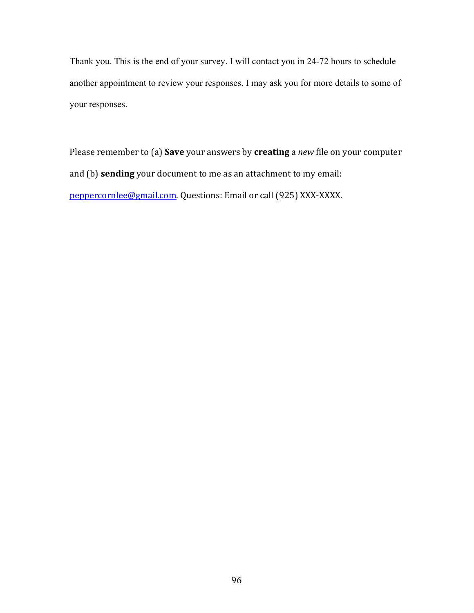Thank you. This is the end of your survey. I will contact you in 24-72 hours to schedule another appointment to review your responses. I may ask you for more details to some of your responses.

Please remember to (a) **Save** your answers by **creating** a *new* file on your computer and (b) **sending** your document to me as an attachment to my email: peppercornlee@gmail.com. Questions: Email or call (925) XXX-XXXX.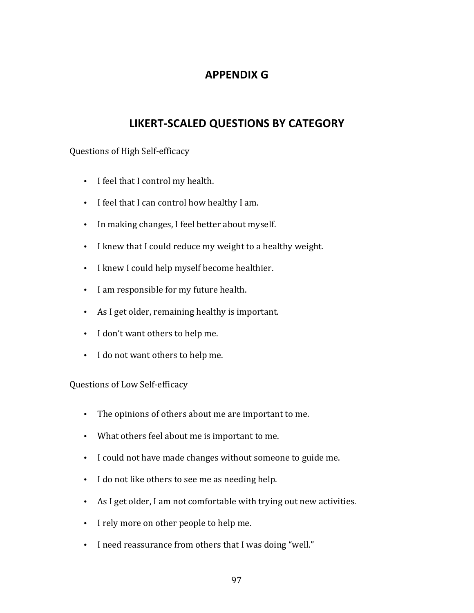# **APPENDIX G**

# **LIKERT-SCALED QUESTIONS BY CATEGORY**

### Questions of High Self-efficacy

- I feel that I control my health.
- I feel that I can control how healthy I am.
- In making changes, I feel better about myself.
- I knew that I could reduce my weight to a healthy weight.
- I knew I could help myself become healthier.
- I am responsible for my future health.
- As I get older, remaining healthy is important.
- I don't want others to help me.
- I do not want others to help me.

Questions of Low Self-efficacy

- The opinions of others about me are important to me.
- What others feel about me is important to me.
- I could not have made changes without someone to guide me.
- I do not like others to see me as needing help.
- As I get older, I am not comfortable with trying out new activities.
- I rely more on other people to help me.
- I need reassurance from others that I was doing "well."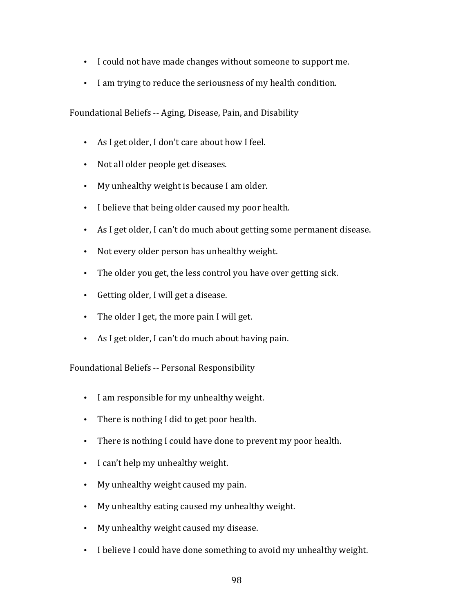- I could not have made changes without someone to support me.
- I am trying to reduce the seriousness of my health condition.

Foundational Beliefs -- Aging, Disease, Pain, and Disability

- As I get older, I don't care about how I feel.
- Not all older people get diseases.
- My unhealthy weight is because I am older.
- I believe that being older caused my poor health.
- As I get older, I can't do much about getting some permanent disease.
- Not every older person has unhealthy weight.
- The older you get, the less control you have over getting sick.
- Getting older, I will get a disease.
- The older I get, the more pain I will get.
- As I get older, I can't do much about having pain.

Foundational Beliefs -- Personal Responsibility

- I am responsible for my unhealthy weight.
- There is nothing I did to get poor health.
- There is nothing I could have done to prevent my poor health.
- I can't help my unhealthy weight.
- My unhealthy weight caused my pain.
- My unhealthy eating caused my unhealthy weight.
- My unhealthy weight caused my disease.
- I believe I could have done something to avoid my unhealthy weight.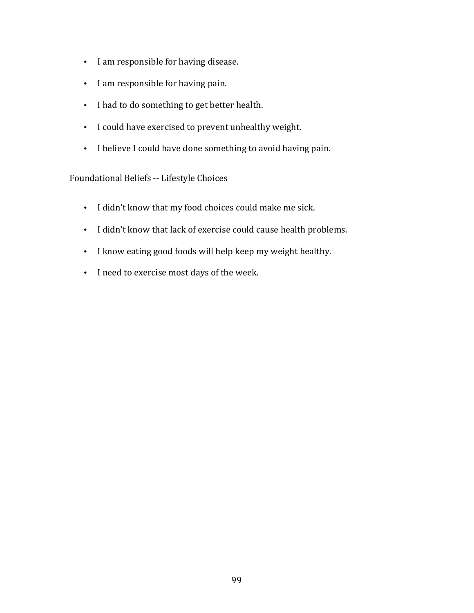- I am responsible for having disease.
- I am responsible for having pain.
- I had to do something to get better health.
- I could have exercised to prevent unhealthy weight.
- I believe I could have done something to avoid having pain.

# Foundational Beliefs -- Lifestyle Choices

- I didn't know that my food choices could make me sick.
- I didn't know that lack of exercise could cause health problems.
- I know eating good foods will help keep my weight healthy.
- I need to exercise most days of the week.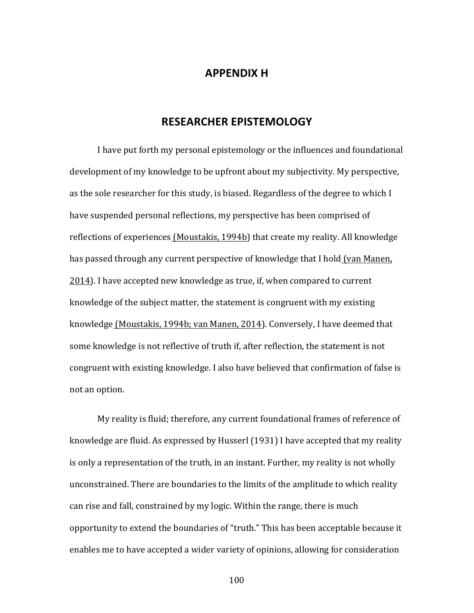### **APPENDIX H**

# **RESEARCHER EPISTEMOLOGY**

I have put forth my personal epistemology or the influences and foundational development of my knowledge to be upfront about my subjectivity. My perspective, as the sole researcher for this study, is biased. Regardless of the degree to which I have suspended personal reflections, my perspective has been comprised of reflections of experiences (Moustakis, 1994b) that create my reality. All knowledge has passed through any current perspective of knowledge that I hold (van Manen, 2014). I have accepted new knowledge as true, if, when compared to current knowledge of the subject matter, the statement is congruent with my existing knowledge (Moustakis, 1994b; van Manen, 2014). Conversely, I have deemed that some knowledge is not reflective of truth if, after reflection, the statement is not congruent with existing knowledge. I also have believed that confirmation of false is not an option.

My reality is fluid; therefore, any current foundational frames of reference of knowledge are fluid. As expressed by Husserl (1931) I have accepted that my reality is only a representation of the truth, in an instant. Further, my reality is not wholly unconstrained. There are boundaries to the limits of the amplitude to which reality can rise and fall, constrained by my logic. Within the range, there is much opportunity to extend the boundaries of "truth." This has been acceptable because it enables me to have accepted a wider variety of opinions, allowing for consideration

100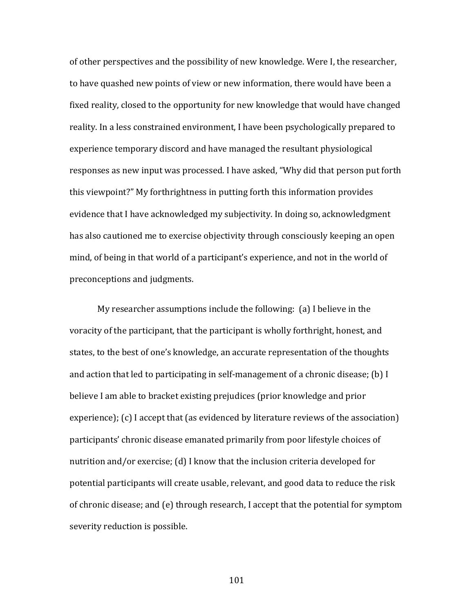of other perspectives and the possibility of new knowledge. Were I, the researcher, to have quashed new points of view or new information, there would have been a fixed reality, closed to the opportunity for new knowledge that would have changed reality. In a less constrained environment, I have been psychologically prepared to experience temporary discord and have managed the resultant physiological responses as new input was processed. I have asked, "Why did that person put forth this viewpoint?" My forthrightness in putting forth this information provides evidence that I have acknowledged my subjectivity. In doing so, acknowledgment has also cautioned me to exercise objectivity through consciously keeping an open mind, of being in that world of a participant's experience, and not in the world of preconceptions and judgments.

My researcher assumptions include the following:  $(a)$  I believe in the voracity of the participant, that the participant is wholly forthright, honest, and states, to the best of one's knowledge, an accurate representation of the thoughts and action that led to participating in self-management of a chronic disease; (b) I believe I am able to bracket existing prejudices (prior knowledge and prior  $experience$ ;  $(c)$  I accept that (as evidenced by literature reviews of the association) participants' chronic disease emanated primarily from poor lifestyle choices of nutrition and/or exercise; (d) I know that the inclusion criteria developed for potential participants will create usable, relevant, and good data to reduce the risk of chronic disease; and  $(e)$  through research, I accept that the potential for symptom severity reduction is possible.

101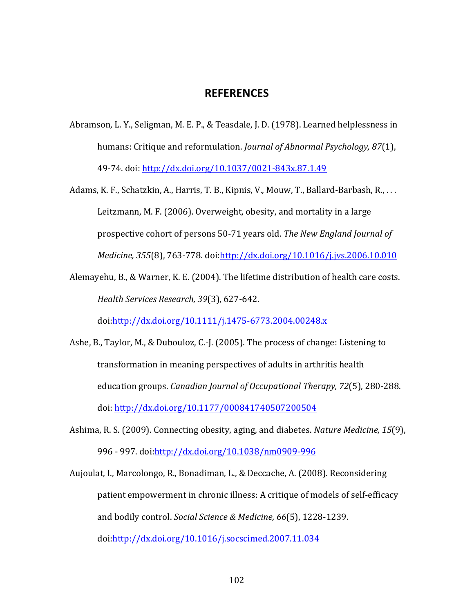#### **REFERENCES**

Abramson, L. Y., Seligman, M. E. P., & Teasdale, J. D. (1978). Learned helplessness in humans: Critique and reformulation. *Journal of Abnormal Psychology*, 87(1), 49-74. doi: http://dx.doi.org/10.1037/0021-843x.87.1.49

Adams, K. F., Schatzkin, A., Harris, T. B., Kipnis, V., Mouw, T., Ballard-Barbash, R., ... Leitzmann, M. F. (2006). Overweight, obesity, and mortality in a large prospective cohort of persons 50-71 years old. The New England Journal of *Medicine, 355*(8), 763-778. doi:http://dx.doi.org/10.1016/j.jvs.2006.10.010

Alemayehu, B., & Warner, K. E. (2004). The lifetime distribution of health care costs. *Health Services Research, 39*(3), 627-642. 

doi:http://dx.doi.org/10.1111/j.1475-6773.2004.00248.x

- Ashe, B., Taylor, M., & Dubouloz, C.-J. (2005). The process of change: Listening to transformation in meaning perspectives of adults in arthritis health education groups. *Canadian Journal of Occupational Therapy, 72*(5), 280-288. doi: http://dx.doi.org/10.1177/000841740507200504
- Ashima, R. S. (2009). Connecting obesity, aging, and diabetes. *Nature Medicine*, 15(9), 996 - 997. doi:http://dx.doi.org/10.1038/nm0909-996

Aujoulat, I., Marcolongo, R., Bonadiman, L., & Deccache, A. (2008). Reconsidering patient empowerment in chronic illness: A critique of models of self-efficacy and bodily control. *Social Science & Medicine*, 66(5), 1228-1239. doi:http://dx.doi.org/10.1016/j.socscimed.2007.11.034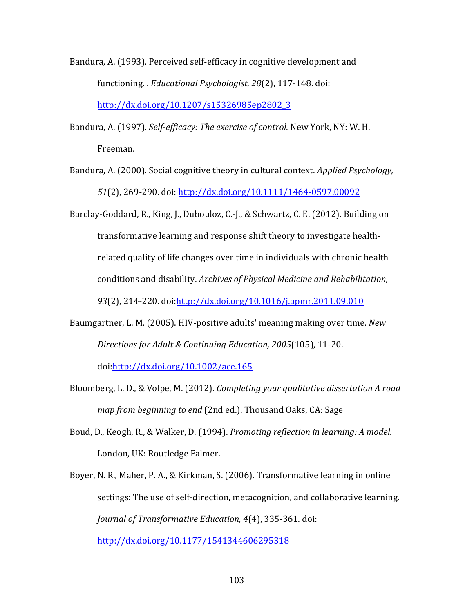- Bandura, A. (1993). Perceived self-efficacy in cognitive development and functioning. *. Educational Psychologist, 28*(2), 117-148. doi: http://dx.doi.org/10.1207/s15326985ep2802\_3
- Bandura, A. (1997). *Self-efficacy: The exercise of control*. New York, NY: W. H. Freeman.
- Bandura, A. (2000). Social cognitive theory in cultural context. *Applied Psychology*, 51(2), 269-290. doi: http://dx.doi.org/10.1111/1464-0597.00092
- Barclay-Goddard, R., King, J., Dubouloz, C.-J., & Schwartz, C. E. (2012). Building on transformative learning and response shift theory to investigate healthrelated quality of life changes over time in individuals with chronic health conditions and disability. Archives of Physical Medicine and Rehabilitation, 93(2), 214-220. doi:http://dx.doi.org/10.1016/j.apmr.2011.09.010
- Baumgartner, L. M. (2005). HIV-positive adults' meaning making over time. *New Directions for Adult & Continuing Education, 2005*(105), 11-20.

doi:http://dx.doi.org/10.1002/ace.165

- Bloomberg, L. D., & Volpe, M. (2012). *Completing your qualitative dissertation A road map from beginning to end* (2nd ed.). Thousand Oaks, CA: Sage
- Boud, D., Keogh, R., & Walker, D. (1994). *Promoting reflection in learning: A model.* London, UK: Routledge Falmer.
- Boyer, N. R., Maher, P. A., & Kirkman, S. (2006). Transformative learning in online settings: The use of self-direction, metacognition, and collaborative learning. *Journal of Transformative Education, 4*(4), 335-361. doi: http://dx.doi.org/10.1177/1541344606295318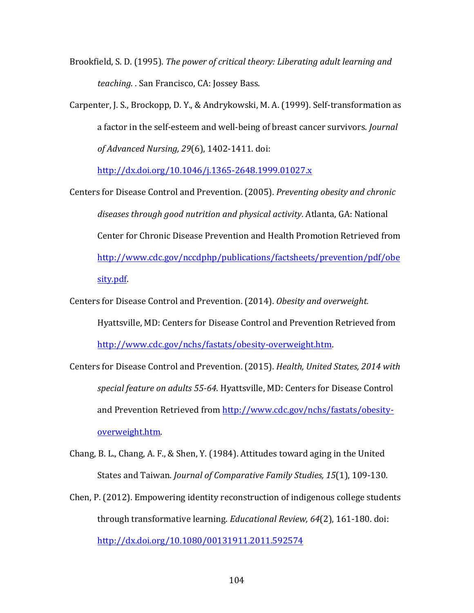- Brookfield, S. D. (1995). *The power of critical theory: Liberating adult learning and teaching.* . San Francisco, CA: Jossey Bass.
- Carpenter, J. S., Brockopp, D. Y., & Andrykowski, M. A. (1999). Self-transformation as a factor in the self-esteem and well-being of breast cancer survivors. *Journal of Advanced Nursing, 29*(6), 1402-1411. doi:

http://dx.doi.org/10.1046/j.1365-2648.1999.01027.x

- Centers for Disease Control and Prevention. (2005). *Preventing obesity and chronic* diseases through good nutrition and physical activity. Atlanta, GA: National Center for Chronic Disease Prevention and Health Promotion Retrieved from http://www.cdc.gov/nccdphp/publications/factsheets/prevention/pdf/obe sity.pdf.
- Centers for Disease Control and Prevention. (2014). Obesity and overweight. Hyattsville, MD: Centers for Disease Control and Prevention Retrieved from http://www.cdc.gov/nchs/fastats/obesity-overweight.htm.
- Centers for Disease Control and Prevention. (2015). *Health, United States, 2014 with* special feature on adults 55-64. Hyattsville, MD: Centers for Disease Control and Prevention Retrieved from http://www.cdc.gov/nchs/fastats/obesityoverweight.htm.
- Chang, B. L., Chang, A. F., & Shen, Y. (1984). Attitudes toward aging in the United States and Taiwan. *Journal of Comparative Family Studies, 15*(1), 109-130.
- Chen, P.  $(2012)$ . Empowering identity reconstruction of indigenous college students through transformative learning. *Educational Review, 64*(2), 161-180. doi: http://dx.doi.org/10.1080/00131911.2011.592574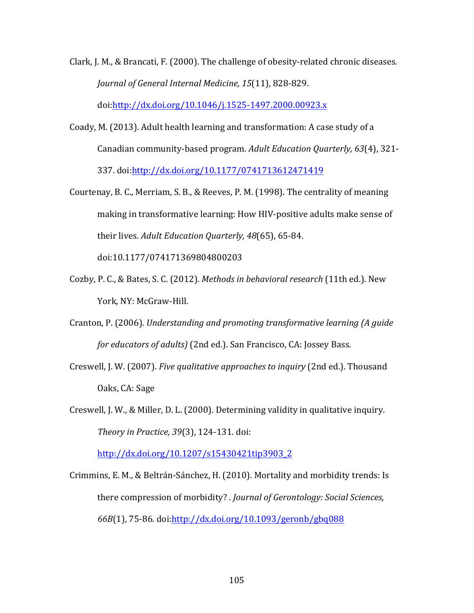Clark, J. M., & Brancati, F.  $(2000)$ . The challenge of obesity-related chronic diseases. *Journal of General Internal Medicine, 15*(11), 828-829. doi:http://dx.doi.org/10.1046/j.1525-1497.2000.00923.x

Coady, M. (2013). Adult health learning and transformation: A case study of a Canadian community-based program. Adult Education Quarterly, 63(4), 321-

337. doi:http://dx.doi.org/10.1177/0741713612471419

- Courtenay, B. C., Merriam, S. B., & Reeves, P. M. (1998). The centrality of meaning making in transformative learning: How HIV-positive adults make sense of their lives. Adult Education Quarterly, 48(65), 65-84. doi:10.1177/074171369804800203
- Cozby, P. C., & Bates, S. C. (2012). *Methods in behavioral research* (11th ed.). New York, NY: McGraw-Hill.
- Cranton, P. (2006). *Understanding and promoting transformative learning (A guide for educators of adults*) (2nd ed.). San Francisco, CA: Jossey Bass.
- Creswell, J. W. (2007). *Five qualitative approaches to inquiry* (2nd ed.). Thousand Oaks, CA: Sage
- Creswell, J. W., & Miller, D. L.  $(2000)$ . Determining validity in qualitative inquiry. *Theory in Practice, 39*(3), 124-131. doi:

http://dx.doi.org/10.1207/s15430421tip3903\_2

Crimmins, E. M., & Beltrán-Sánchez, H. (2010). Mortality and morbidity trends: Is there compression of morbidity? *. Journal of Gerontology: Social Sciences,* 66B(1), 75-86. doi:http://dx.doi.org/10.1093/geronb/gbq088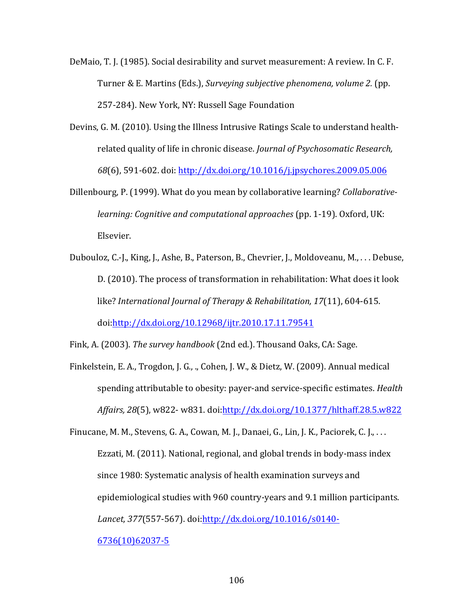- DeMaio, T. J. (1985). Social desirability and survet measurement: A review. In C. F. Turner & E. Martins (Eds.), *Surveying subjective phenomena, volume 2.* (pp. 257-284). New York, NY: Russell Sage Foundation
- Devins, G. M. (2010). Using the Illness Intrusive Ratings Scale to understand healthrelated quality of life in chronic disease. *Journal of Psychosomatic Research*, 68(6), 591-602. doi: http://dx.doi.org/10.1016/j.jpsychores.2009.05.006
- Dillenbourg, P. (1999). What do you mean by collaborative learning? *Collaborativelearning: Cognitive and computational approaches* (pp. 1-19). Oxford, UK: Elsevier.
- Dubouloz, C.-J., King, J., Ashe, B., Paterson, B., Chevrier, J., Moldoveanu, M., ... Debuse, D. (2010). The process of transformation in rehabilitation: What does it look like? *International Journal of Therapy & Rehabilitation, 17*(11), 604-615. doi:http://dx.doi.org/10.12968/ijtr.2010.17.11.79541

Fink, A. (2003). *The survey handbook* (2nd ed.). Thousand Oaks, CA: Sage.

Finkelstein, E. A., Trogdon, J. G., ., Cohen, J. W., & Dietz, W. (2009). Annual medical spending attributable to obesity: payer-and service-specific estimates. *Health* Affairs, 28(5), w822- w831. doi:http://dx.doi.org/10.1377/hlthaff.28.5.w822

Finucane, M. M., Stevens, G. A., Cowan, M. J., Danaei, G., Lin, J. K., Paciorek, C. J., ... Ezzati, M. (2011). National, regional, and global trends in body-mass index since 1980: Systematic analysis of health examination surveys and epidemiological studies with 960 country-years and 9.1 million participants. *Lancet, 377*(557-567). doi:http://dx.doi.org/10.1016/s0140- 6736(10)62037-5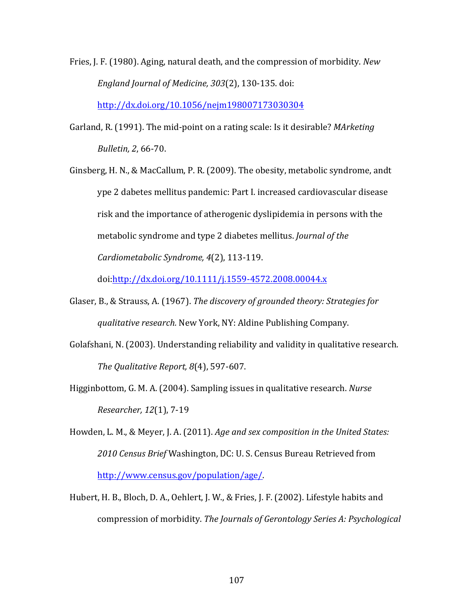- Fries, J. F. (1980). Aging, natural death, and the compression of morbidity. *New England Journal of Medicine, 303*(2), 130-135. doi: http://dx.doi.org/10.1056/nejm198007173030304
- Garland, R. (1991). The mid-point on a rating scale: Is it desirable? *MArketing Bulletin, 2*, 66-70.
- Ginsberg, H. N., & MacCallum, P. R. (2009). The obesity, metabolic syndrome, andt ype 2 dabetes mellitus pandemic: Part I. increased cardiovascular disease risk and the importance of atherogenic dyslipidemia in persons with the metabolic syndrome and type 2 diabetes mellitus. *Journal of the Cardiometabolic Syndrome, 4*(2), 113-119.

doi:http://dx.doi.org/10.1111/j.1559-4572.2008.00044.x

- Glaser, B., & Strauss, A. (1967). *The discovery of grounded theory: Strategies for qualitative research.* New York, NY: Aldine Publishing Company.
- Golafshani, N. (2003). Understanding reliability and validity in qualitative research. *The Qualitative Report, 8*(4), 597-607.
- Higginbottom, G. M. A. (2004). Sampling issues in qualitative research. *Nurse Researcher, 12*(1), 7-19
- Howden, L. M., & Meyer, J. A. (2011). *Age and sex composition in the United States: 2010 Census Brief* Washington, DC: U. S. Census Bureau Retrieved from http://www.census.gov/population/age/.
- Hubert, H. B., Bloch, D. A., Oehlert, J. W., & Fries, J. F. (2002). Lifestyle habits and compression of morbidity. The Journals of Gerontology Series A: Psychological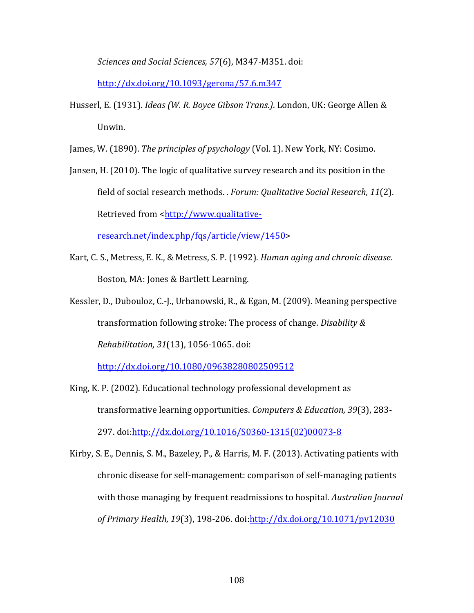*Sciences and Social Sciences, 57*(6), M347-M351. doi: 

http://dx.doi.org/10.1093/gerona/57.6.m347

Husserl, E. (1931). *Ideas (W. R. Boyce Gibson Trans.*). London, UK: George Allen & Unwin.

James, W. (1890). *The principles of psychology* (Vol. 1). New York, NY: Cosimo.

Jansen, H. (2010). The logic of qualitative survey research and its position in the field of social research methods. *. Forum: Qualitative Social Research, 11*(2). Retrieved from <http://www.qualitative-

research.net/index.php/fqs/article/view/1450>

- Kart, C. S., Metress, E. K., & Metress, S. P. (1992). *Human aging and chronic disease.* Boston, MA: Jones & Bartlett Learning.
- Kessler, D., Dubouloz, C.-J., Urbanowski, R., & Egan, M. (2009). Meaning perspective transformation following stroke: The process of change. *Disability & Rehabilitation, 31*(13), 1056-1065. doi:

http://dx.doi.org/10.1080/09638280802509512

- King, K. P. (2002). Educational technology professional development as transformative learning opportunities. Computers & Education, 39(3), 283-297. doi:http://dx.doi.org/10.1016/S0360-1315(02)00073-8
- Kirby, S. E., Dennis, S. M., Bazeley, P., & Harris, M. F. (2013). Activating patients with chronic disease for self-management: comparison of self-managing patients with those managing by frequent readmissions to hospital. *Australian Journal* of Primary Health, 19(3), 198-206. doi: http://dx.doi.org/10.1071/py12030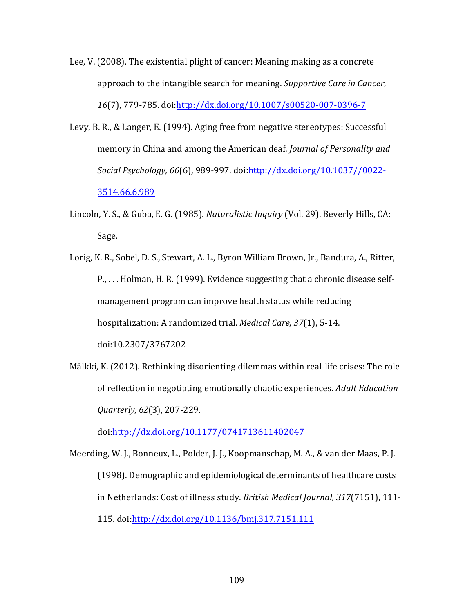Lee, V. (2008). The existential plight of cancer: Meaning making as a concrete approach to the intangible search for meaning. *Supportive Care in Cancer*, *16*(7), 779-785. doi:http://dx.doi.org/10.1007/s00520-007-0396-7

- Levy, B. R., & Langer, E. (1994). Aging free from negative stereotypes: Successful memory in China and among the American deaf. *Journal of Personality and Social Psychology,* 66(6), 989-997. doi: http://dx.doi.org/10.1037//0022-3514.66.6.989
- Lincoln, Y. S., & Guba, E. G. (1985). *Naturalistic Inquiry* (Vol. 29). Beverly Hills, CA: Sage.
- Lorig, K. R., Sobel, D. S., Stewart, A. L., Byron William Brown, Jr., Bandura, A., Ritter, P., ... Holman, H. R. (1999). Evidence suggesting that a chronic disease selfmanagement program can improve health status while reducing hospitalization: A randomized trial. *Medical Care, 37*(1), 5-14. doi:10.2307/3767202
- Mälkki, K. (2012). Rethinking disorienting dilemmas within real-life crises: The role of reflection in negotiating emotionally chaotic experiences. *Adult Education Quarterly, 62*(3), 207-229.

doi:http://dx.doi.org/10.1177/0741713611402047

Meerding, W. J., Bonneux, L., Polder, J. J., Koopmanschap, M. A., & van der Maas, P. J. (1998). Demographic and epidemiological determinants of healthcare costs in Netherlands: Cost of illness study. *British Medical Journal, 317*(7151), 111-115. doi:http://dx.doi.org/10.1136/bmj.317.7151.111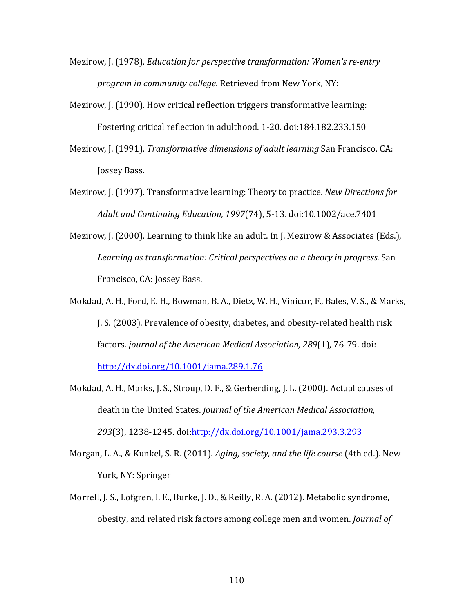- Mezirow, J. (1978). *Education for perspective transformation:* Women's re-entry *program in community college.* Retrieved from New York, NY:
- Mezirow, J. (1990). How critical reflection triggers transformative learning: Fostering critical reflection in adulthood. 1-20. doi:184.182.233.150
- Mezirow, J. (1991). *Transformative dimensions of adult learning* San Francisco, CA: Jossey Bass.
- Mezirow, J. (1997). Transformative learning: Theory to practice. *New Directions for Adult and Continuing Education, 1997*(74), 5-13. doi:10.1002/ace.7401
- Mezirow, J. (2000). Learning to think like an adult. In J. Mezirow & Associates (Eds.), Learning as transformation: Critical perspectives on a theory in progress. San Francisco, CA: Jossey Bass.
- Mokdad, A. H., Ford, E. H., Bowman, B. A., Dietz, W. H., Vinicor, F., Bales, V. S., & Marks, J. S. (2003). Prevalence of obesity, diabetes, and obesity-related health risk factors. journal of the American Medical Association, 289(1), 76-79. doi: http://dx.doi.org/10.1001/jama.289.1.76
- Mokdad, A. H., Marks, J. S., Stroup, D. F., & Gerberding, J. L. (2000). Actual causes of death in the United States. *journal of the American Medical Association*, *293*(3), 1238-1245. doi:http://dx.doi.org/10.1001/jama.293.3.293
- Morgan, L. A., & Kunkel, S. R. (2011). *Aging, society, and the life course* (4th ed.). New York, NY: Springer
- Morrell, J. S., Lofgren, I. E., Burke, J. D., & Reilly, R. A. (2012). Metabolic syndrome, obesity, and related risk factors among college men and women. *Journal of*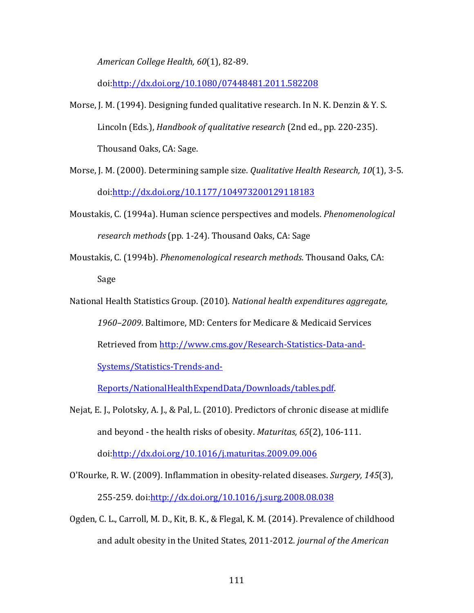*American College Health, 60*(1), 82-89.

doi:http://dx.doi.org/10.1080/07448481.2011.582208

- Morse, J. M. (1994). Designing funded qualitative research. In N. K. Denzin & Y. S. Lincoln (Eds.), *Handbook of qualitative research* (2nd ed., pp. 220-235). Thousand Oaks, CA: Sage.
- Morse, J. M. (2000). Determining sample size. *Qualitative Health Research, 10*(1), 3-5. doi:http://dx.doi.org/10.1177/104973200129118183
- Moustakis, C. (1994a). Human science perspectives and models. *Phenomenological* research methods (pp. 1-24). Thousand Oaks, CA: Sage
- Moustakis, C. (1994b). *Phenomenological research methods*. Thousand Oaks, CA: Sage
- National Health Statistics Group. (2010). *National health expenditures aggregate*, 1960–2009. Baltimore, MD: Centers for Medicare & Medicaid Services Retrieved from http://www.cms.gov/Research-Statistics-Data-and-Systems/Statistics-Trends-and-

Reports/NationalHealthExpendData/Downloads/tables.pdf.

Nejat, E. J., Polotsky, A. J., & Pal, L. (2010). Predictors of chronic disease at midlife and beyond - the health risks of obesity. *Maturitas*, 65(2), 106-111. doi:http://dx.doi.org/10.1016/j.maturitas.2009.09.006

O'Rourke, R. W. (2009). Inflammation in obesity-related diseases. *Surgery, 145*(3), 255-259. doi:http://dx.doi.org/10.1016/j.surg.2008.08.038

Ogden, C. L., Carroll, M. D., Kit, B. K., & Flegal, K. M. (2014). Prevalence of childhood and adult obesity in the United States, 2011-2012. *journal of the American*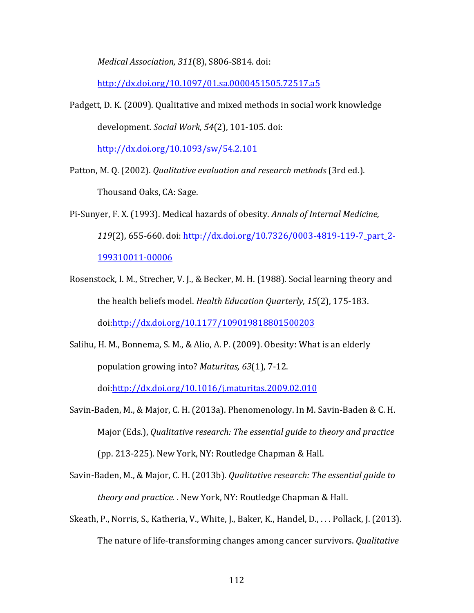*Medical Association, 311*(8), S806-S814. doi: 

http://dx.doi.org/10.1097/01.sa.0000451505.72517.a5

Padgett, D. K. (2009). Qualitative and mixed methods in social work knowledge development. *Social Work,* 54(2), 101-105. doi:

http://dx.doi.org/10.1093/sw/54.2.101

- Patton, M. Q. (2002). *Qualitative evaluation and research methods* (3rd ed.). Thousand Oaks, CA: Sage.
- Pi-Sunyer, F. X. (1993). Medical hazards of obesity. *Annals of Internal Medicine*, *119*(2), 655-660. doi: http://dx.doi.org/10.7326/0003-4819-119-7\_part\_2-199310011-00006
- Rosenstock, I. M., Strecher, V. J., & Becker, M. H. (1988). Social learning theory and the health beliefs model. *Health Education Quarterly, 15*(2), 175-183. doi:http://dx.doi.org/10.1177/109019818801500203
- Salihu, H. M., Bonnema, S. M., & Alio, A. P. (2009). Obesity: What is an elderly population growing into? *Maturitas,* 63(1), 7-12.

doi:http://dx.doi.org/10.1016/j.maturitas.2009.02.010

- Savin-Baden, M., & Major, C. H. (2013a). Phenomenology. In M. Savin-Baden & C. H. Major (Eds.), *Qualitative research: The essential guide to theory and practice* (pp. 213-225). New York, NY: Routledge Chapman & Hall.
- Savin-Baden, M., & Major, C. H. (2013b). *Qualitative research: The essential guide to theory and practice.* . New York, NY: Routledge Chapman & Hall.
- Skeath, P., Norris, S., Katheria, V., White, J., Baker, K., Handel, D., ... Pollack, J. (2013). The nature of life-transforming changes among cancer survivors. *Qualitative*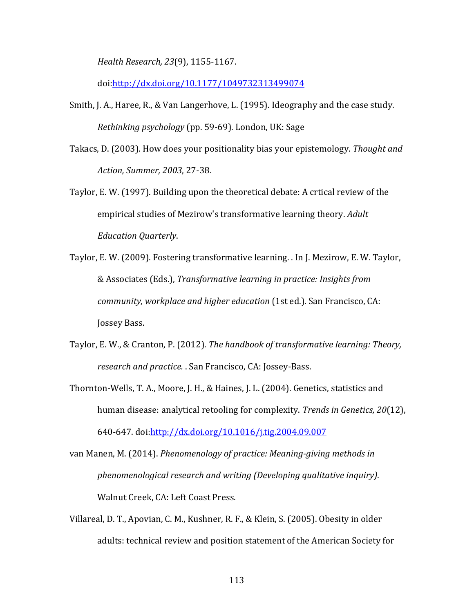*Health Research, 23*(9), 1155-1167. 

doi:http://dx.doi.org/10.1177/1049732313499074

- Smith, J. A., Haree, R., & Van Langerhove, L. (1995). Ideography and the case study. *Rethinking psychology* (pp. 59-69). London, UK: Sage
- Takacs, D. (2003). How does your positionality bias your epistemology. Thought and *Action, Summer, 2003*, 27-38.
- Taylor, E. W. (1997). Building upon the theoretical debate: A crtical review of the empirical studies of Mezirow's transformative learning theory. *Adult Education Quarterly*.
- Taylor, E. W. (2009). Fostering transformative learning. . In J. Mezirow, E. W. Taylor, & Associates (Eds.), *Transformative learning in practice: Insights from community, workplace and higher education* (1st ed.). San Francisco, CA: Jossey Bass.
- Taylor, E. W., & Cranton, P. (2012). *The handbook of transformative learning: Theory,* research and practice. . San Francisco, CA: Jossey-Bass.
- Thornton-Wells, T. A., Moore, J. H., & Haines, J. L. (2004). Genetics, statistics and human disease: analytical retooling for complexity. *Trends in Genetics, 20*(12), 640-647. doi:http://dx.doi.org/10.1016/j.tig.2004.09.007

van Manen, M. (2014). *Phenomenology of practice: Meaning-giving methods in phenomenological research and writing (Developing qualitative inquiry)*. Walnut Creek, CA: Left Coast Press.

Villareal, D. T., Apovian, C. M., Kushner, R. F., & Klein, S. (2005). Obesity in older adults: technical review and position statement of the American Society for